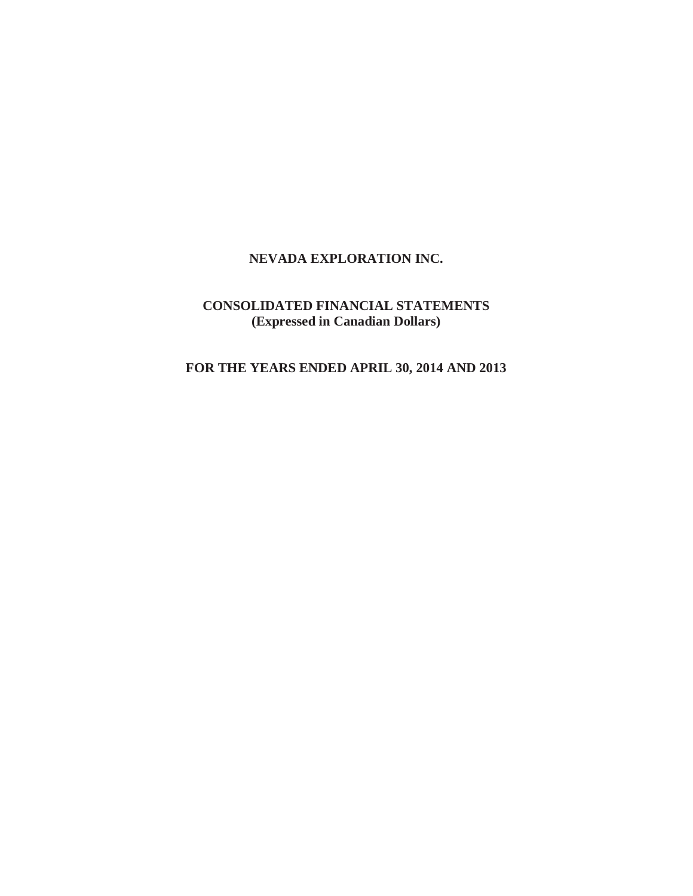# **NEVADA EXPLORATION INC.**

# **CONSOLIDATED FINANCIAL STATEMENTS (Expressed in Canadian Dollars)**

# **FOR THE YEARS ENDED APRIL 30, 2014 AND 2013**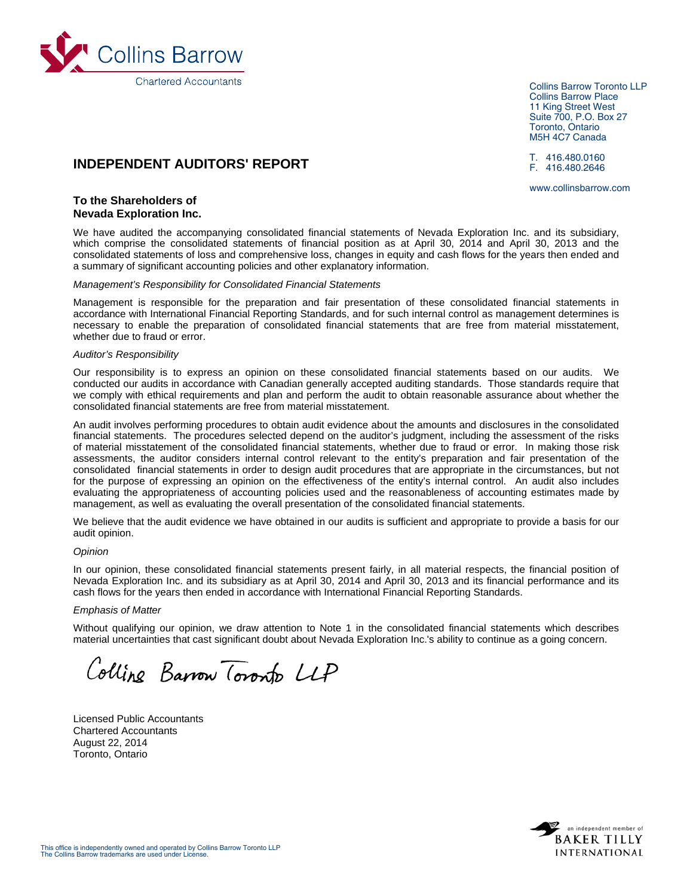

Collins Barrow Toronto LLP Collins Barrow Place 11 King Street West Suite 700, P.O. Box 27 Toronto, Ontario M5H 4C7 Canada

T. 416.480.0160 F. 416.480.2646

www.collinsbarrow.com

# **INDEPENDENT AUDITORS' REPORT**

# **To the Shareholders of Nevada Exploration Inc.**

We have audited the accompanying consolidated financial statements of Nevada Exploration Inc. and its subsidiary, which comprise the consolidated statements of financial position as at April 30, 2014 and April 30, 2013 and the consolidated statements of loss and comprehensive loss, changes in equity and cash flows for the years then ended and a summary of significant accounting policies and other explanatory information.

#### *Management's Responsibility for Consolidated Financial Statements*

Management is responsible for the preparation and fair presentation of these consolidated financial statements in accordance with International Financial Reporting Standards, and for such internal control as management determines is necessary to enable the preparation of consolidated financial statements that are free from material misstatement, whether due to fraud or error.

#### *Auditor's Responsibility*

Our responsibility is to express an opinion on these consolidated financial statements based on our audits. We conducted our audits in accordance with Canadian generally accepted auditing standards. Those standards require that we comply with ethical requirements and plan and perform the audit to obtain reasonable assurance about whether the consolidated financial statements are free from material misstatement.

An audit involves performing procedures to obtain audit evidence about the amounts and disclosures in the consolidated financial statements. The procedures selected depend on the auditor's judgment, including the assessment of the risks of material misstatement of the consolidated financial statements, whether due to fraud or error. In making those risk assessments, the auditor considers internal control relevant to the entity's preparation and fair presentation of the consolidated financial statements in order to design audit procedures that are appropriate in the circumstances, but not for the purpose of expressing an opinion on the effectiveness of the entity's internal control. An audit also includes evaluating the appropriateness of accounting policies used and the reasonableness of accounting estimates made by management, as well as evaluating the overall presentation of the consolidated financial statements.

We believe that the audit evidence we have obtained in our audits is sufficient and appropriate to provide a basis for our audit opinion.

#### *Opinion*

In our opinion, these consolidated financial statements present fairly, in all material respects, the financial position of Nevada Exploration Inc. and its subsidiary as at April 30, 2014 and April 30, 2013 and its financial performance and its cash flows for the years then ended in accordance with International Financial Reporting Standards.

## *Emphasis of Matter*

Without qualifying our opinion, we draw attention to Note 1 in the consolidated financial statements which describes material uncertainties that cast significant doubt about Nevada Exploration Inc.'s ability to continue as a going concern.

Colline Barrow Toronto LLP

Licensed Public Accountants Chartered Accountants August 22, 2014 Toronto, Ontario

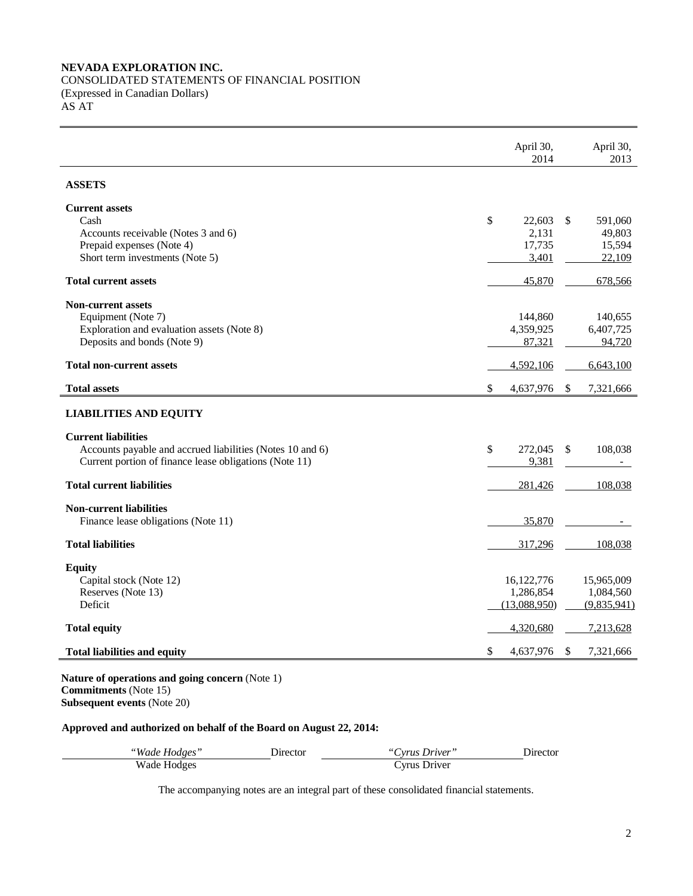## **NEVADA EXPLORATION INC.** CONSOLIDATED STATEMENTS OF FINANCIAL POSITION (Expressed in Canadian Dollars) AS AT

|                                                                                                                                                   | April 30,<br>2014                        |               | April 30,<br>2013                      |
|---------------------------------------------------------------------------------------------------------------------------------------------------|------------------------------------------|---------------|----------------------------------------|
| <b>ASSETS</b>                                                                                                                                     |                                          |               |                                        |
| <b>Current assets</b><br>Cash<br>Accounts receivable (Notes 3 and 6)<br>Prepaid expenses (Note 4)<br>Short term investments (Note 5)              | \$<br>22,603<br>2,131<br>17,735<br>3,401 | \$            | 591,060<br>49,803<br>15,594<br>22,109  |
| <b>Total current assets</b>                                                                                                                       | 45,870                                   |               | 678,566                                |
| <b>Non-current assets</b><br>Equipment (Note 7)<br>Exploration and evaluation assets (Note 8)<br>Deposits and bonds (Note 9)                      | 144,860<br>4,359,925<br>87,321           |               | 140,655<br>6,407,725<br>94,720         |
| <b>Total non-current assets</b>                                                                                                                   | 4,592,106                                |               | 6,643,100                              |
| <b>Total assets</b>                                                                                                                               | \$<br>4,637,976                          | <sup>S</sup>  | 7,321,666                              |
| <b>LIABILITIES AND EQUITY</b>                                                                                                                     |                                          |               |                                        |
| <b>Current liabilities</b><br>Accounts payable and accrued liabilities (Notes 10 and 6)<br>Current portion of finance lease obligations (Note 11) | \$<br>272,045<br>9,381                   | <sup>\$</sup> | 108,038<br>$\sim$                      |
| <b>Total current liabilities</b>                                                                                                                  | 281,426                                  |               | 108,038                                |
| <b>Non-current liabilities</b><br>Finance lease obligations (Note 11)                                                                             | 35,870                                   |               |                                        |
| <b>Total liabilities</b>                                                                                                                          | 317,296                                  |               | 108,038                                |
| <b>Equity</b><br>Capital stock (Note 12)<br>Reserves (Note 13)<br>Deficit                                                                         | 16,122,776<br>1,286,854<br>(13,088,950)  |               | 15,965,009<br>1,084,560<br>(9,835,941) |
| <b>Total equity</b>                                                                                                                               | 4,320,680                                |               | 7,213,628                              |
| <b>Total liabilities and equity</b>                                                                                                               | \$<br>4,637,976                          | \$            | 7,321,666                              |

# **Nature of operations and going concern** (Note 1) **Commitments** (Note 15) **Subsequent events** (Note 20)

# **Approved and authorized on behalf of the Board on August 22, 2014:**

| <i>wade Hodges</i> " | <b>Jirector</b> | Cyrus Driver | Jirector |
|----------------------|-----------------|--------------|----------|
| Wade Hodges          |                 | Vrus Driver  |          |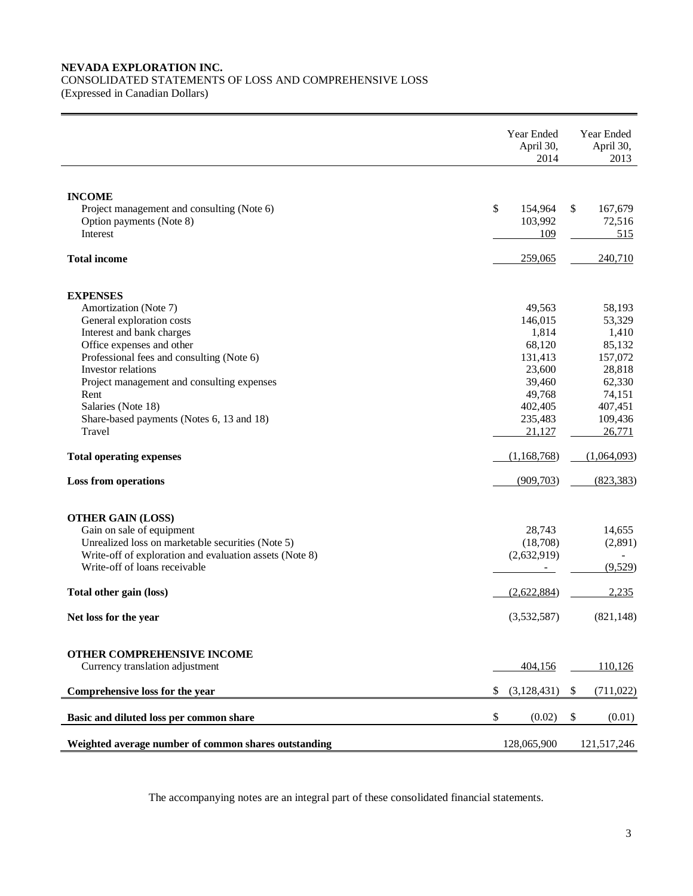# **NEVADA EXPLORATION INC.**

CONSOLIDATED STATEMENTS OF LOSS AND COMPREHENSIVE LOSS

(Expressed in Canadian Dollars)

|                                                         | Year Ended<br>April 30,<br>2014 | Year Ended<br>April 30,<br>2013         |
|---------------------------------------------------------|---------------------------------|-----------------------------------------|
| <b>INCOME</b>                                           |                                 |                                         |
| Project management and consulting (Note 6)              | \$<br>154,964                   | \$<br>167,679                           |
| Option payments (Note 8)                                | 103,992                         | 72,516                                  |
| Interest                                                | 109                             | 515                                     |
| <b>Total income</b>                                     | 259,065                         | 240,710                                 |
| <b>EXPENSES</b>                                         |                                 |                                         |
| Amortization (Note 7)                                   | 49,563                          | 58,193                                  |
| General exploration costs                               | 146,015                         | 53,329                                  |
| Interest and bank charges                               | 1,814                           | 1,410                                   |
| Office expenses and other                               | 68,120                          | 85,132                                  |
| Professional fees and consulting (Note 6)               | 131,413                         | 157,072                                 |
| Investor relations                                      | 23,600                          | 28,818                                  |
| Project management and consulting expenses              | 39,460                          | 62,330                                  |
| Rent                                                    | 49,768                          | 74,151                                  |
| Salaries (Note 18)                                      | 402,405                         | 407,451                                 |
| Share-based payments (Notes 6, 13 and 18)               | 235,483                         | 109,436                                 |
| Travel                                                  | 21,127                          | 26,771                                  |
| <b>Total operating expenses</b>                         | (1,168,768)                     | (1,064,093)                             |
| <b>Loss from operations</b>                             | (909, 703)                      | (823, 383)                              |
| <b>OTHER GAIN (LOSS)</b>                                |                                 |                                         |
| Gain on sale of equipment                               | 28,743                          | 14,655                                  |
| Unrealized loss on marketable securities (Note 5)       | (18,708)                        | (2,891)                                 |
| Write-off of exploration and evaluation assets (Note 8) | (2,632,919)                     |                                         |
| Write-off of loans receivable                           |                                 | (9,529)                                 |
| Total other gain (loss)                                 | (2,622,884)                     | 2,235                                   |
| Net loss for the year                                   | (3,532,587)                     | (821, 148)                              |
| OTHER COMPREHENSIVE INCOME                              |                                 |                                         |
| Currency translation adjustment                         | 404,156                         | 110,126                                 |
| Comprehensive loss for the year                         | \$<br>(3,128,431)               | $\boldsymbol{\mathsf{S}}$<br>(711, 022) |
| Basic and diluted loss per common share                 | \$<br>(0.02)                    | $\boldsymbol{\mathsf{S}}$<br>(0.01)     |
| Weighted average number of common shares outstanding    | 128,065,900                     | 121,517,246                             |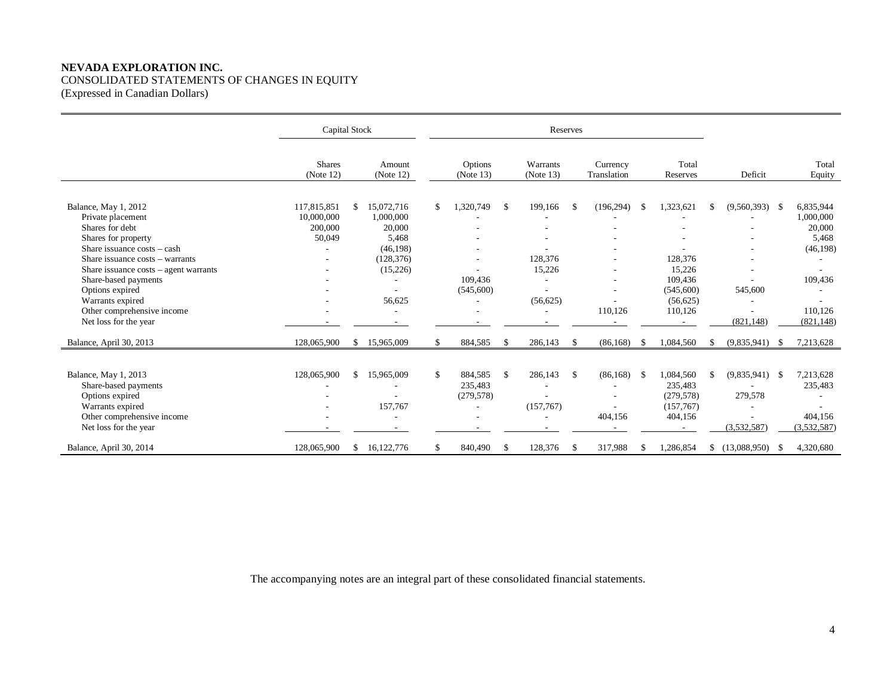# **NEVADA EXPLORATION INC.** CONSOLIDATED STATEMENTS OF CHANGES IN EQUITY (Expressed in Canadian Dollars)

|                                                                                                                                                                                                                                                                                             | Capital Stock                                  |               |                                                                                             | Reserves |                                   |               |                                                          |               |                         |      |                                                                                                           |    |                                            |                                                                              |  |  |
|---------------------------------------------------------------------------------------------------------------------------------------------------------------------------------------------------------------------------------------------------------------------------------------------|------------------------------------------------|---------------|---------------------------------------------------------------------------------------------|----------|-----------------------------------|---------------|----------------------------------------------------------|---------------|-------------------------|------|-----------------------------------------------------------------------------------------------------------|----|--------------------------------------------|------------------------------------------------------------------------------|--|--|
|                                                                                                                                                                                                                                                                                             | <b>Shares</b><br>(Note 12)                     |               | Amount<br>(Note 12)                                                                         |          | Options<br>(Note 13)              |               | Warrants<br>(Note 13)                                    |               | Currency<br>Translation |      | Total<br>Reserves                                                                                         |    | Deficit                                    | Total<br>Equity                                                              |  |  |
| Balance, May 1, 2012<br>Private placement<br>Shares for debt<br>Shares for property<br>Share issuance costs – cash<br>Share issuance costs - warrants<br>Share issuance costs - agent warrants<br>Share-based payments<br>Options expired<br>Warrants expired<br>Other comprehensive income | 117,815,851<br>10,000,000<br>200,000<br>50,049 | \$            | 15,072,716<br>1,000,000<br>20,000<br>5,468<br>(46, 198)<br>(128, 376)<br>(15,226)<br>56,625 | \$       | 1,320,749<br>109,436<br>(545,600) | \$            | 199,166<br>٠<br>128,376<br>15,226<br>۰<br>(56, 625)<br>۰ | -\$           | (196, 294)<br>110,126   | - \$ | 1,323,621<br>$\overline{\phantom{a}}$<br>128,376<br>15,226<br>109,436<br>(545,600)<br>(56,625)<br>110,126 | \$ | $(9,560,393)$ \$<br>545,600                | 6,835,944<br>1,000,000<br>20,000<br>5,468<br>(46, 198)<br>109,436<br>110,126 |  |  |
| Net loss for the year                                                                                                                                                                                                                                                                       |                                                |               |                                                                                             |          |                                   |               |                                                          |               |                         |      |                                                                                                           |    | (821, 148)                                 | (821, 148)                                                                   |  |  |
| Balance, April 30, 2013                                                                                                                                                                                                                                                                     | 128,065,900                                    | <sup>\$</sup> | 15,965,009                                                                                  | \$       | 884,585                           | <sup>\$</sup> | 286,143                                                  | -\$           | (86, 168)               | - \$ | 1,084,560                                                                                                 | S. | $(9,835,941)$ \$                           | 7,213,628                                                                    |  |  |
| Balance, May 1, 2013<br>Share-based payments<br>Options expired<br>Warrants expired<br>Other comprehensive income<br>Net loss for the year                                                                                                                                                  | 128,065,900                                    | \$            | 15,965,009<br>157,767                                                                       | \$       | 884,585<br>235,483<br>(279, 578)  | -\$           | 286,143<br>(157,767)                                     | $\mathcal{S}$ | (86, 168)<br>404,156    | - \$ | 1,084,560<br>235,483<br>(279, 578)<br>(157,767)<br>404,156                                                | \$ | $(9,835,941)$ \$<br>279,578<br>(3,532,587) | 7,213,628<br>235,483<br>404,156<br>(3,532,587)                               |  |  |
| Balance, April 30, 2014                                                                                                                                                                                                                                                                     | 128,065,900                                    | \$.           | 16,122,776                                                                                  | \$       | 840,490                           | \$            | 128,376                                                  | -\$           | 317,988                 |      | 1,286,854                                                                                                 |    | $$(13,088,950)$ \ \$                       | 4,320,680                                                                    |  |  |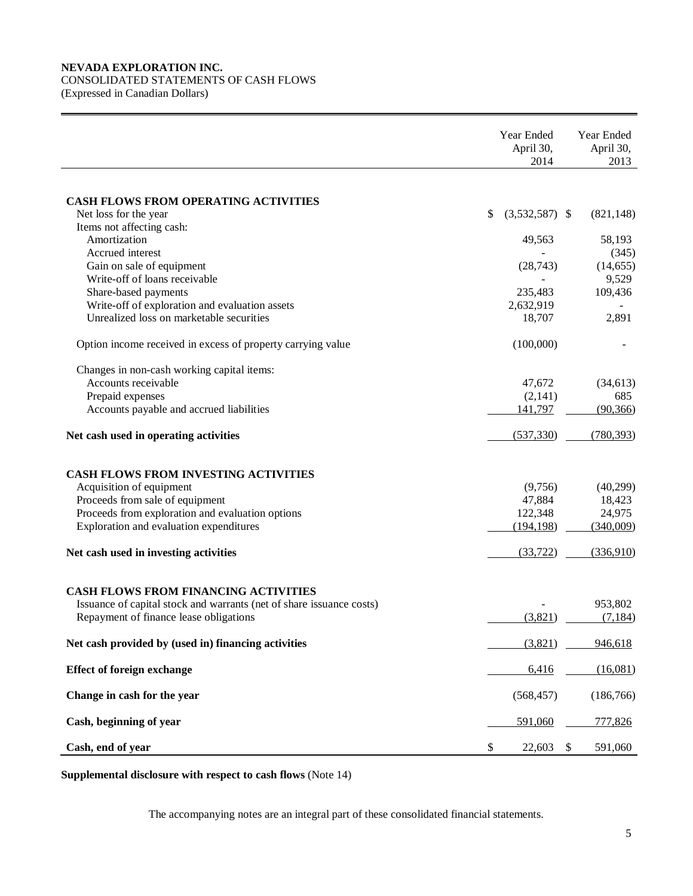# **NEVADA EXPLORATION INC.** CONSOLIDATED STATEMENTS OF CASH FLOWS (Expressed in Canadian Dollars)

|                                                                        | Year Ended<br>April 30,<br>2014 | Year Ended<br>April 30,<br>2013 |
|------------------------------------------------------------------------|---------------------------------|---------------------------------|
|                                                                        |                                 |                                 |
| <b>CASH FLOWS FROM OPERATING ACTIVITIES</b>                            |                                 |                                 |
| Net loss for the year                                                  | \$<br>$(3,532,587)$ \$          | (821, 148)                      |
| Items not affecting cash:                                              |                                 |                                 |
| Amortization                                                           | 49,563                          | 58,193                          |
| Accrued interest                                                       |                                 | (345)                           |
| Gain on sale of equipment                                              | (28, 743)                       | (14, 655)                       |
| Write-off of loans receivable                                          | 235,483                         | 9,529<br>109,436                |
| Share-based payments<br>Write-off of exploration and evaluation assets | 2,632,919                       |                                 |
| Unrealized loss on marketable securities                               | 18,707                          | 2,891                           |
|                                                                        |                                 |                                 |
| Option income received in excess of property carrying value            | (100,000)                       |                                 |
| Changes in non-cash working capital items:                             |                                 |                                 |
| Accounts receivable                                                    | 47,672                          | (34,613)                        |
| Prepaid expenses                                                       | (2,141)                         | 685                             |
| Accounts payable and accrued liabilities                               | 141,797                         | (90, 366)                       |
| Net cash used in operating activities                                  | (537, 330)                      | (780, 393)                      |
| <b>CASH FLOWS FROM INVESTING ACTIVITIES</b>                            |                                 |                                 |
| Acquisition of equipment                                               | (9,756)                         | (40,299)                        |
| Proceeds from sale of equipment                                        | 47,884                          | 18,423                          |
| Proceeds from exploration and evaluation options                       | 122,348                         | 24,975                          |
| Exploration and evaluation expenditures                                | (194, 198)                      | (340,009)                       |
| Net cash used in investing activities                                  | (33, 722)                       | (336,910)                       |
|                                                                        |                                 |                                 |
| <b>CASH FLOWS FROM FINANCING ACTIVITIES</b>                            |                                 |                                 |
| Issuance of capital stock and warrants (net of share issuance costs)   |                                 | 953,802                         |
| Repayment of finance lease obligations                                 | (3,821)                         | (7, 184)                        |
| Net cash provided by (used in) financing activities                    | (3,821)                         | 946,618                         |
| <b>Effect of foreign exchange</b>                                      | 6,416                           | (16,081)                        |
| Change in cash for the year                                            | (568, 457)                      | (186, 766)                      |
| Cash, beginning of year                                                | 591,060                         | 777,826                         |
| Cash, end of year                                                      | \$<br>22,603                    | \$<br>591,060                   |

**Supplemental disclosure with respect to cash flows** (Note 14)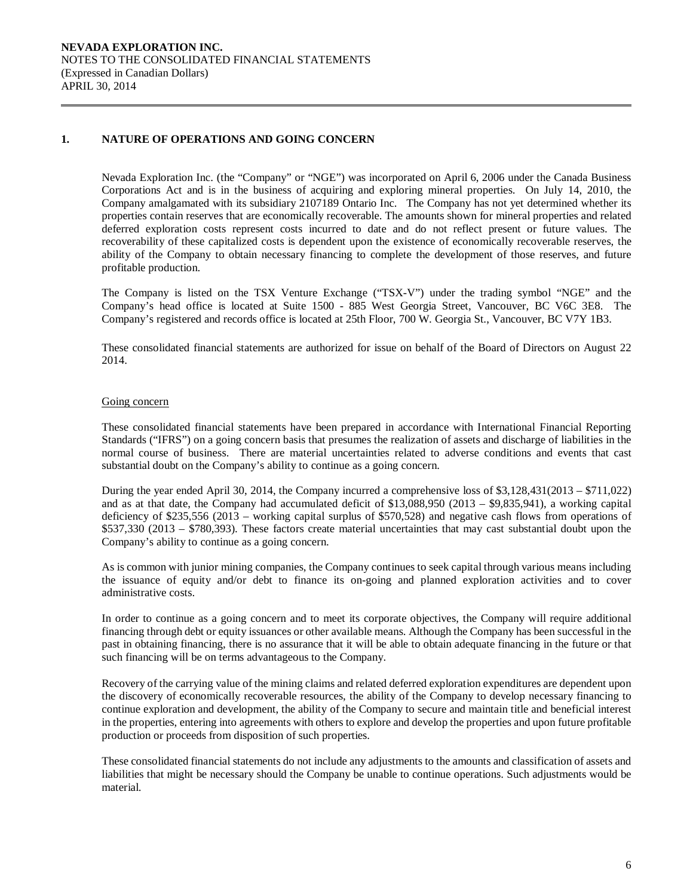# **1. NATURE OF OPERATIONS AND GOING CONCERN**

Nevada Exploration Inc. (the "Company" or "NGE") was incorporated on April 6, 2006 under the Canada Business Corporations Act and is in the business of acquiring and exploring mineral properties. On July 14, 2010, the Company amalgamated with its subsidiary 2107189 Ontario Inc. The Company has not yet determined whether its properties contain reserves that are economically recoverable. The amounts shown for mineral properties and related deferred exploration costs represent costs incurred to date and do not reflect present or future values. The recoverability of these capitalized costs is dependent upon the existence of economically recoverable reserves, the ability of the Company to obtain necessary financing to complete the development of those reserves, and future profitable production.

The Company is listed on the TSX Venture Exchange ("TSX-V") under the trading symbol "NGE" and the Company's head office is located at Suite 1500 - 885 West Georgia Street, Vancouver, BC V6C 3E8. The Company's registered and records office is located at 25th Floor, 700 W. Georgia St., Vancouver, BC V7Y 1B3.

These consolidated financial statements are authorized for issue on behalf of the Board of Directors on August 22 2014.

## Going concern

These consolidated financial statements have been prepared in accordance with International Financial Reporting Standards ("IFRS") on a going concern basis that presumes the realization of assets and discharge of liabilities in the normal course of business. There are material uncertainties related to adverse conditions and events that cast substantial doubt on the Company's ability to continue as a going concern.

During the year ended April 30, 2014, the Company incurred a comprehensive loss of \$3,128,431(2013 – \$711,022) and as at that date, the Company had accumulated deficit of \$13,088,950 (2013 – \$9,835,941), a working capital deficiency of \$235,556 (2013 – working capital surplus of \$570,528) and negative cash flows from operations of \$537,330 (2013 – \$780,393). These factors create material uncertainties that may cast substantial doubt upon the Company's ability to continue as a going concern.

As is common with junior mining companies, the Company continues to seek capital through various means including the issuance of equity and/or debt to finance its on-going and planned exploration activities and to cover administrative costs.

In order to continue as a going concern and to meet its corporate objectives, the Company will require additional financing through debt or equity issuances or other available means. Although the Company has been successful in the past in obtaining financing, there is no assurance that it will be able to obtain adequate financing in the future or that such financing will be on terms advantageous to the Company.

Recovery of the carrying value of the mining claims and related deferred exploration expenditures are dependent upon the discovery of economically recoverable resources, the ability of the Company to develop necessary financing to continue exploration and development, the ability of the Company to secure and maintain title and beneficial interest in the properties, entering into agreements with others to explore and develop the properties and upon future profitable production or proceeds from disposition of such properties.

These consolidated financial statements do not include any adjustments to the amounts and classification of assets and liabilities that might be necessary should the Company be unable to continue operations. Such adjustments would be material.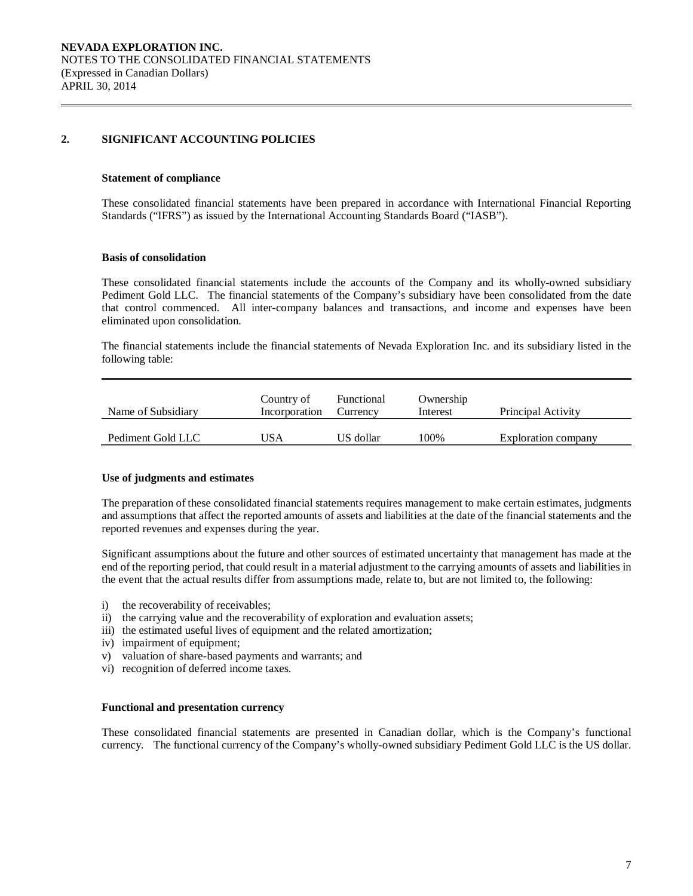# **2. SIGNIFICANT ACCOUNTING POLICIES**

## **Statement of compliance**

These consolidated financial statements have been prepared in accordance with International Financial Reporting Standards ("IFRS") as issued by the International Accounting Standards Board ("IASB").

## **Basis of consolidation**

These consolidated financial statements include the accounts of the Company and its wholly-owned subsidiary Pediment Gold LLC. The financial statements of the Company's subsidiary have been consolidated from the date that control commenced. All inter-company balances and transactions, and income and expenses have been eliminated upon consolidation.

The financial statements include the financial statements of Nevada Exploration Inc. and its subsidiary listed in the following table:

| Name of Subsidiary | Country of<br>Incorporation | Functional<br>Currency | Ownership<br>Interest | Principal Activity  |
|--------------------|-----------------------------|------------------------|-----------------------|---------------------|
| Pediment Gold LLC  | JSA                         | US dollar              | 100%                  | Exploration company |

## **Use of judgments and estimates**

The preparation of these consolidated financial statements requires management to make certain estimates, judgments and assumptions that affect the reported amounts of assets and liabilities at the date of the financial statements and the reported revenues and expenses during the year.

Significant assumptions about the future and other sources of estimated uncertainty that management has made at the end of the reporting period, that could result in a material adjustment to the carrying amounts of assets and liabilities in the event that the actual results differ from assumptions made, relate to, but are not limited to, the following:

- i) the recoverability of receivables;
- ii) the carrying value and the recoverability of exploration and evaluation assets;
- iii) the estimated useful lives of equipment and the related amortization;
- iv) impairment of equipment;
- v) valuation of share-based payments and warrants; and
- vi) recognition of deferred income taxes.

## **Functional and presentation currency**

These consolidated financial statements are presented in Canadian dollar, which is the Company's functional currency. The functional currency of the Company's wholly-owned subsidiary Pediment Gold LLC is the US dollar.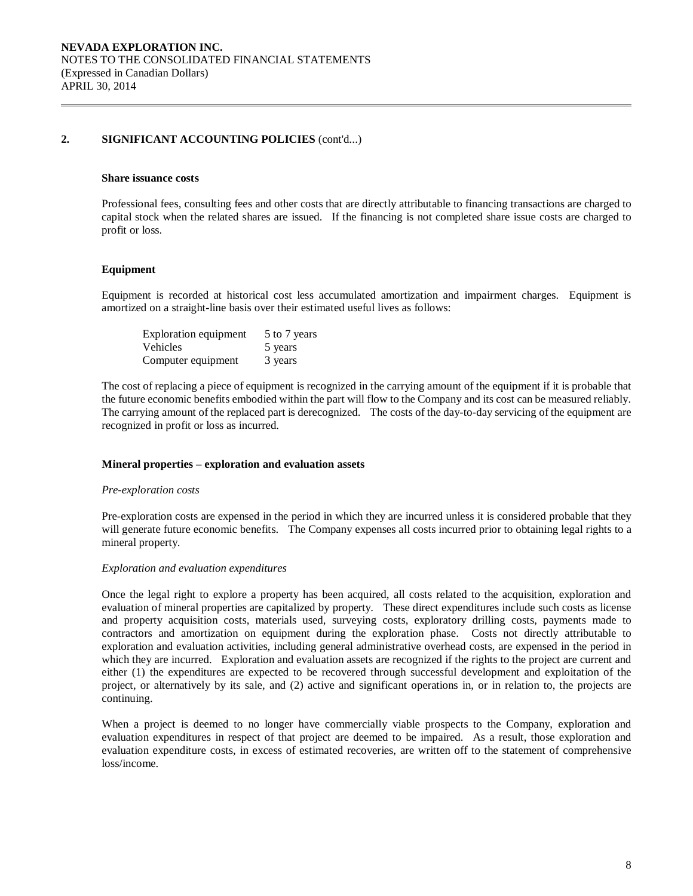#### **Share issuance costs**

Professional fees, consulting fees and other costs that are directly attributable to financing transactions are charged to capital stock when the related shares are issued. If the financing is not completed share issue costs are charged to profit or loss.

## **Equipment**

Equipment is recorded at historical cost less accumulated amortization and impairment charges. Equipment is amortized on a straight-line basis over their estimated useful lives as follows:

| <b>Exploration equipment</b> | 5 to 7 years |
|------------------------------|--------------|
| <b>Vehicles</b>              | 5 years      |
| Computer equipment           | 3 years      |

The cost of replacing a piece of equipment is recognized in the carrying amount of the equipment if it is probable that the future economic benefits embodied within the part will flow to the Company and its cost can be measured reliably. The carrying amount of the replaced part is derecognized. The costs of the day-to-day servicing of the equipment are recognized in profit or loss as incurred.

## **Mineral properties – exploration and evaluation assets**

## *Pre-exploration costs*

Pre-exploration costs are expensed in the period in which they are incurred unless it is considered probable that they will generate future economic benefits. The Company expenses all costs incurred prior to obtaining legal rights to a mineral property.

## *Exploration and evaluation expenditures*

Once the legal right to explore a property has been acquired, all costs related to the acquisition, exploration and evaluation of mineral properties are capitalized by property. These direct expenditures include such costs as license and property acquisition costs, materials used, surveying costs, exploratory drilling costs, payments made to contractors and amortization on equipment during the exploration phase. Costs not directly attributable to exploration and evaluation activities, including general administrative overhead costs, are expensed in the period in which they are incurred. Exploration and evaluation assets are recognized if the rights to the project are current and either (1) the expenditures are expected to be recovered through successful development and exploitation of the project, or alternatively by its sale, and (2) active and significant operations in, or in relation to, the projects are continuing.

When a project is deemed to no longer have commercially viable prospects to the Company, exploration and evaluation expenditures in respect of that project are deemed to be impaired. As a result, those exploration and evaluation expenditure costs, in excess of estimated recoveries, are written off to the statement of comprehensive loss/income.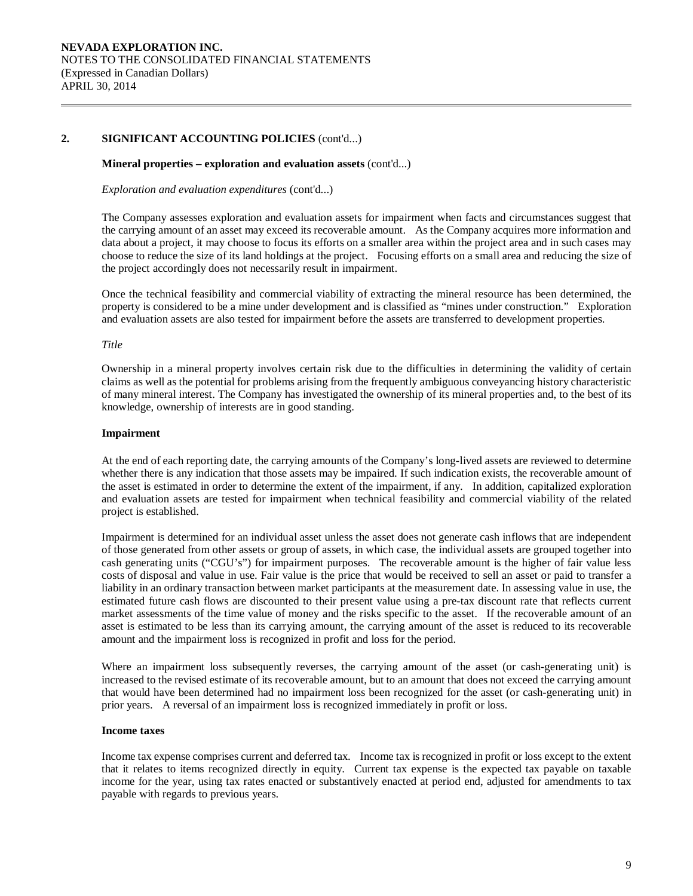#### **Mineral properties – exploration and evaluation assets** (cont'd...)

#### *Exploration and evaluation expenditures* (cont'd...)

The Company assesses exploration and evaluation assets for impairment when facts and circumstances suggest that the carrying amount of an asset may exceed its recoverable amount. As the Company acquires more information and data about a project, it may choose to focus its efforts on a smaller area within the project area and in such cases may choose to reduce the size of its land holdings at the project. Focusing efforts on a small area and reducing the size of the project accordingly does not necessarily result in impairment.

Once the technical feasibility and commercial viability of extracting the mineral resource has been determined, the property is considered to be a mine under development and is classified as "mines under construction." Exploration and evaluation assets are also tested for impairment before the assets are transferred to development properties.

#### *Title*

Ownership in a mineral property involves certain risk due to the difficulties in determining the validity of certain claims as well as the potential for problems arising from the frequently ambiguous conveyancing history characteristic of many mineral interest. The Company has investigated the ownership of its mineral properties and, to the best of its knowledge, ownership of interests are in good standing.

#### **Impairment**

At the end of each reporting date, the carrying amounts of the Company's long-lived assets are reviewed to determine whether there is any indication that those assets may be impaired. If such indication exists, the recoverable amount of the asset is estimated in order to determine the extent of the impairment, if any. In addition, capitalized exploration and evaluation assets are tested for impairment when technical feasibility and commercial viability of the related project is established.

Impairment is determined for an individual asset unless the asset does not generate cash inflows that are independent of those generated from other assets or group of assets, in which case, the individual assets are grouped together into cash generating units ("CGU's") for impairment purposes. The recoverable amount is the higher of fair value less costs of disposal and value in use. Fair value is the price that would be received to sell an asset or paid to transfer a liability in an ordinary transaction between market participants at the measurement date. In assessing value in use, the estimated future cash flows are discounted to their present value using a pre-tax discount rate that reflects current market assessments of the time value of money and the risks specific to the asset. If the recoverable amount of an asset is estimated to be less than its carrying amount, the carrying amount of the asset is reduced to its recoverable amount and the impairment loss is recognized in profit and loss for the period.

Where an impairment loss subsequently reverses, the carrying amount of the asset (or cash-generating unit) is increased to the revised estimate of its recoverable amount, but to an amount that does not exceed the carrying amount that would have been determined had no impairment loss been recognized for the asset (or cash-generating unit) in prior years. A reversal of an impairment loss is recognized immediately in profit or loss.

## **Income taxes**

Income tax expense comprises current and deferred tax. Income tax is recognized in profit or loss except to the extent that it relates to items recognized directly in equity. Current tax expense is the expected tax payable on taxable income for the year, using tax rates enacted or substantively enacted at period end, adjusted for amendments to tax payable with regards to previous years.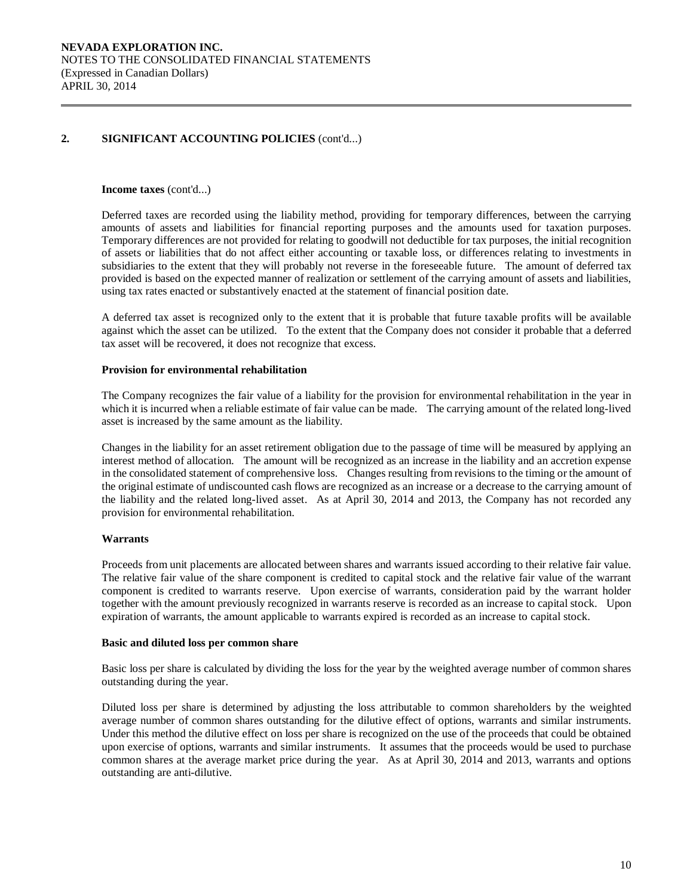## **Income taxes** (cont'd...)

Deferred taxes are recorded using the liability method, providing for temporary differences, between the carrying amounts of assets and liabilities for financial reporting purposes and the amounts used for taxation purposes. Temporary differences are not provided for relating to goodwill not deductible for tax purposes, the initial recognition of assets or liabilities that do not affect either accounting or taxable loss, or differences relating to investments in subsidiaries to the extent that they will probably not reverse in the foreseeable future. The amount of deferred tax provided is based on the expected manner of realization or settlement of the carrying amount of assets and liabilities, using tax rates enacted or substantively enacted at the statement of financial position date.

A deferred tax asset is recognized only to the extent that it is probable that future taxable profits will be available against which the asset can be utilized. To the extent that the Company does not consider it probable that a deferred tax asset will be recovered, it does not recognize that excess.

## **Provision for environmental rehabilitation**

The Company recognizes the fair value of a liability for the provision for environmental rehabilitation in the year in which it is incurred when a reliable estimate of fair value can be made. The carrying amount of the related long-lived asset is increased by the same amount as the liability.

Changes in the liability for an asset retirement obligation due to the passage of time will be measured by applying an interest method of allocation. The amount will be recognized as an increase in the liability and an accretion expense in the consolidated statement of comprehensive loss. Changes resulting from revisions to the timing or the amount of the original estimate of undiscounted cash flows are recognized as an increase or a decrease to the carrying amount of the liability and the related long-lived asset. As at April 30, 2014 and 2013, the Company has not recorded any provision for environmental rehabilitation.

# **Warrants**

Proceeds from unit placements are allocated between shares and warrants issued according to their relative fair value. The relative fair value of the share component is credited to capital stock and the relative fair value of the warrant component is credited to warrants reserve. Upon exercise of warrants, consideration paid by the warrant holder together with the amount previously recognized in warrants reserve is recorded as an increase to capital stock. Upon expiration of warrants, the amount applicable to warrants expired is recorded as an increase to capital stock.

## **Basic and diluted loss per common share**

Basic loss per share is calculated by dividing the loss for the year by the weighted average number of common shares outstanding during the year.

Diluted loss per share is determined by adjusting the loss attributable to common shareholders by the weighted average number of common shares outstanding for the dilutive effect of options, warrants and similar instruments. Under this method the dilutive effect on loss per share is recognized on the use of the proceeds that could be obtained upon exercise of options, warrants and similar instruments. It assumes that the proceeds would be used to purchase common shares at the average market price during the year. As at April 30, 2014 and 2013, warrants and options outstanding are anti-dilutive.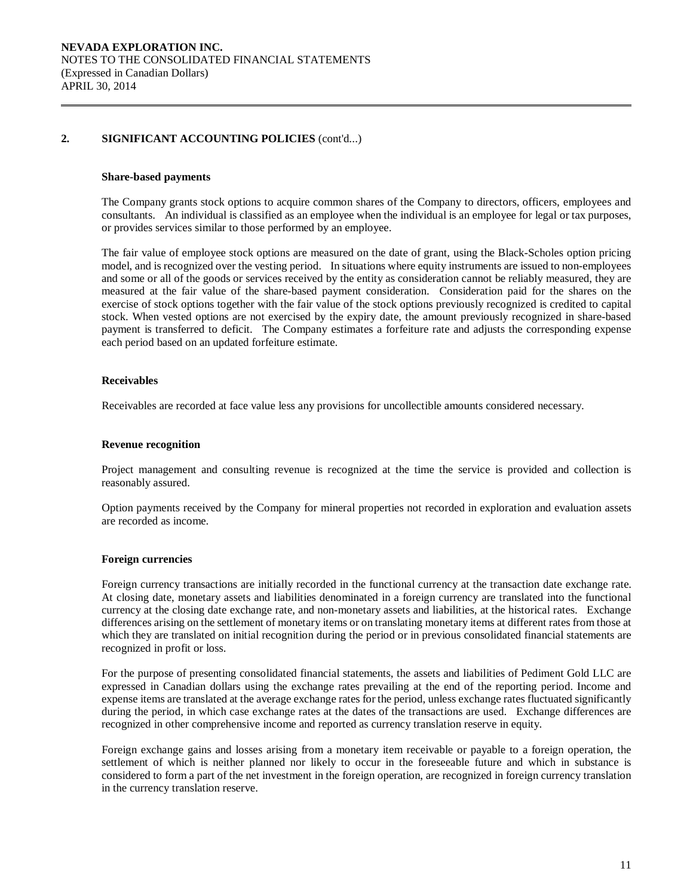#### **Share-based payments**

The Company grants stock options to acquire common shares of the Company to directors, officers, employees and consultants. An individual is classified as an employee when the individual is an employee for legal or tax purposes, or provides services similar to those performed by an employee.

The fair value of employee stock options are measured on the date of grant, using the Black-Scholes option pricing model, and is recognized over the vesting period. In situations where equity instruments are issued to non-employees and some or all of the goods or services received by the entity as consideration cannot be reliably measured, they are measured at the fair value of the share-based payment consideration. Consideration paid for the shares on the exercise of stock options together with the fair value of the stock options previously recognized is credited to capital stock. When vested options are not exercised by the expiry date, the amount previously recognized in share-based payment is transferred to deficit. The Company estimates a forfeiture rate and adjusts the corresponding expense each period based on an updated forfeiture estimate.

## **Receivables**

Receivables are recorded at face value less any provisions for uncollectible amounts considered necessary.

#### **Revenue recognition**

Project management and consulting revenue is recognized at the time the service is provided and collection is reasonably assured.

Option payments received by the Company for mineral properties not recorded in exploration and evaluation assets are recorded as income.

## **Foreign currencies**

Foreign currency transactions are initially recorded in the functional currency at the transaction date exchange rate. At closing date, monetary assets and liabilities denominated in a foreign currency are translated into the functional currency at the closing date exchange rate, and non-monetary assets and liabilities, at the historical rates. Exchange differences arising on the settlement of monetary items or on translating monetary items at different rates from those at which they are translated on initial recognition during the period or in previous consolidated financial statements are recognized in profit or loss.

For the purpose of presenting consolidated financial statements, the assets and liabilities of Pediment Gold LLC are expressed in Canadian dollars using the exchange rates prevailing at the end of the reporting period. Income and expense items are translated at the average exchange rates for the period, unless exchange rates fluctuated significantly during the period, in which case exchange rates at the dates of the transactions are used. Exchange differences are recognized in other comprehensive income and reported as currency translation reserve in equity.

Foreign exchange gains and losses arising from a monetary item receivable or payable to a foreign operation, the settlement of which is neither planned nor likely to occur in the foreseeable future and which in substance is considered to form a part of the net investment in the foreign operation, are recognized in foreign currency translation in the currency translation reserve.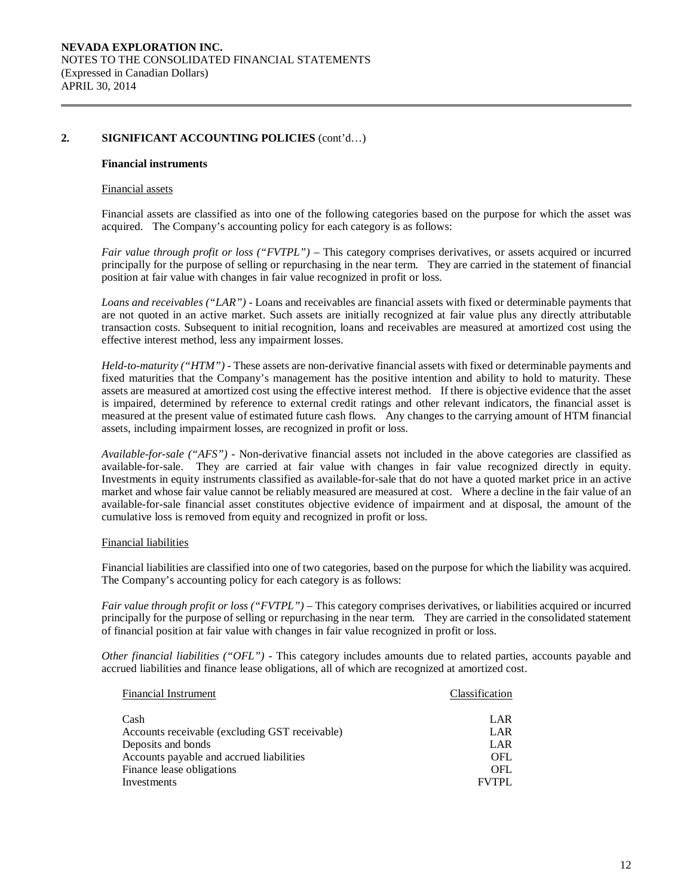#### **Financial instruments**

#### Financial assets

Financial assets are classified as into one of the following categories based on the purpose for which the asset was acquired. The Company's accounting policy for each category is as follows:

*Fair value through profit or loss ("FVTPL")* – This category comprises derivatives, or assets acquired or incurred principally for the purpose of selling or repurchasing in the near term. They are carried in the statement of financial position at fair value with changes in fair value recognized in profit or loss.

*Loans and receivables ("LAR") -* Loans and receivables are financial assets with fixed or determinable payments that are not quoted in an active market. Such assets are initially recognized at fair value plus any directly attributable transaction costs. Subsequent to initial recognition, loans and receivables are measured at amortized cost using the effective interest method, less any impairment losses.

*Held-to-maturity ("HTM") -* These assets are non-derivative financial assets with fixed or determinable payments and fixed maturities that the Company's management has the positive intention and ability to hold to maturity. These assets are measured at amortized cost using the effective interest method. If there is objective evidence that the asset is impaired, determined by reference to external credit ratings and other relevant indicators, the financial asset is measured at the present value of estimated future cash flows. Any changes to the carrying amount of HTM financial assets, including impairment losses, are recognized in profit or loss.

*Available-for-sale ("AFS") -* Non-derivative financial assets not included in the above categories are classified as available-for-sale. They are carried at fair value with changes in fair value recognized directly in equity. Investments in equity instruments classified as available-for-sale that do not have a quoted market price in an active market and whose fair value cannot be reliably measured are measured at cost. Where a decline in the fair value of an available-for-sale financial asset constitutes objective evidence of impairment and at disposal, the amount of the cumulative loss is removed from equity and recognized in profit or loss.

## Financial liabilities

Financial liabilities are classified into one of two categories, based on the purpose for which the liability was acquired. The Company's accounting policy for each category is as follows:

*Fair value through profit or loss ("FVTPL")* – This category comprises derivatives, or liabilities acquired or incurred principally for the purpose of selling or repurchasing in the near term. They are carried in the consolidated statement of financial position at fair value with changes in fair value recognized in profit or loss.

*Other financial liabilities ("OFL") -* This category includes amounts due to related parties, accounts payable and accrued liabilities and finance lease obligations, all of which are recognized at amortized cost.

| <b>Financial Instrument</b>                    | Classification |
|------------------------------------------------|----------------|
| Cash                                           | LAR.           |
| Accounts receivable (excluding GST receivable) | <b>LAR</b>     |
| Deposits and bonds                             | LAR            |
| Accounts payable and accrued liabilities       | OFL            |
| Finance lease obligations                      | <b>OFL</b>     |
| Investments                                    | <b>FVTPL</b>   |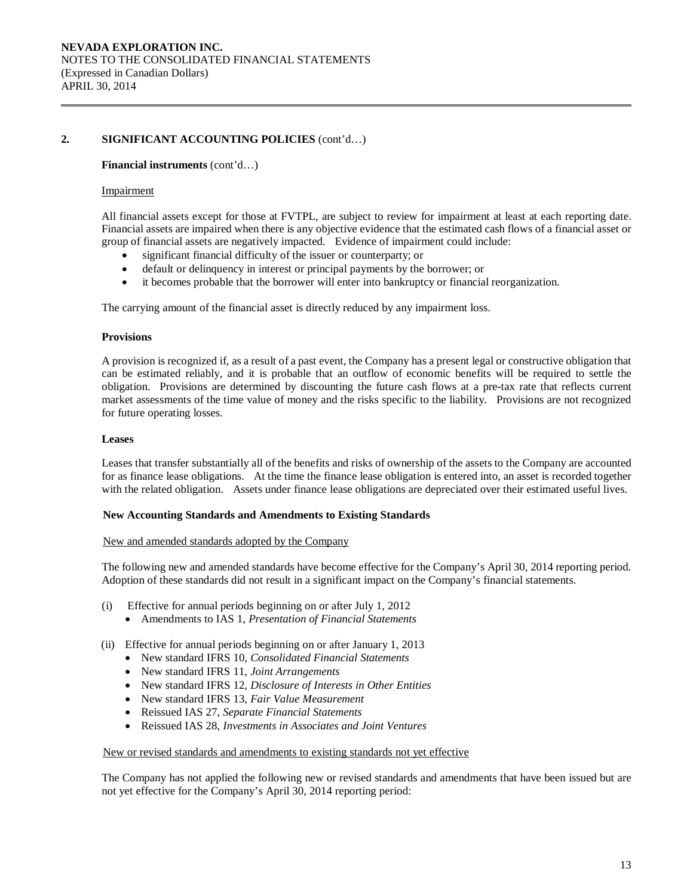## **Financial instruments** (cont'd…)

#### Impairment

All financial assets except for those at FVTPL, are subject to review for impairment at least at each reporting date. Financial assets are impaired when there is any objective evidence that the estimated cash flows of a financial asset or group of financial assets are negatively impacted. Evidence of impairment could include:

- significant financial difficulty of the issuer or counterparty; or
- default or delinquency in interest or principal payments by the borrower; or
- it becomes probable that the borrower will enter into bankruptcy or financial reorganization.

The carrying amount of the financial asset is directly reduced by any impairment loss.

## **Provisions**

A provision is recognized if, as a result of a past event, the Company has a present legal or constructive obligation that can be estimated reliably, and it is probable that an outflow of economic benefits will be required to settle the obligation. Provisions are determined by discounting the future cash flows at a pre-tax rate that reflects current market assessments of the time value of money and the risks specific to the liability. Provisions are not recognized for future operating losses.

## **Leases**

Leases that transfer substantially all of the benefits and risks of ownership of the assets to the Company are accounted for as finance lease obligations. At the time the finance lease obligation is entered into, an asset is recorded together with the related obligation. Assets under finance lease obligations are depreciated over their estimated useful lives.

## **New Accounting Standards and Amendments to Existing Standards**

# New and amended standards adopted by the Company

The following new and amended standards have become effective for the Company's April 30, 2014 reporting period. Adoption of these standards did not result in a significant impact on the Company's financial statements.

- (i) Effective for annual periods beginning on or after July 1, 2012
	- Amendments to IAS 1, *Presentation of Financial Statements*
- (ii) Effective for annual periods beginning on or after January 1, 2013
	- New standard IFRS 10, *Consolidated Financial Statements*
	- New standard IFRS 11, *Joint Arrangements*
	- New standard IFRS 12, *Disclosure of Interests in Other Entities*
	- New standard IFRS 13, *Fair Value Measurement*
	- Reissued IAS 27, *Separate Financial Statements*
	- Reissued IAS 28, *Investments in Associates and Joint Ventures*

## New or revised standards and amendments to existing standards not yet effective

The Company has not applied the following new or revised standards and amendments that have been issued but are not yet effective for the Company's April 30, 2014 reporting period: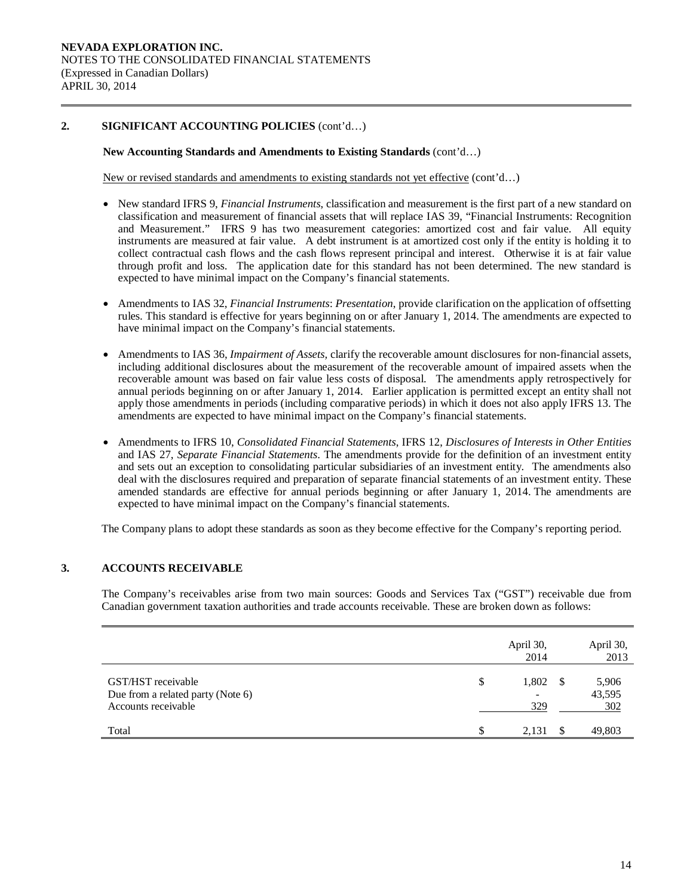## **New Accounting Standards and Amendments to Existing Standards** (cont'd…)

New or revised standards and amendments to existing standards not yet effective (cont'd…)

- New standard IFRS 9, *Financial Instruments*, classification and measurement is the first part of a new standard on classification and measurement of financial assets that will replace IAS 39, "Financial Instruments: Recognition and Measurement." IFRS 9 has two measurement categories: amortized cost and fair value. All equity instruments are measured at fair value. A debt instrument is at amortized cost only if the entity is holding it to collect contractual cash flows and the cash flows represent principal and interest. Otherwise it is at fair value through profit and loss. The application date for this standard has not been determined. The new standard is expected to have minimal impact on the Company's financial statements.
- Amendments to IAS 32, *Financial Instruments*: *Presentation*, provide clarification on the application of offsetting rules. This standard is effective for years beginning on or after January 1, 2014. The amendments are expected to have minimal impact on the Company's financial statements.
- Amendments to IAS 36, *Impairment of Assets,* clarify the recoverable amount disclosures for non-financial assets, including additional disclosures about the measurement of the recoverable amount of impaired assets when the recoverable amount was based on fair value less costs of disposal. The amendments apply retrospectively for annual periods beginning on or after January 1, 2014. Earlier application is permitted except an entity shall not apply those amendments in periods (including comparative periods) in which it does not also apply IFRS 13. The amendments are expected to have minimal impact on the Company's financial statements.
- Amendments to IFRS 10, *Consolidated Financial Statements*, IFRS 12, *Disclosures of Interests in Other Entities*  and IAS 27, *Separate Financial Statements*. The amendments provide for the definition of an investment entity and sets out an exception to consolidating particular subsidiaries of an investment entity. The amendments also deal with the disclosures required and preparation of separate financial statements of an investment entity. These amended standards are effective for annual periods beginning or after January 1, 2014. The amendments are expected to have minimal impact on the Company's financial statements.

The Company plans to adopt these standards as soon as they become effective for the Company's reporting period.

# **3. ACCOUNTS RECEIVABLE**

The Company's receivables arise from two main sources: Goods and Services Tax ("GST") receivable due from Canadian government taxation authorities and trade accounts receivable. These are broken down as follows:

|                                                                                | April 30,<br>2014  | April 30,<br>2013      |
|--------------------------------------------------------------------------------|--------------------|------------------------|
| GST/HST receivable<br>Due from a related party (Note 6)<br>Accounts receivable | \$<br>1,802<br>329 | 5,906<br>43,595<br>302 |
| Total                                                                          | \$<br>2,131        | 49,803                 |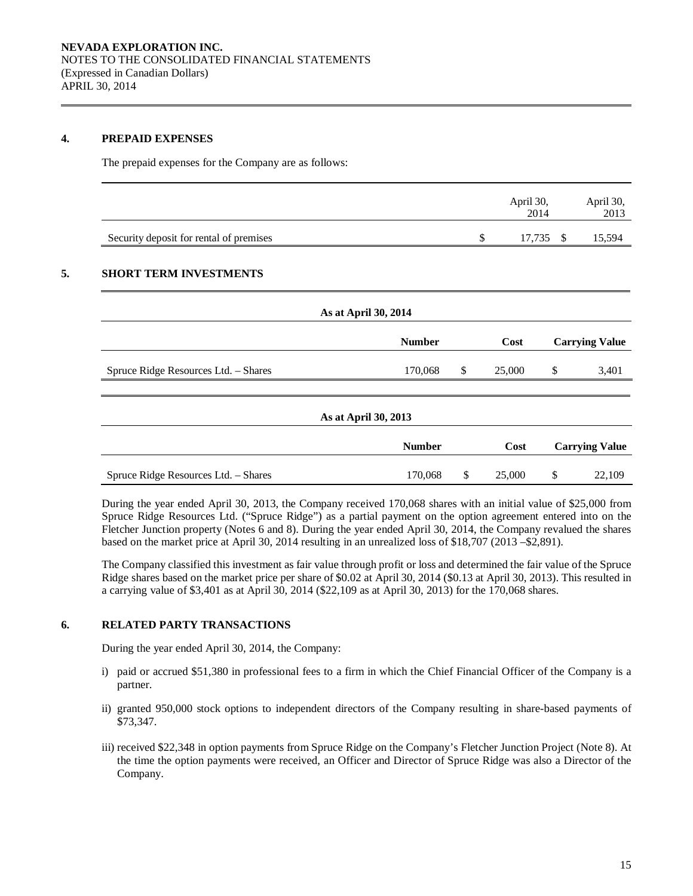## **4. PREPAID EXPENSES**

The prepaid expenses for the Company are as follows:

|                                         | April 30,<br>2014 | April 30,<br>2013 |
|-----------------------------------------|-------------------|-------------------|
| Security deposit for rental of premises | 17.735 \$         | 15,594            |

# **5. SHORT TERM INVESTMENTS**

| As at April 30, 2014                 |                      |    |        |    |                       |  |  |
|--------------------------------------|----------------------|----|--------|----|-----------------------|--|--|
|                                      | <b>Number</b>        |    | Cost   |    | <b>Carrying Value</b> |  |  |
| Spruce Ridge Resources Ltd. - Shares | 170,068              | \$ | 25,000 | \$ | 3,401                 |  |  |
|                                      | As at April 30, 2013 |    |        |    |                       |  |  |
|                                      | <b>Number</b>        |    | Cost   |    | <b>Carrying Value</b> |  |  |
| Spruce Ridge Resources Ltd. - Shares | 170,068              | \$ | 25,000 | \$ | 22,109                |  |  |

During the year ended April 30, 2013, the Company received 170,068 shares with an initial value of \$25,000 from Spruce Ridge Resources Ltd. ("Spruce Ridge") as a partial payment on the option agreement entered into on the Fletcher Junction property (Notes 6 and 8). During the year ended April 30, 2014, the Company revalued the shares based on the market price at April 30, 2014 resulting in an unrealized loss of \$18,707 (2013 –\$2,891).

The Company classified this investment as fair value through profit or loss and determined the fair value of the Spruce Ridge shares based on the market price per share of \$0.02 at April 30, 2014 (\$0.13 at April 30, 2013). This resulted in a carrying value of \$3,401 as at April 30, 2014 (\$22,109 as at April 30, 2013) for the 170,068 shares.

# **6. RELATED PARTY TRANSACTIONS**

During the year ended April 30, 2014, the Company:

- i) paid or accrued \$51,380 in professional fees to a firm in which the Chief Financial Officer of the Company is a partner.
- ii) granted 950,000 stock options to independent directors of the Company resulting in share-based payments of \$73,347.
- iii) received \$22,348 in option payments from Spruce Ridge on the Company's Fletcher Junction Project (Note 8). At the time the option payments were received, an Officer and Director of Spruce Ridge was also a Director of the Company.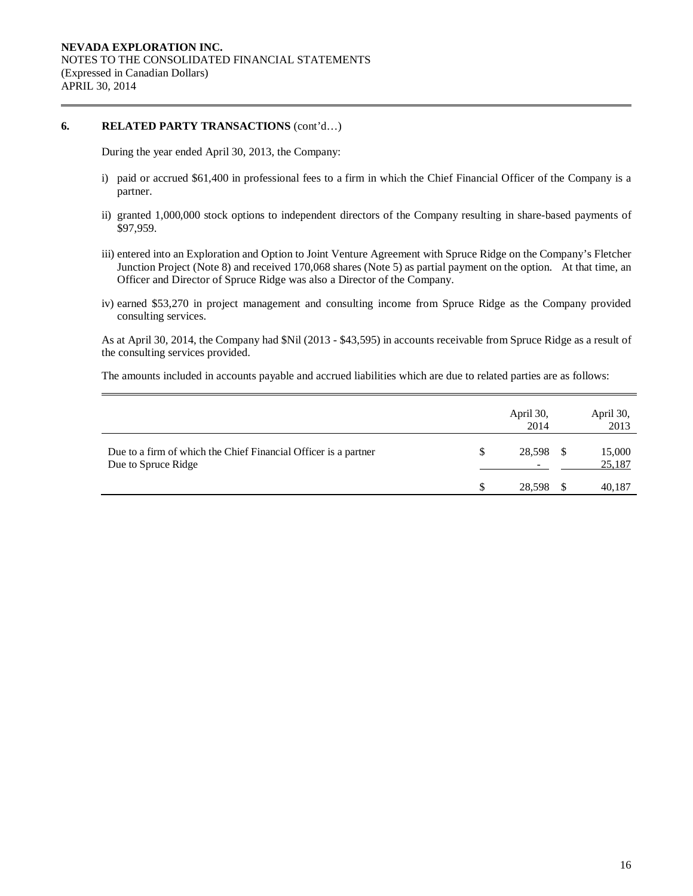## **6. RELATED PARTY TRANSACTIONS** (cont'd…)

During the year ended April 30, 2013, the Company:

- i) paid or accrued \$61,400 in professional fees to a firm in which the Chief Financial Officer of the Company is a partner.
- ii) granted 1,000,000 stock options to independent directors of the Company resulting in share-based payments of \$97,959.
- iii) entered into an Exploration and Option to Joint Venture Agreement with Spruce Ridge on the Company's Fletcher Junction Project (Note 8) and received 170,068 shares (Note 5) as partial payment on the option. At that time, an Officer and Director of Spruce Ridge was also a Director of the Company.
- iv) earned \$53,270 in project management and consulting income from Spruce Ridge as the Company provided consulting services.

As at April 30, 2014, the Company had \$Nil (2013 - \$43,595) in accounts receivable from Spruce Ridge as a result of the consulting services provided.

The amounts included in accounts payable and accrued liabilities which are due to related parties are as follows:

|                                                                                        | April 30,<br>2014 | April 30,<br>2013 |
|----------------------------------------------------------------------------------------|-------------------|-------------------|
| Due to a firm of which the Chief Financial Officer is a partner<br>Due to Spruce Ridge | 28,598            | 15,000<br>25,187  |
|                                                                                        | 28,598            | 40,187            |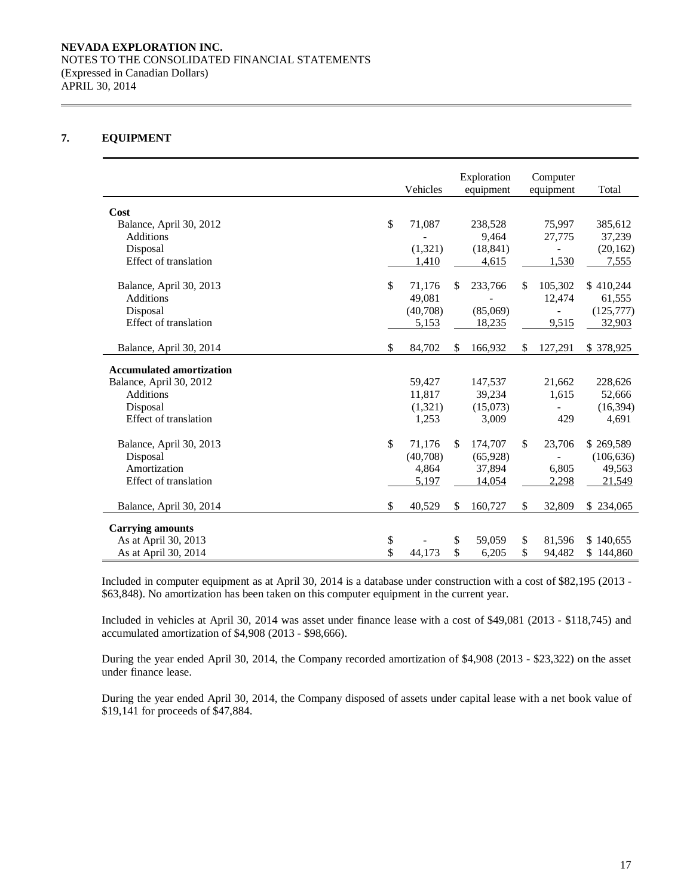# **7. EQUIPMENT**

|                                 | Vehicles     |     | Exploration<br>equipment |              | Computer<br>equipment | Total      |
|---------------------------------|--------------|-----|--------------------------|--------------|-----------------------|------------|
| Cost                            |              |     |                          |              |                       |            |
| Balance, April 30, 2012         | \$<br>71,087 |     | 238,528                  |              | 75,997                | 385,612    |
| Additions                       |              |     | 9.464                    |              | 27,775                | 37,239     |
| Disposal                        | (1,321)      |     | (18, 841)                |              | $\overline{a}$        | (20, 162)  |
| Effect of translation           | 1,410        |     | 4,615                    |              | 1,530                 | 7,555      |
| Balance, April 30, 2013         | \$<br>71,176 | \$. | 233,766                  | \$.          | 105,302               | \$410,244  |
| <b>Additions</b>                | 49,081       |     |                          |              | 12,474                | 61,555     |
| Disposal                        | (40,708)     |     | (85,069)                 |              |                       | (125,777)  |
| Effect of translation           | 5,153        |     | 18,235                   |              | 9,515                 | 32,903     |
|                                 |              |     |                          |              |                       |            |
| Balance, April 30, 2014         | \$<br>84,702 | \$  | 166,932                  | \$           | 127,291               | \$ 378,925 |
| <b>Accumulated amortization</b> |              |     |                          |              |                       |            |
| Balance, April 30, 2012         | 59,427       |     | 147,537                  |              | 21,662                | 228,626    |
| <b>Additions</b>                | 11,817       |     | 39,234                   |              | 1,615                 | 52,666     |
| Disposal                        | (1,321)      |     | (15,073)                 |              |                       | (16, 394)  |
| Effect of translation           | 1,253        |     | 3,009                    |              | 429                   | 4,691      |
| Balance, April 30, 2013         | \$<br>71,176 | \$  | 174,707                  | \$.          | 23,706                | \$269,589  |
| Disposal                        | (40,708)     |     | (65, 928)                |              |                       | (106, 636) |
| Amortization                    | 4,864        |     | 37,894                   |              | 6,805                 | 49,563     |
| Effect of translation           | 5,197        |     | 14,054                   |              | 2,298                 | 21,549     |
|                                 |              |     |                          |              |                       |            |
| Balance, April 30, 2014         | \$<br>40,529 | \$  | 160,727                  | $\mathbb{S}$ | 32,809                | \$234,065  |
| <b>Carrying amounts</b>         |              |     |                          |              |                       |            |
| As at April 30, 2013            | \$           | \$  | 59,059                   | \$           | 81,596                | \$140,655  |
| As at April 30, 2014            | \$<br>44,173 | \$  | 6,205                    | \$           | 94,482                | \$144,860  |

Included in computer equipment as at April 30, 2014 is a database under construction with a cost of \$82,195 (2013 - \$63,848). No amortization has been taken on this computer equipment in the current year.

Included in vehicles at April 30, 2014 was asset under finance lease with a cost of \$49,081 (2013 - \$118,745) and accumulated amortization of \$4,908 (2013 - \$98,666).

During the year ended April 30, 2014, the Company recorded amortization of \$4,908 (2013 - \$23,322) on the asset under finance lease.

During the year ended April 30, 2014, the Company disposed of assets under capital lease with a net book value of \$19,141 for proceeds of \$47,884.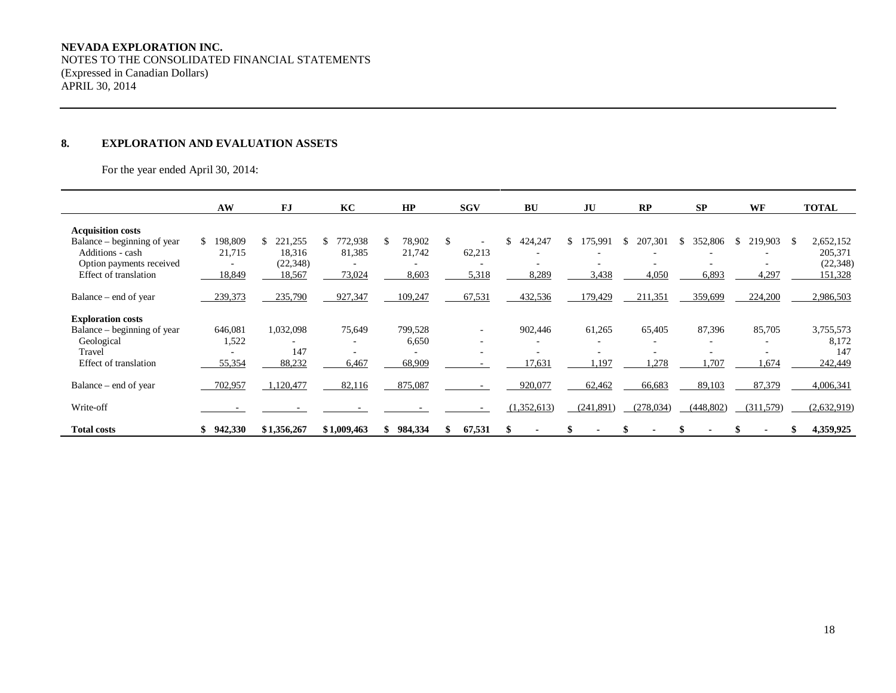# **NEVADA EXPLORATION INC.**

NOTES TO THE CONSOLIDATED FINANCIAL STATEMENTS (Expressed in Canadian Dollars) APRIL 30, 2014

# **8. EXPLORATION AND EVALUATION ASSETS**

For the year ended April 30, 2014:

|                             | AW            | FJ            | KC            | HP            | <b>SGV</b>   | <b>BU</b>      | JU            | RP             | SP            | WF            | <b>TOTAL</b>     |
|-----------------------------|---------------|---------------|---------------|---------------|--------------|----------------|---------------|----------------|---------------|---------------|------------------|
| <b>Acquisition costs</b>    |               |               |               |               |              |                |               |                |               |               |                  |
| Balance - beginning of year | 198,809<br>\$ | 221,255<br>S. | 772,938<br>S. | 78,902<br>-S  | \$.          | \$.<br>424,247 | 175.991<br>S. | 207.301<br>-SS | 352,806<br>S. | 219,903<br>-S | 2,652,152<br>-SS |
| Additions - cash            | 21,715        | 18,316        | 81,385        | 21,742        | 62,213       |                |               |                |               |               | 205,371          |
| Option payments received    |               | (22, 348)     |               | ۰             |              |                |               |                |               |               | (22, 348)        |
| Effect of translation       | 18,849        | 18,567        | 73,024        | 8,603         | 5,318        | 8,289          | 3,438         | 4,050          | 6,893         | 4,297         | 151,328          |
|                             |               |               |               |               |              |                |               |                |               |               |                  |
| Balance – end of year       | 239,373       | 235,790       | 927,347       | 109,247       | 67,531       | 432,536        | 179,429       | 211,351        | 359,699       | 224,200       | 2,986,503        |
|                             |               |               |               |               |              |                |               |                |               |               |                  |
| <b>Exploration costs</b>    |               |               |               |               |              |                |               |                |               |               |                  |
| Balance – beginning of year | 646,081       | 1,032,098     | 75,649        | 799,528       |              | 902,446        | 61,265        | 65,405         | 87,396        | 85,705        | 3,755,573        |
| Geological                  | 1,522         |               |               | 6,650         |              |                |               |                |               |               | 8,172            |
| Travel                      |               | 147           |               | ٠             |              |                |               |                |               |               | 147              |
| Effect of translation       | 55,354        | 88,232        | 6,467         | 68,909        |              | 17,631         | 1,197         | 1,278          | 1,707         | 1,674         | 242,449          |
|                             |               |               |               |               |              |                |               |                |               |               |                  |
| Balance – end of year       | 702,957       | 1,120,477     | 82,116        | 875,087       |              | 920,077        | 62,462        | 66,683         | 89,103        | 87,379        | 4,006,341        |
|                             |               |               |               |               |              |                |               |                |               |               |                  |
| Write-off                   |               |               |               |               |              | (1,352,613)    | (241, 891)    | (278, 034)     | (448, 802)    | (311,579)     | (2,632,919)      |
|                             |               |               |               |               |              |                |               |                |               |               |                  |
| <b>Total costs</b>          | 942,330<br>\$ | \$1,356,267   | \$1,009,463   | 984,334<br>\$ | 67,531<br>\$ |                |               |                |               |               | 4,359,925        |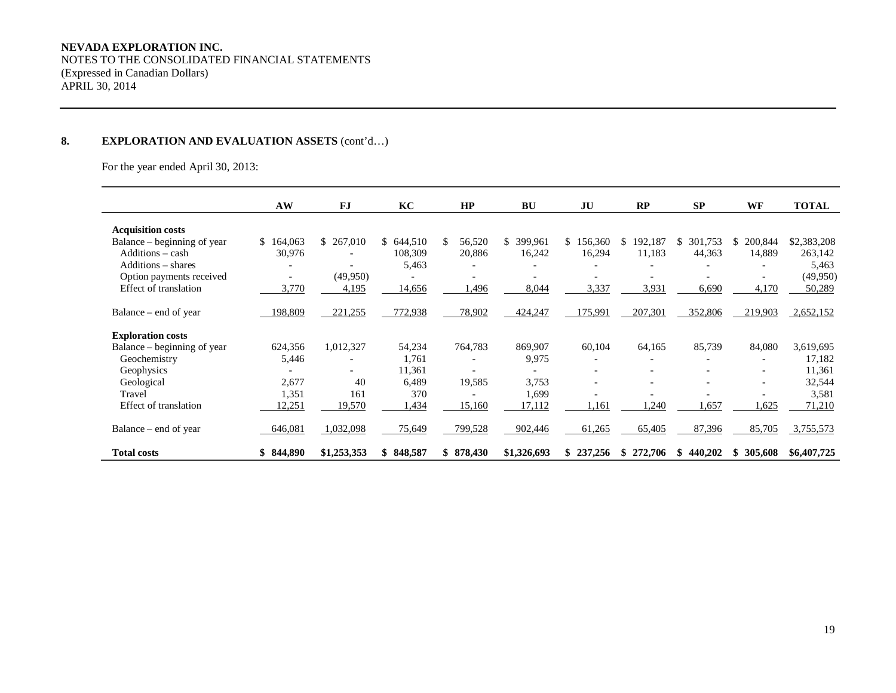NOTES TO THE CONSOLIDATED FINANCIAL STATEMENTS (Expressed in Canadian Dollars) APRIL 30, 2014

# 8. **EXPLORATION AND EVALUATION ASSETS** (cont'd...)

For the year ended April 30, 2013:

|                             | AW                       | <b>FJ</b>   | KC        | HP           | <b>BU</b>     | JU            | RP             | <b>SP</b>     | WF                       | <b>TOTAL</b> |
|-----------------------------|--------------------------|-------------|-----------|--------------|---------------|---------------|----------------|---------------|--------------------------|--------------|
| <b>Acquisition costs</b>    |                          |             |           |              |               |               |                |               |                          |              |
| Balance – beginning of year | \$164,063                | \$267,010   | \$644,510 | 56,520<br>S. | 399,961<br>S. | \$156,360     | 192,187<br>S.  | 301,753<br>S. | 200,844<br>\$.           | \$2,383,208  |
| Additions - cash            | 30,976                   |             | 108,309   | 20,886       | 16,242        | 16,294        | 11,183         | 44,363        | 14,889                   | 263,142      |
| Additions – shares          |                          |             | 5,463     |              |               |               |                |               |                          | 5,463        |
| Option payments received    | $\overline{\phantom{0}}$ | (49,950)    |           |              |               |               |                |               |                          | (49,950)     |
| Effect of translation       | 3,770                    | 4,195       | 14,656    | ,496         | 8,044         | 3,337         | 3,931          | 6,690         | 4,170                    | 50,289       |
|                             |                          |             |           |              |               |               |                |               |                          |              |
| Balance – end of year       | 198,809                  | 221,255     | 772,938   | 78,902       | 424,247       | 175,991       | 207,301        | 352,806       | 219,903                  | 2,652,152    |
|                             |                          |             |           |              |               |               |                |               |                          |              |
| <b>Exploration costs</b>    |                          |             |           |              |               |               |                |               |                          |              |
| Balance – beginning of year | 624,356                  | 1,012,327   | 54,234    | 764,783      | 869,907       | 60,104        | 64,165         | 85,739        | 84,080                   | 3,619,695    |
| Geochemistry                | 5,446                    |             | 1,761     |              | 9,975         |               |                |               |                          | 17,182       |
| Geophysics                  |                          |             | 11,361    |              |               |               |                |               | $\overline{\phantom{a}}$ | 11,361       |
| Geological                  | 2,677                    | 40          | 6,489     | 19,585       | 3,753         |               |                |               |                          | 32,544       |
| Travel                      | 1,351                    | 161         | 370       |              | 1,699         |               |                |               |                          | 3,581        |
| Effect of translation       | 12,251                   | 19,570      | 1,434     | 15,160       | 17,112        | 1,161         | 1,240          | 1,657         | 1,625                    | 71,210       |
|                             |                          |             |           |              |               |               |                |               |                          |              |
| Balance – end of year       | 646,081                  | 1,032,098   | 75,649    | 799,528      | 902,446       | 61,265        | 65,405         | 87,396        | 85,705                   | 3,755,573    |
|                             |                          |             |           |              |               |               |                |               |                          |              |
| <b>Total costs</b>          | 844,890<br>\$            | \$1,253,353 | \$848,587 | \$878,430    | \$1,326,693   | 237,256<br>\$ | 272,706<br>SS. | 440,202       | 305,608<br>S             | \$6,407,725  |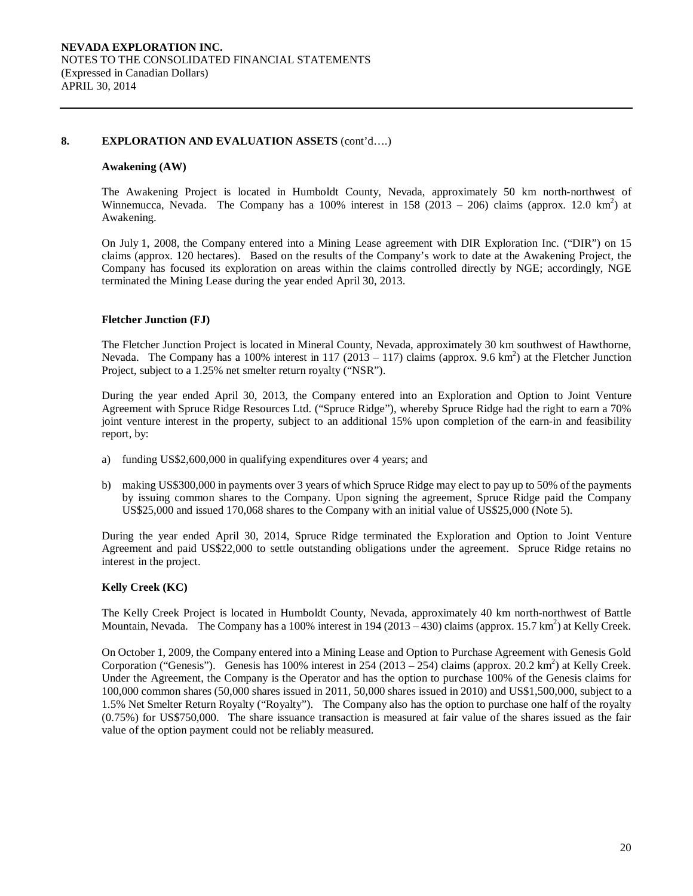## **8. EXPLORATION AND EVALUATION ASSETS** (cont'd….)

## **Awakening (AW)**

The Awakening Project is located in Humboldt County, Nevada, approximately 50 km north-northwest of Winnemucca, Nevada. The Company has a 100% interest in 158 (2013 - 206) claims (approx. 12.0 km<sup>2</sup>) at Awakening.

On July 1, 2008, the Company entered into a Mining Lease agreement with DIR Exploration Inc. ("DIR") on 15 claims (approx. 120 hectares). Based on the results of the Company's work to date at the Awakening Project, the Company has focused its exploration on areas within the claims controlled directly by NGE; accordingly, NGE terminated the Mining Lease during the year ended April 30, 2013.

# **Fletcher Junction (FJ)**

The Fletcher Junction Project is located in Mineral County, Nevada, approximately 30 km southwest of Hawthorne, Nevada. The Company has a 100% interest in 117 (2013 – 117) claims (approx. 9.6 km<sup>2</sup>) at the Fletcher Junction Project, subject to a 1.25% net smelter return royalty ("NSR").

During the year ended April 30, 2013, the Company entered into an Exploration and Option to Joint Venture Agreement with Spruce Ridge Resources Ltd. ("Spruce Ridge"), whereby Spruce Ridge had the right to earn a 70% joint venture interest in the property, subject to an additional 15% upon completion of the earn-in and feasibility report, by:

- a) funding US\$2,600,000 in qualifying expenditures over 4 years; and
- b) making US\$300,000 in payments over 3 years of which Spruce Ridge may elect to pay up to 50% of the payments by issuing common shares to the Company. Upon signing the agreement, Spruce Ridge paid the Company US\$25,000 and issued 170,068 shares to the Company with an initial value of US\$25,000 (Note 5).

During the year ended April 30, 2014, Spruce Ridge terminated the Exploration and Option to Joint Venture Agreement and paid US\$22,000 to settle outstanding obligations under the agreement. Spruce Ridge retains no interest in the project.

# **Kelly Creek (KC)**

The Kelly Creek Project is located in Humboldt County, Nevada, approximately 40 km north-northwest of Battle Mountain, Nevada. The Company has a 100% interest in 194 (2013 – 430) claims (approx. 15.7 km<sup>2</sup>) at Kelly Creek.

On October 1, 2009, the Company entered into a Mining Lease and Option to Purchase Agreement with Genesis Gold Corporation ("Genesis"). Genesis has 100% interest in 254 (2013 – 254) claims (approx. 20.2 km<sup>2</sup>) at Kelly Creek. Under the Agreement, the Company is the Operator and has the option to purchase 100% of the Genesis claims for 100,000 common shares (50,000 shares issued in 2011, 50,000 shares issued in 2010) and US\$1,500,000, subject to a 1.5% Net Smelter Return Royalty ("Royalty"). The Company also has the option to purchase one half of the royalty (0.75%) for US\$750,000. The share issuance transaction is measured at fair value of the shares issued as the fair value of the option payment could not be reliably measured.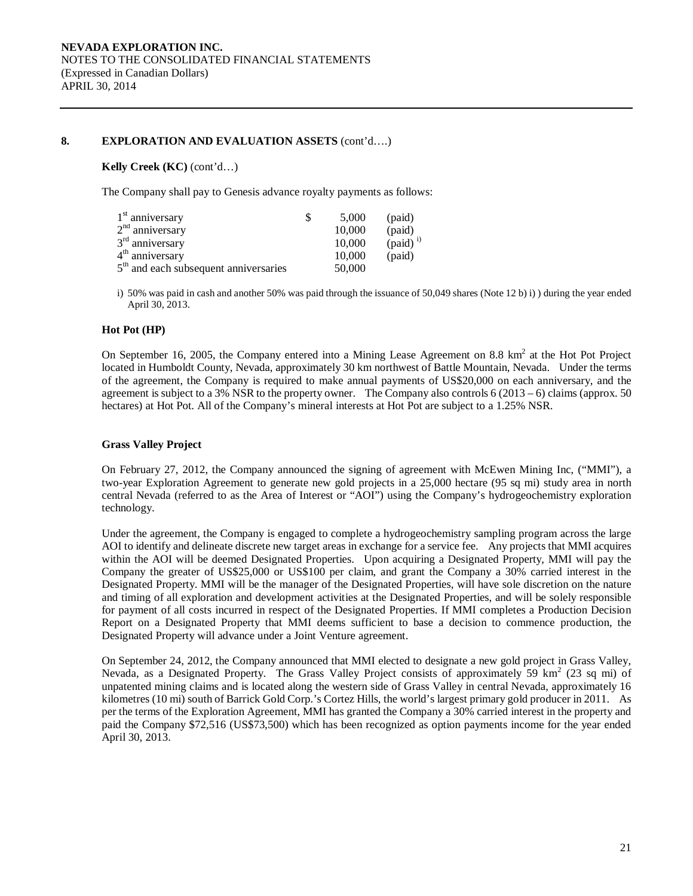## **8. EXPLORATION AND EVALUATION ASSETS** (cont'd….)

## **Kelly Creek (KC)** (cont'd…)

The Company shall pay to Genesis advance royalty payments as follows:

| $1st$ anniversary                       | 5.000  | (paid)               |
|-----------------------------------------|--------|----------------------|
| $2nd$ anniversary                       | 10,000 | (paid)               |
| 3 <sup>rd</sup> anniversary             | 10,000 | (paid) <sup>i)</sup> |
| 4 <sup>th</sup> anniversary             | 10,000 | (paid)               |
| $5th$ and each subsequent anniversaries | 50,000 |                      |

i) 50% was paid in cash and another 50% was paid through the issuance of 50,049 shares (Note 12 b) i) ) during the year ended April 30, 2013.

# **Hot Pot (HP)**

On September 16, 2005, the Company entered into a Mining Lease Agreement on 8.8  $km^2$  at the Hot Project located in Humboldt County, Nevada, approximately 30 km northwest of Battle Mountain, Nevada. Under the terms of the agreement, the Company is required to make annual payments of US\$20,000 on each anniversary, and the agreement is subject to a 3% NSR to the property owner. The Company also controls 6 (2013 – 6) claims (approx. 50 hectares) at Hot Pot. All of the Company's mineral interests at Hot Pot are subject to a 1.25% NSR.

## **Grass Valley Project**

On February 27, 2012, the Company announced the signing of agreement with McEwen Mining Inc, ("MMI"), a two-year Exploration Agreement to generate new gold projects in a 25,000 hectare (95 sq mi) study area in north central Nevada (referred to as the Area of Interest or "AOI") using the Company's hydrogeochemistry exploration technology.

Under the agreement, the Company is engaged to complete a hydrogeochemistry sampling program across the large AOI to identify and delineate discrete new target areas in exchange for a service fee. Any projects that MMI acquires within the AOI will be deemed Designated Properties. Upon acquiring a Designated Property, MMI will pay the Company the greater of US\$25,000 or US\$100 per claim, and grant the Company a 30% carried interest in the Designated Property. MMI will be the manager of the Designated Properties, will have sole discretion on the nature and timing of all exploration and development activities at the Designated Properties, and will be solely responsible for payment of all costs incurred in respect of the Designated Properties. If MMI completes a Production Decision Report on a Designated Property that MMI deems sufficient to base a decision to commence production, the Designated Property will advance under a Joint Venture agreement.

On September 24, 2012, the Company announced that MMI elected to designate a new gold project in Grass Valley, Nevada, as a Designated Property. The Grass Valley Project consists of approximately 59 km<sup>2</sup> (23 sq mi) of unpatented mining claims and is located along the western side of Grass Valley in central Nevada, approximately 16 kilometres (10 mi) south of Barrick Gold Corp.'s Cortez Hills, the world's largest primary gold producer in 2011. As per the terms of the Exploration Agreement, MMI has granted the Company a 30% carried interest in the property and paid the Company \$72,516 (US\$73,500) which has been recognized as option payments income for the year ended April 30, 2013.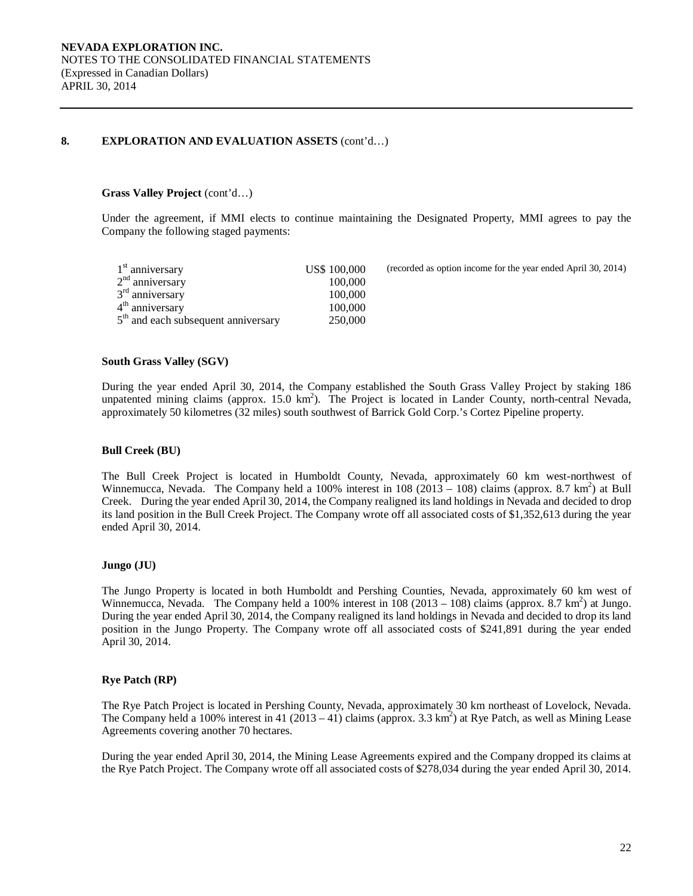## **8. EXPLORATION AND EVALUATION ASSETS** (cont'd…)

#### **Grass Valley Project** (cont'd…)

Under the agreement, if MMI elects to continue maintaining the Designated Property, MMI agrees to pay the Company the following staged payments:

| $1st$ anniversary                               | <b>US\$ 100,000</b> |
|-------------------------------------------------|---------------------|
| $2nd$ anniversary                               | 100,000             |
| $3rd$ anniversary                               | 100,000             |
| $4th$ anniversary                               | 100,000             |
| 5 <sup>th</sup> and each subsequent anniversary | 250,000             |

(recorded as option income for the year ended April 30, 2014)

# **South Grass Valley (SGV)**

During the year ended April 30, 2014, the Company established the South Grass Valley Project by staking 186 unpatented mining claims (approx. 15.0 km<sup>2</sup>). The Project is located in Lander County, north-central Nevada, approximately 50 kilometres (32 miles) south southwest of Barrick Gold Corp.'s Cortez Pipeline property.

## **Bull Creek (BU)**

The Bull Creek Project is located in Humboldt County, Nevada, approximately 60 km west-northwest of Winnemucca, Nevada. The Company held a 100% interest in 108  $(2013 - 108)$  claims (approx. 8.7 km<sup>2</sup>) at Bull Creek. During the year ended April 30, 2014, the Company realigned its land holdings in Nevada and decided to drop its land position in the Bull Creek Project. The Company wrote off all associated costs of \$1,352,613 during the year ended April 30, 2014.

## **Jungo (JU)**

The Jungo Property is located in both Humboldt and Pershing Counties, Nevada, approximately 60 km west of Winnemucca, Nevada. The Company held a 100% interest in  $108 (2013 - 108)$  claims (approx. 8.7 km<sup>2</sup>) at Jungo. During the year ended April 30, 2014, the Company realigned its land holdings in Nevada and decided to drop its land position in the Jungo Property. The Company wrote off all associated costs of \$241,891 during the year ended April 30, 2014.

## **Rye Patch (RP)**

The Rye Patch Project is located in Pershing County, Nevada, approximately 30 km northeast of Lovelock, Nevada. The Company held a 100% interest in 41 (2013 – 41) claims (approx. 3.3 km<sup>2</sup>) at Rye Patch, as well as Mining Lease Agreements covering another 70 hectares.

During the year ended April 30, 2014, the Mining Lease Agreements expired and the Company dropped its claims at the Rye Patch Project. The Company wrote off all associated costs of \$278,034 during the year ended April 30, 2014.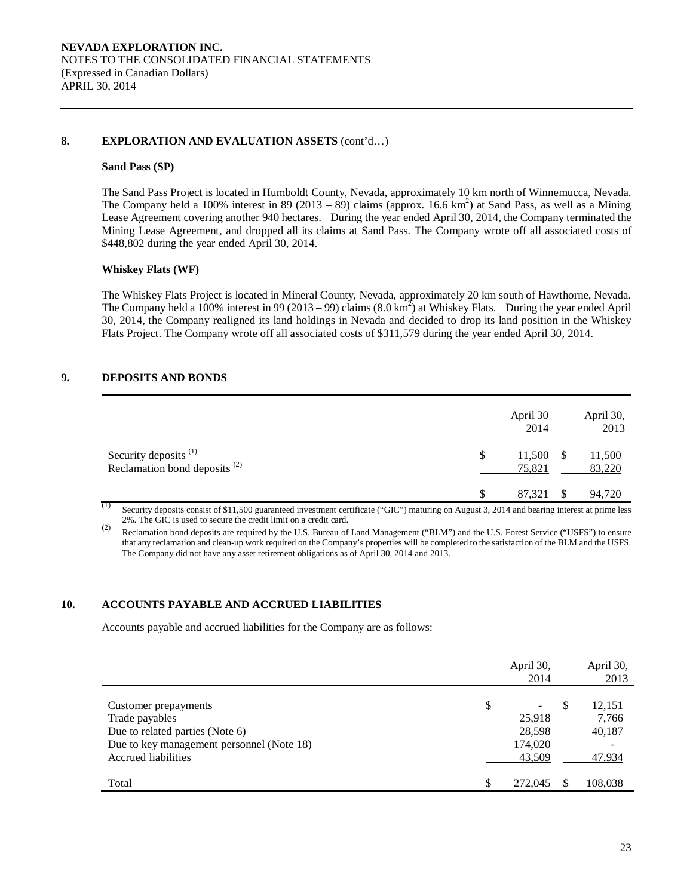## **8. EXPLORATION AND EVALUATION ASSETS** (cont'd…)

#### **Sand Pass (SP)**

The Sand Pass Project is located in Humboldt County, Nevada, approximately 10 km north of Winnemucca, Nevada. The Company held a 100% interest in 89 (2013 – 89) claims (approx. 16.6 km<sup>2</sup>) at Sand Pass, as well as a Mining Lease Agreement covering another 940 hectares. During the year ended April 30, 2014, the Company terminated the Mining Lease Agreement, and dropped all its claims at Sand Pass. The Company wrote off all associated costs of \$448,802 during the year ended April 30, 2014.

## **Whiskey Flats (WF)**

The Whiskey Flats Project is located in Mineral County, Nevada, approximately 20 km south of Hawthorne, Nevada. The Company held a 100% interest in 99 (2013 – 99) claims  $(8.0 \text{ km}^2)$  at Whiskey Flats. During the year ended April 30, 2014, the Company realigned its land holdings in Nevada and decided to drop its land position in the Whiskey Flats Project. The Company wrote off all associated costs of \$311,579 during the year ended April 30, 2014.

# **9. DEPOSITS AND BONDS**

|                                                            | April 30<br>2014            |     | April 30,<br>2013 |
|------------------------------------------------------------|-----------------------------|-----|-------------------|
| Security deposits $(1)$<br>Reclamation bond deposits $(2)$ | $11,500$ \$<br>\$<br>75,821 |     | 11,500<br>83,220  |
|                                                            | 87,321                      | \$. | 94,720            |

Security deposits consist of \$11,500 guaranteed investment certificate ("GIC") maturing on August 3, 2014 and bearing interest at prime less 2%. The GIC is used to secure the credit limit on a credit card.

(2) Reclamation bond deposits are required by the U.S. Bureau of Land Management ("BLM") and the U.S. Forest Service ("USFS") to ensure that any reclamation and clean-up work required on the Company's properties will be completed to the satisfaction of the BLM and the USFS. The Company did not have any asset retirement obligations as of April 30, 2014 and 2013.

# **10. ACCOUNTS PAYABLE AND ACCRUED LIABILITIES**

Accounts payable and accrued liabilities for the Company are as follows:

|                                                                                                                                               | April 30,<br>2014                                |    | April 30,<br>2013                   |
|-----------------------------------------------------------------------------------------------------------------------------------------------|--------------------------------------------------|----|-------------------------------------|
| Customer prepayments<br>Trade payables<br>Due to related parties (Note 6)<br>Due to key management personnel (Note 18)<br>Accrued liabilities | \$<br>-<br>25,918<br>28,598<br>174,020<br>43,509 | -S | 12,151<br>7,766<br>40,187<br>47,934 |
| Total                                                                                                                                         | \$<br>272,045                                    |    | 108,038                             |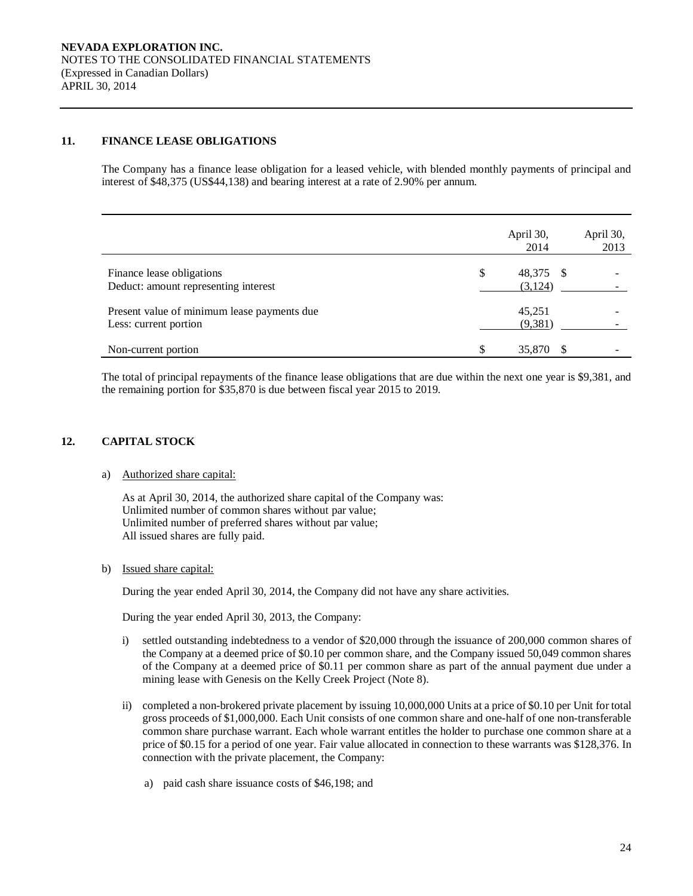## **11. FINANCE LEASE OBLIGATIONS**

The Company has a finance lease obligation for a leased vehicle, with blended monthly payments of principal and interest of \$48,375 (US\$44,138) and bearing interest at a rate of 2.90% per annum.

|                                                                      |   | April 30,<br>2014     | April 30,<br>2013 |
|----------------------------------------------------------------------|---|-----------------------|-------------------|
| Finance lease obligations<br>Deduct: amount representing interest    | S | 48,375 \$<br>(3, 124) |                   |
| Present value of minimum lease payments due<br>Less: current portion |   | 45,251<br>(9,381)     |                   |
| Non-current portion                                                  | S | 35,870                |                   |

The total of principal repayments of the finance lease obligations that are due within the next one year is \$9,381, and the remaining portion for \$35,870 is due between fiscal year 2015 to 2019.

# **12. CAPITAL STOCK**

a) Authorized share capital:

As at April 30, 2014, the authorized share capital of the Company was: Unlimited number of common shares without par value; Unlimited number of preferred shares without par value; All issued shares are fully paid.

b) Issued share capital:

During the year ended April 30, 2014, the Company did not have any share activities.

During the year ended April 30, 2013, the Company:

- i) settled outstanding indebtedness to a vendor of \$20,000 through the issuance of 200,000 common shares of the Company at a deemed price of \$0.10 per common share, and the Company issued 50,049 common shares of the Company at a deemed price of \$0.11 per common share as part of the annual payment due under a mining lease with Genesis on the Kelly Creek Project (Note 8).
- ii) completed a non-brokered private placement by issuing 10,000,000 Units at a price of \$0.10 per Unit for total gross proceeds of \$1,000,000. Each Unit consists of one common share and one-half of one non-transferable common share purchase warrant. Each whole warrant entitles the holder to purchase one common share at a price of \$0.15 for a period of one year. Fair value allocated in connection to these warrants was \$128,376. In connection with the private placement, the Company:
	- a) paid cash share issuance costs of \$46,198; and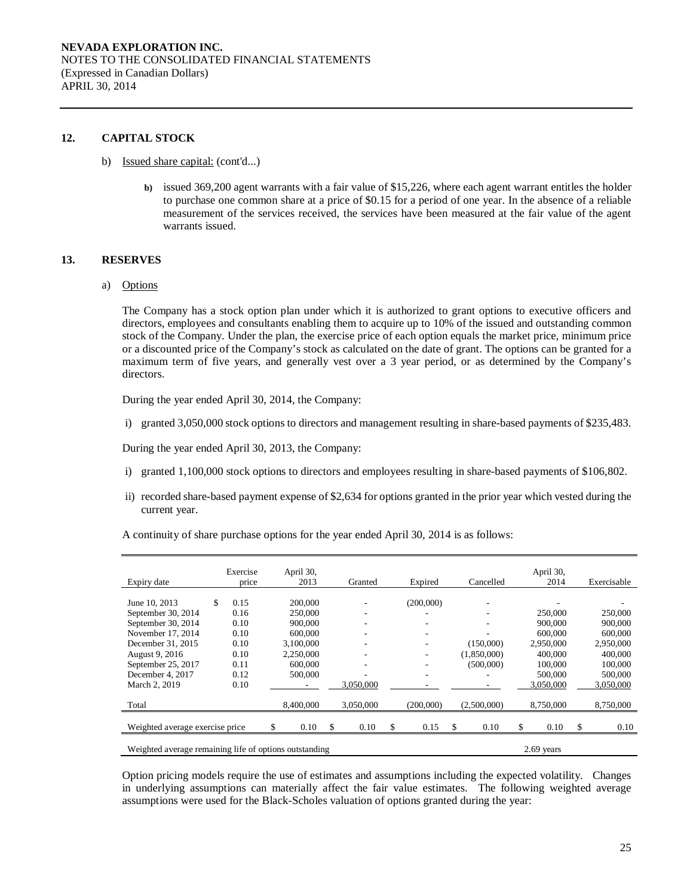## **12. CAPITAL STOCK**

- b) Issued share capital: (cont'd...)
	- **b)** issued 369,200 agent warrants with a fair value of \$15,226, where each agent warrant entitles the holder to purchase one common share at a price of \$0.15 for a period of one year. In the absence of a reliable measurement of the services received, the services have been measured at the fair value of the agent warrants issued.

## **13. RESERVES**

## a) Options

The Company has a stock option plan under which it is authorized to grant options to executive officers and directors, employees and consultants enabling them to acquire up to 10% of the issued and outstanding common stock of the Company. Under the plan, the exercise price of each option equals the market price, minimum price or a discounted price of the Company's stock as calculated on the date of grant. The options can be granted for a maximum term of five years, and generally vest over a 3 year period, or as determined by the Company's directors.

During the year ended April 30, 2014, the Company:

i) granted 3,050,000 stock options to directors and management resulting in share-based payments of \$235,483.

During the year ended April 30, 2013, the Company:

- i) granted 1,100,000 stock options to directors and employees resulting in share-based payments of \$106,802.
- ii) recorded share-based payment expense of \$2,634 for options granted in the prior year which vested during the current year.

A continuity of share purchase options for the year ended April 30, 2014 is as follows:

|                                                                      |    | Exercise |    | April 30, |    |           |   |           |             |             |    | April 30, |    |             |
|----------------------------------------------------------------------|----|----------|----|-----------|----|-----------|---|-----------|-------------|-------------|----|-----------|----|-------------|
| Expiry date                                                          |    | price    |    | 2013      |    | Granted   |   | Expired   |             | Cancelled   |    | 2014      |    | Exercisable |
| June 10, 2013                                                        | \$ | 0.15     |    | 200,000   |    | ۰         |   | (200,000) |             |             |    |           |    |             |
| September 30, 2014                                                   |    | 0.16     |    | 250,000   |    | ۰         |   |           |             |             |    | 250,000   |    | 250,000     |
| September 30, 2014                                                   |    | 0.10     |    | 900,000   |    |           |   |           |             |             |    | 900,000   |    | 900,000     |
| November 17, 2014                                                    |    | 0.10     |    | 600,000   |    |           |   |           |             |             |    | 600,000   |    | 600,000     |
| December 31, 2015                                                    |    | 0.10     |    | 3,100,000 |    |           |   | ٠         |             | (150,000)   |    | 2.950,000 |    | 2,950,000   |
| August 9, 2016                                                       |    | 0.10     |    | 2,250,000 |    | ۰         |   |           | (1,850,000) |             |    | 400,000   |    | 400,000     |
| September 25, 2017                                                   |    | 0.11     |    | 600,000   |    | ٠         |   |           |             | (500,000)   |    | 100,000   |    | 100,000     |
| December 4, 2017                                                     |    | 0.12     |    | 500,000   |    | ٠         |   |           |             |             |    | 500,000   |    | 500,000     |
| March 2, 2019                                                        |    | 0.10     |    |           |    | 3.050.000 |   |           |             |             |    | 3,050,000 |    | 3,050,000   |
| Total                                                                |    |          |    | 8,400,000 |    | 3,050,000 |   | (200,000) |             | (2,500,000) |    | 8,750,000 |    | 8,750,000   |
| Weighted average exercise price                                      |    |          | \$ | 0.10      | \$ | 0.10      | S | 0.15      | \$          | 0.10        | \$ | 0.10      | \$ | 0.10        |
| Weighted average remaining life of options outstanding<br>2.69 years |    |          |    |           |    |           |   |           |             |             |    |           |    |             |

Option pricing models require the use of estimates and assumptions including the expected volatility. Changes in underlying assumptions can materially affect the fair value estimates. The following weighted average assumptions were used for the Black-Scholes valuation of options granted during the year: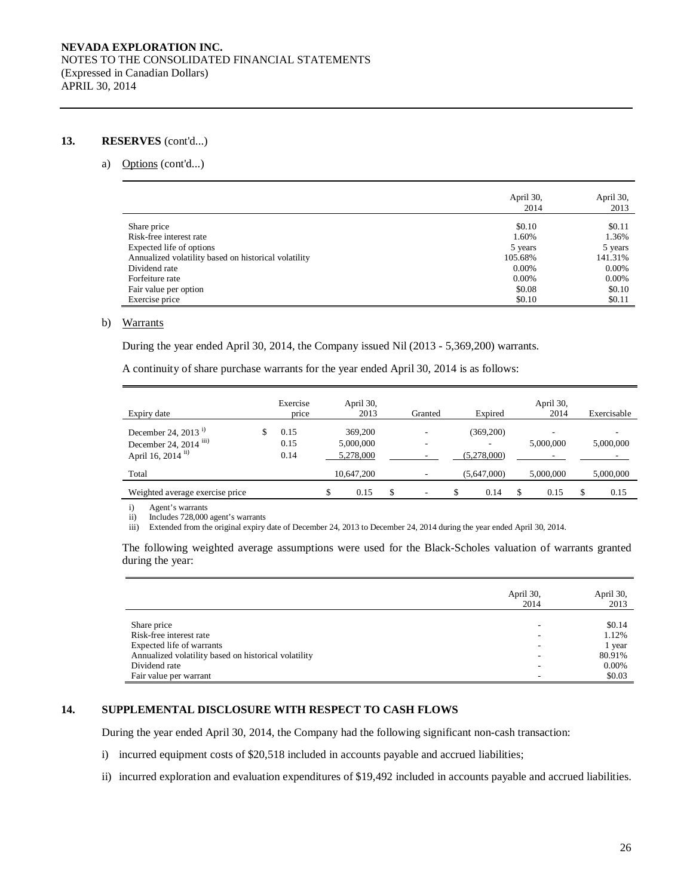## **13. RESERVES** (cont'd...)

a) Options (cont'd...)

|                                                      | April 30,<br>2014 | April 30,<br>2013 |
|------------------------------------------------------|-------------------|-------------------|
| Share price                                          | \$0.10            | \$0.11            |
| Risk-free interest rate                              | 1.60%             | 1.36%             |
| Expected life of options                             | 5 years           | 5 years           |
| Annualized volatility based on historical volatility | 105.68%           | 141.31%           |
| Dividend rate                                        | $0.00\%$          | 0.00%             |
| Forfeiture rate                                      | $0.00\%$          | 0.00%             |
| Fair value per option                                | \$0.08            | \$0.10            |
| Exercise price                                       | \$0.10            | \$0.11            |

## b) Warrants

During the year ended April 30, 2014, the Company issued Nil (2013 - 5,369,200) warrants.

A continuity of share purchase warrants for the year ended April 30, 2014 is as follows:

| Expiry date                                                                    | Exercise<br>price    | April 30,<br>2013                 | Granted | Expired                       | April 30,<br>2014 | Exercisable |
|--------------------------------------------------------------------------------|----------------------|-----------------------------------|---------|-------------------------------|-------------------|-------------|
| December 24, 2013 <sup>i</sup><br>December 24, 2014 iii)<br>April 16, 2014 ii) | 0.15<br>0.15<br>0.14 | 369,200<br>5,000,000<br>5.278,000 |         | (369,200)<br>۰<br>(5,278,000) | 5,000,000         | 5,000,000   |
| Total                                                                          |                      | 10.647.200                        |         | (5,647,000)                   | 5,000,000         | 5,000,000   |
| Weighted average exercise price                                                |                      | 0.15                              |         | 0.14                          | 0.15              | 0.15        |

i) Agent's warrants<br>ii) Includes 728,000

Includes 728,000 agent's warrants

iii) Extended from the original expiry date of December 24, 2013 to December 24, 2014 during the year ended April 30, 2014.

The following weighted average assumptions were used for the Black-Scholes valuation of warrants granted during the year:

|                                                      | April 30,<br>2014 | April 30,<br>2013 |
|------------------------------------------------------|-------------------|-------------------|
|                                                      |                   |                   |
| Share price                                          |                   | \$0.14            |
| Risk-free interest rate                              |                   | 1.12%             |
| Expected life of warrants                            |                   | 1 year            |
| Annualized volatility based on historical volatility |                   | 80.91%            |
| Dividend rate                                        |                   | $0.00\%$          |
| Fair value per warrant                               |                   | \$0.03            |

# **14. SUPPLEMENTAL DISCLOSURE WITH RESPECT TO CASH FLOWS**

During the year ended April 30, 2014, the Company had the following significant non-cash transaction:

- i) incurred equipment costs of \$20,518 included in accounts payable and accrued liabilities;
- ii) incurred exploration and evaluation expenditures of \$19,492 included in accounts payable and accrued liabilities.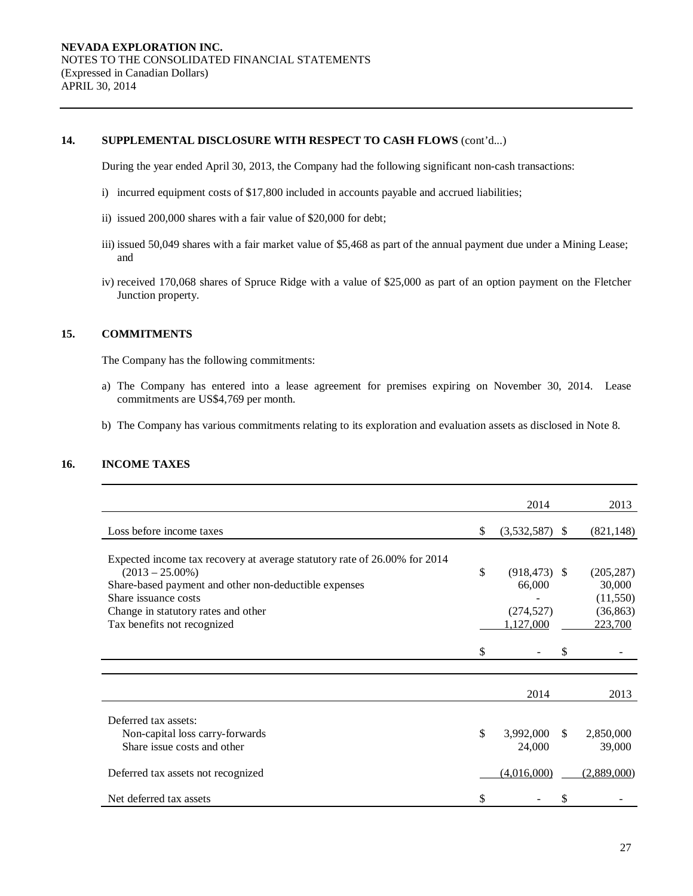## **14. SUPPLEMENTAL DISCLOSURE WITH RESPECT TO CASH FLOWS** (cont'd...)

During the year ended April 30, 2013, the Company had the following significant non-cash transactions:

- i) incurred equipment costs of \$17,800 included in accounts payable and accrued liabilities;
- ii) issued 200,000 shares with a fair value of \$20,000 for debt;
- iii) issued 50,049 shares with a fair market value of \$5,468 as part of the annual payment due under a Mining Lease; and
- iv) received 170,068 shares of Spruce Ridge with a value of \$25,000 as part of an option payment on the Fletcher Junction property.

# **15. COMMITMENTS**

The Company has the following commitments:

- a) The Company has entered into a lease agreement for premises expiring on November 30, 2014. Lease commitments are US\$4,769 per month.
- b) The Company has various commitments relating to its exploration and evaluation assets as disclosed in Note 8.

# **16. INCOME TAXES**

|                                                                                                                                                                                                                                                        | 2014                                                       |    | 2013                                                     |
|--------------------------------------------------------------------------------------------------------------------------------------------------------------------------------------------------------------------------------------------------------|------------------------------------------------------------|----|----------------------------------------------------------|
| Loss before income taxes                                                                                                                                                                                                                               | \$<br>$(3,532,587)$ \$                                     |    | (821, 148)                                               |
| Expected income tax recovery at average statutory rate of 26.00% for 2014<br>$(2013 - 25.00\%)$<br>Share-based payment and other non-deductible expenses<br>Share issuance costs<br>Change in statutory rates and other<br>Tax benefits not recognized | \$<br>$(918, 473)$ \$<br>66,000<br>(274, 527)<br>1,127,000 |    | (205, 287)<br>30,000<br>(11,550)<br>(36, 863)<br>223,700 |
|                                                                                                                                                                                                                                                        | \$                                                         | S  |                                                          |
|                                                                                                                                                                                                                                                        | 2014                                                       |    | 2013                                                     |
| Deferred tax assets:<br>Non-capital loss carry-forwards<br>Share issue costs and other                                                                                                                                                                 | \$<br>3,992,000<br>24,000                                  | -S | 2,850,000<br>39,000                                      |
| Deferred tax assets not recognized                                                                                                                                                                                                                     | (4,016,000)                                                |    | (2,889,000)                                              |
| Net deferred tax assets                                                                                                                                                                                                                                | \$                                                         |    |                                                          |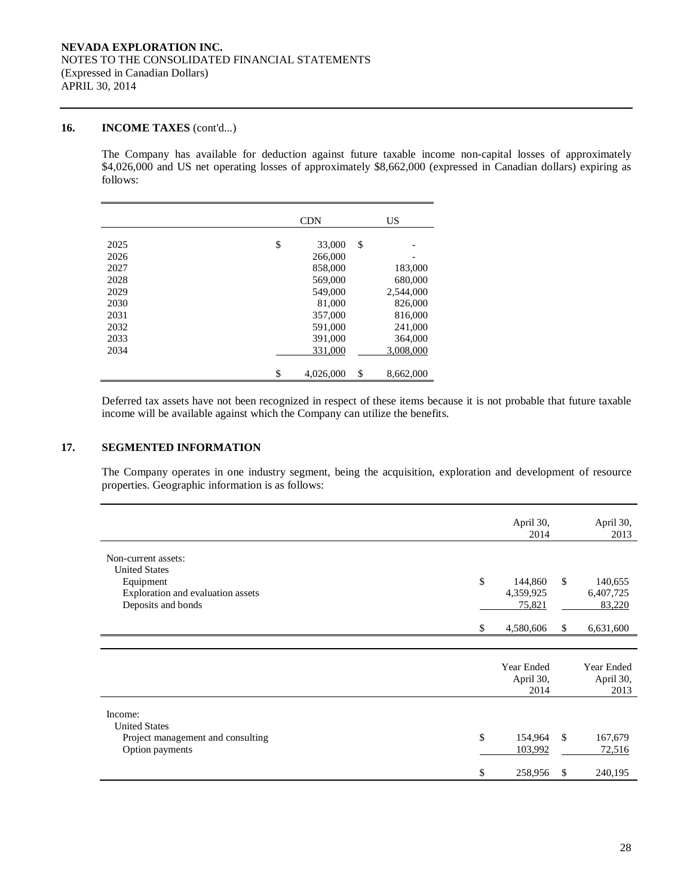## **16. INCOME TAXES** (cont'd...)

The Company has available for deduction against future taxable income non-capital losses of approximately \$4,026,000 and US net operating losses of approximately \$8,662,000 (expressed in Canadian dollars) expiring as follows:

|      | <b>CDN</b>      | US |           |  |
|------|-----------------|----|-----------|--|
|      |                 |    |           |  |
| 2025 | \$<br>33,000    | \$ |           |  |
| 2026 | 266,000         |    |           |  |
| 2027 | 858,000         |    | 183,000   |  |
| 2028 | 569,000         |    | 680,000   |  |
| 2029 | 549,000         |    | 2.544,000 |  |
| 2030 | 81,000          |    | 826,000   |  |
| 2031 | 357,000         |    | 816,000   |  |
| 2032 | 591,000         |    | 241,000   |  |
| 2033 | 391,000         |    | 364,000   |  |
| 2034 | 331,000         |    | 3,008,000 |  |
|      |                 |    |           |  |
|      | \$<br>4,026,000 | \$ | 8,662,000 |  |

Deferred tax assets have not been recognized in respect of these items because it is not probable that future taxable income will be available against which the Company can utilize the benefits.

# **17. SEGMENTED INFORMATION**

The Company operates in one industry segment, being the acquisition, exploration and development of resource properties. Geographic information is as follows:

|                                                      |    | April 30,<br>2014               |               | April 30,<br>2013               |
|------------------------------------------------------|----|---------------------------------|---------------|---------------------------------|
| Non-current assets:<br><b>United States</b>          |    |                                 |               |                                 |
| Equipment<br>Exploration and evaluation assets       | \$ | 144,860<br>4,359,925            | <sup>\$</sup> | 140,655<br>6,407,725            |
| Deposits and bonds                                   |    | 75,821                          |               | 83,220                          |
|                                                      | S  | 4,580,606                       | \$.           | 6,631,600                       |
|                                                      |    |                                 |               |                                 |
|                                                      |    | Year Ended<br>April 30,<br>2014 |               | Year Ended<br>April 30,<br>2013 |
| Income:<br><b>United States</b>                      |    |                                 |               |                                 |
| Project management and consulting<br>Option payments | \$ | 154,964<br>103,992              | -S            | 167,679<br>72,516               |
|                                                      | \$ | 258,956                         | S             | 240,195                         |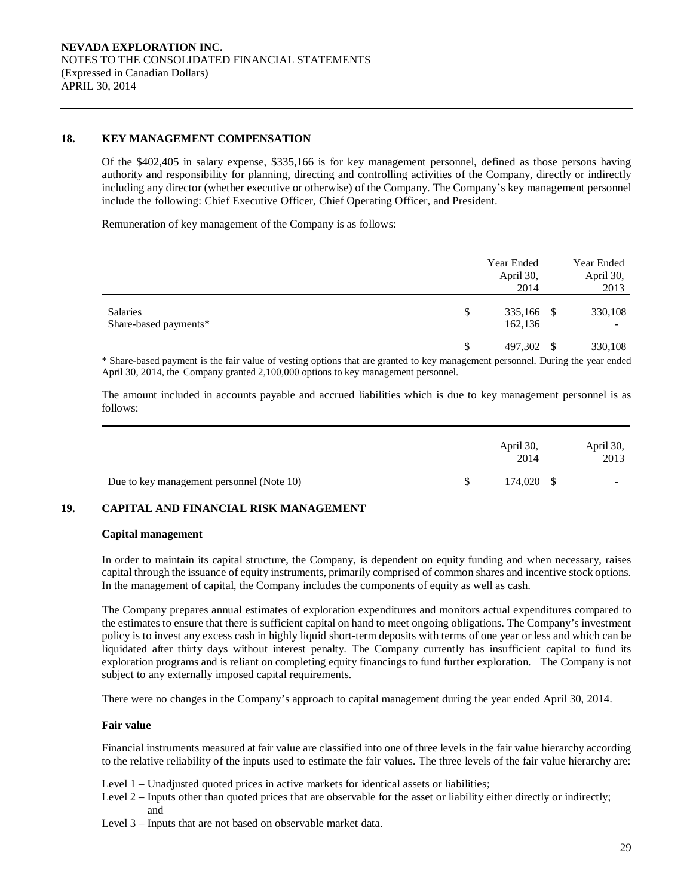## **18. KEY MANAGEMENT COMPENSATION**

Of the \$402,405 in salary expense, \$335,166 is for key management personnel, defined as those persons having authority and responsibility for planning, directing and controlling activities of the Company, directly or indirectly including any director (whether executive or otherwise) of the Company. The Company's key management personnel include the following: Chief Executive Officer, Chief Operating Officer, and President.

Remuneration of key management of the Company is as follows:

|                                          | Year Ended<br>April 30,<br>2014 |      | Year Ended<br>April 30,<br>2013 |
|------------------------------------------|---------------------------------|------|---------------------------------|
| <b>Salaries</b><br>Share-based payments* | \$<br>335,166 \$<br>162,136     |      | 330,108                         |
|                                          | \$<br>497,302                   | - \$ | 330,108                         |

\* Share-based payment is the fair value of vesting options that are granted to key management personnel. During the year ended April 30, 2014, the Company granted 2,100,000 options to key management personnel.

The amount included in accounts payable and accrued liabilities which is due to key management personnel is as follows:

|                                           | April 30,<br>2014 | April 30,<br>2013 |
|-------------------------------------------|-------------------|-------------------|
| Due to key management personnel (Note 10) | 174.020           |                   |

# **19. CAPITAL AND FINANCIAL RISK MANAGEMENT**

## **Capital management**

In order to maintain its capital structure, the Company, is dependent on equity funding and when necessary, raises capital through the issuance of equity instruments, primarily comprised of common shares and incentive stock options. In the management of capital, the Company includes the components of equity as well as cash.

The Company prepares annual estimates of exploration expenditures and monitors actual expenditures compared to the estimates to ensure that there is sufficient capital on hand to meet ongoing obligations. The Company's investment policy is to invest any excess cash in highly liquid short-term deposits with terms of one year or less and which can be liquidated after thirty days without interest penalty. The Company currently has insufficient capital to fund its exploration programs and is reliant on completing equity financings to fund further exploration. The Company is not subject to any externally imposed capital requirements.

There were no changes in the Company's approach to capital management during the year ended April 30, 2014.

# **Fair value**

Financial instruments measured at fair value are classified into one of three levels in the fair value hierarchy according to the relative reliability of the inputs used to estimate the fair values. The three levels of the fair value hierarchy are:

- Level 1 Unadjusted quoted prices in active markets for identical assets or liabilities;
- Level 2 Inputs other than quoted prices that are observable for the asset or liability either directly or indirectly; and
- Level 3 Inputs that are not based on observable market data.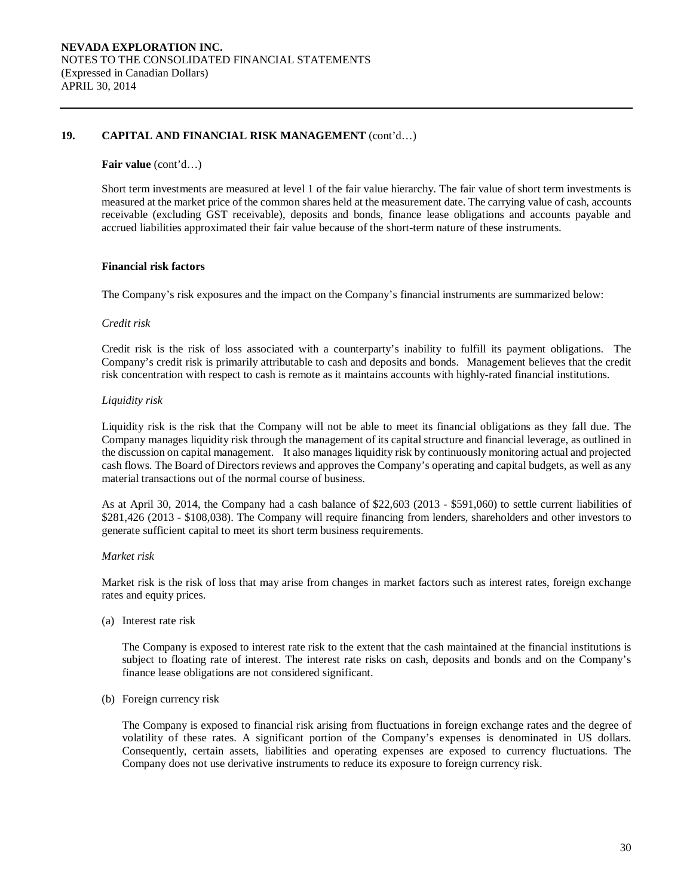## **19. CAPITAL AND FINANCIAL RISK MANAGEMENT** (cont'd…)

#### **Fair value** (cont'd…)

Short term investments are measured at level 1 of the fair value hierarchy. The fair value of short term investments is measured at the market price of the common shares held at the measurement date. The carrying value of cash, accounts receivable (excluding GST receivable), deposits and bonds, finance lease obligations and accounts payable and accrued liabilities approximated their fair value because of the short-term nature of these instruments.

## **Financial risk factors**

The Company's risk exposures and the impact on the Company's financial instruments are summarized below:

#### *Credit risk*

Credit risk is the risk of loss associated with a counterparty's inability to fulfill its payment obligations. The Company's credit risk is primarily attributable to cash and deposits and bonds. Management believes that the credit risk concentration with respect to cash is remote as it maintains accounts with highly-rated financial institutions.

## *Liquidity risk*

Liquidity risk is the risk that the Company will not be able to meet its financial obligations as they fall due. The Company manages liquidity risk through the management of its capital structure and financial leverage, as outlined in the discussion on capital management. It also manages liquidity risk by continuously monitoring actual and projected cash flows. The Board of Directors reviews and approves the Company's operating and capital budgets, as well as any material transactions out of the normal course of business.

As at April 30, 2014, the Company had a cash balance of \$22,603 (2013 - \$591,060) to settle current liabilities of \$281,426 (2013 - \$108,038). The Company will require financing from lenders, shareholders and other investors to generate sufficient capital to meet its short term business requirements.

## *Market risk*

Market risk is the risk of loss that may arise from changes in market factors such as interest rates, foreign exchange rates and equity prices.

(a) Interest rate risk

The Company is exposed to interest rate risk to the extent that the cash maintained at the financial institutions is subject to floating rate of interest. The interest rate risks on cash, deposits and bonds and on the Company's finance lease obligations are not considered significant.

(b) Foreign currency risk

The Company is exposed to financial risk arising from fluctuations in foreign exchange rates and the degree of volatility of these rates. A significant portion of the Company's expenses is denominated in US dollars. Consequently, certain assets, liabilities and operating expenses are exposed to currency fluctuations. The Company does not use derivative instruments to reduce its exposure to foreign currency risk.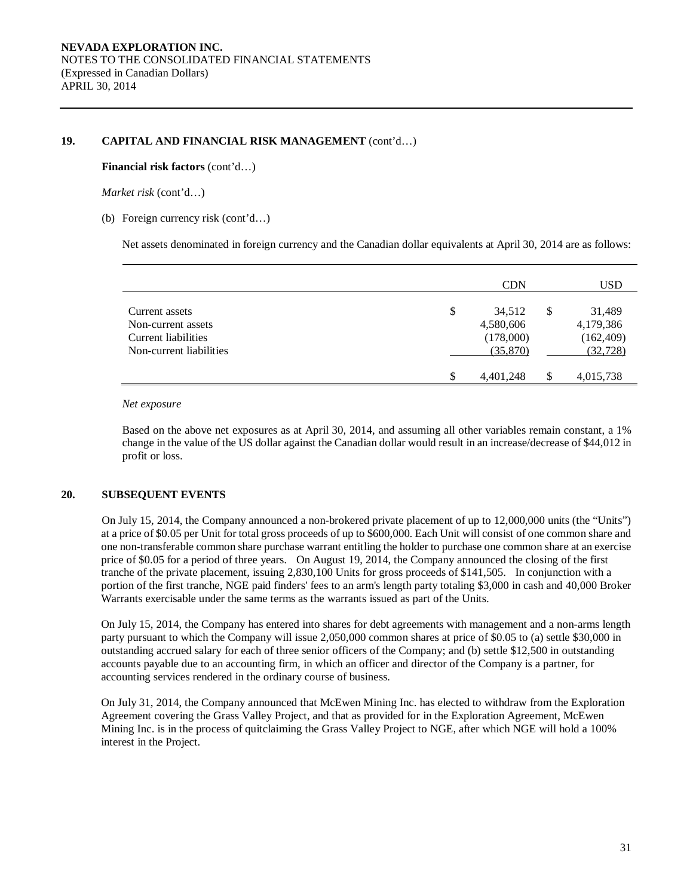## **19. CAPITAL AND FINANCIAL RISK MANAGEMENT** (cont'd…)

#### **Financial risk factors** (cont'd…)

*Market risk* (cont'd…)

(b) Foreign currency risk (cont'd…)

Net assets denominated in foreign currency and the Canadian dollar equivalents at April 30, 2014 are as follows:

|                                                                                        |    | <b>CDN</b>                                   | USD                                                  |
|----------------------------------------------------------------------------------------|----|----------------------------------------------|------------------------------------------------------|
| Current assets<br>Non-current assets<br>Current liabilities<br>Non-current liabilities | \$ | 34,512<br>4,580,606<br>(178,000)<br>(35,870) | \$<br>31,489<br>4,179,386<br>(162, 409)<br>(32, 728) |
|                                                                                        | S  | 4,401,248                                    | \$<br>4,015,738                                      |

#### *Net exposure*

Based on the above net exposures as at April 30, 2014, and assuming all other variables remain constant, a 1% change in the value of the US dollar against the Canadian dollar would result in an increase/decrease of \$44,012 in profit or loss.

# **20. SUBSEQUENT EVENTS**

On July 15, 2014, the Company announced a non-brokered private placement of up to 12,000,000 units (the "Units") at a price of \$0.05 per Unit for total gross proceeds of up to \$600,000. Each Unit will consist of one common share and one non-transferable common share purchase warrant entitling the holder to purchase one common share at an exercise price of \$0.05 for a period of three years. On August 19, 2014, the Company announced the closing of the first tranche of the private placement, issuing 2,830,100 Units for gross proceeds of \$141,505. In conjunction with a portion of the first tranche, NGE paid finders' fees to an arm's length party totaling \$3,000 in cash and 40,000 Broker Warrants exercisable under the same terms as the warrants issued as part of the Units.

On July 15, 2014, the Company has entered into shares for debt agreements with management and a non-arms length party pursuant to which the Company will issue 2,050,000 common shares at price of \$0.05 to (a) settle \$30,000 in outstanding accrued salary for each of three senior officers of the Company; and (b) settle \$12,500 in outstanding accounts payable due to an accounting firm, in which an officer and director of the Company is a partner, for accounting services rendered in the ordinary course of business.

On July 31, 2014, the Company announced that McEwen Mining Inc. has elected to withdraw from the Exploration Agreement covering the Grass Valley Project, and that as provided for in the Exploration Agreement, McEwen Mining Inc. is in the process of quitclaiming the Grass Valley Project to NGE, after which NGE will hold a 100% interest in the Project.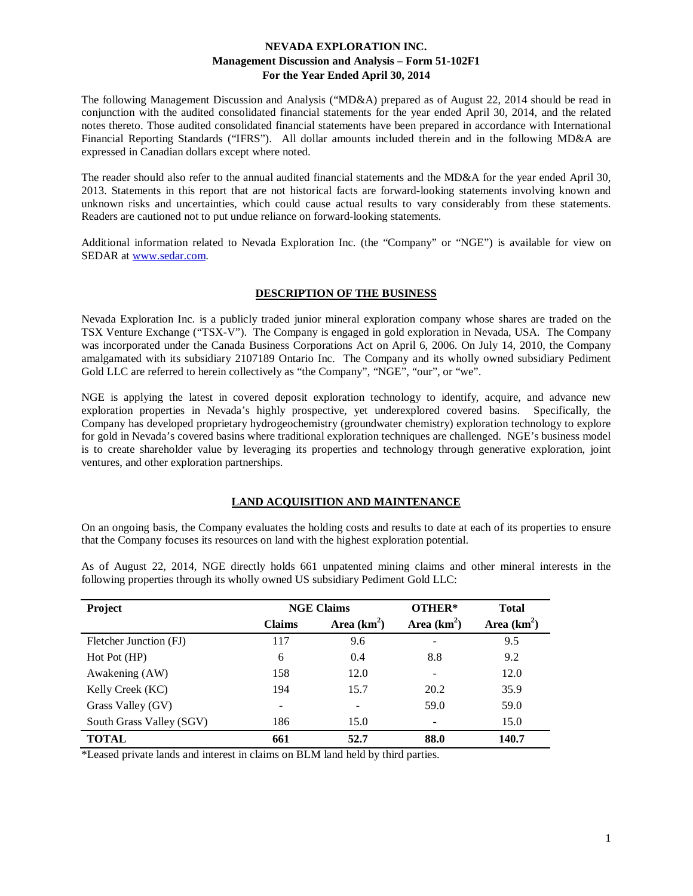The following Management Discussion and Analysis ("MD&A) prepared as of August 22, 2014 should be read in conjunction with the audited consolidated financial statements for the year ended April 30, 2014, and the related notes thereto. Those audited consolidated financial statements have been prepared in accordance with International Financial Reporting Standards ("IFRS"). All dollar amounts included therein and in the following MD&A are expressed in Canadian dollars except where noted.

The reader should also refer to the annual audited financial statements and the MD&A for the year ended April 30, 2013. Statements in this report that are not historical facts are forward-looking statements involving known and unknown risks and uncertainties, which could cause actual results to vary considerably from these statements. Readers are cautioned not to put undue reliance on forward-looking statements.

Additional information related to Nevada Exploration Inc. (the "Company" or "NGE") is available for view on SEDAR at [www.sedar.com.](http://www.sedar.com/)

# **DESCRIPTION OF THE BUSINESS**

Nevada Exploration Inc. is a publicly traded junior mineral exploration company whose shares are traded on the TSX Venture Exchange ("TSX-V"). The Company is engaged in gold exploration in Nevada, USA. The Company was incorporated under the Canada Business Corporations Act on April 6, 2006. On July 14, 2010, the Company amalgamated with its subsidiary 2107189 Ontario Inc. The Company and its wholly owned subsidiary Pediment Gold LLC are referred to herein collectively as "the Company", "NGE", "our", or "we".

NGE is applying the latest in covered deposit exploration technology to identify, acquire, and advance new exploration properties in Nevada's highly prospective, yet underexplored covered basins. Specifically, the Company has developed proprietary hydrogeochemistry (groundwater chemistry) exploration technology to explore for gold in Nevada's covered basins where traditional exploration techniques are challenged. NGE's business model is to create shareholder value by leveraging its properties and technology through generative exploration, joint ventures, and other exploration partnerships.

## **LAND ACQUISITION AND MAINTENANCE**

On an ongoing basis, the Company evaluates the holding costs and results to date at each of its properties to ensure that the Company focuses its resources on land with the highest exploration potential.

As of August 22, 2014, NGE directly holds 661 unpatented mining claims and other mineral interests in the following properties through its wholly owned US subsidiary Pediment Gold LLC:

| Project                  |               | <b>NGE Claims</b> | OTHER*                   | <b>Total</b>  |
|--------------------------|---------------|-------------------|--------------------------|---------------|
|                          | <b>Claims</b> | Area $(km^2)$     | Area $(km^2)$            | Area $(km^2)$ |
| Fletcher Junction (FJ)   | 117           | 9.6               |                          | 9.5           |
| Hot Pot (HP)             | 6             | 0.4               | 8.8                      | 9.2           |
| Awakening (AW)           | 158           | 12.0              |                          | 12.0          |
| Kelly Creek (KC)         | 194           | 15.7              | 20.2                     | 35.9          |
| Grass Valley (GV)        | -             | -                 | 59.0                     | 59.0          |
| South Grass Valley (SGV) | 186           | 15.0              | $\overline{\phantom{0}}$ | 15.0          |
| <b>TOTAL</b>             | 661           | 52.7              | 88.0                     | 140.7         |

\*Leased private lands and interest in claims on BLM land held by third parties.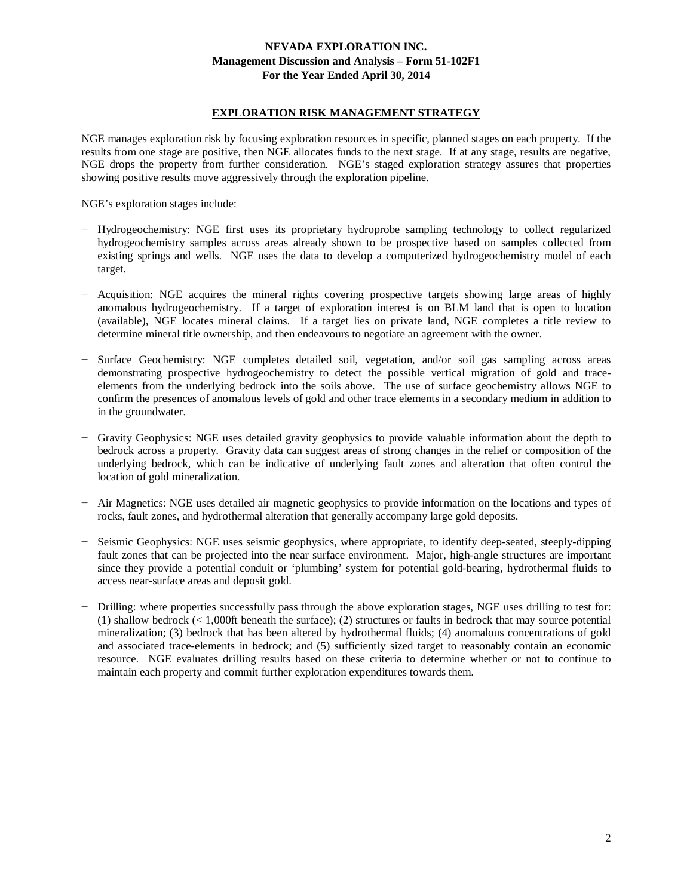# **EXPLORATION RISK MANAGEMENT STRATEGY**

NGE manages exploration risk by focusing exploration resources in specific, planned stages on each property. If the results from one stage are positive, then NGE allocates funds to the next stage. If at any stage, results are negative, NGE drops the property from further consideration. NGE's staged exploration strategy assures that properties showing positive results move aggressively through the exploration pipeline.

NGE's exploration stages include:

- − Hydrogeochemistry: NGE first uses its proprietary hydroprobe sampling technology to collect regularized hydrogeochemistry samples across areas already shown to be prospective based on samples collected from existing springs and wells. NGE uses the data to develop a computerized hydrogeochemistry model of each target.
- − Acquisition: NGE acquires the mineral rights covering prospective targets showing large areas of highly anomalous hydrogeochemistry. If a target of exploration interest is on BLM land that is open to location (available), NGE locates mineral claims. If a target lies on private land, NGE completes a title review to determine mineral title ownership, and then endeavours to negotiate an agreement with the owner.
- − Surface Geochemistry: NGE completes detailed soil, vegetation, and/or soil gas sampling across areas demonstrating prospective hydrogeochemistry to detect the possible vertical migration of gold and traceelements from the underlying bedrock into the soils above. The use of surface geochemistry allows NGE to confirm the presences of anomalous levels of gold and other trace elements in a secondary medium in addition to in the groundwater.
- − Gravity Geophysics: NGE uses detailed gravity geophysics to provide valuable information about the depth to bedrock across a property. Gravity data can suggest areas of strong changes in the relief or composition of the underlying bedrock, which can be indicative of underlying fault zones and alteration that often control the location of gold mineralization.
- − Air Magnetics: NGE uses detailed air magnetic geophysics to provide information on the locations and types of rocks, fault zones, and hydrothermal alteration that generally accompany large gold deposits.
- − Seismic Geophysics: NGE uses seismic geophysics, where appropriate, to identify deep-seated, steeply-dipping fault zones that can be projected into the near surface environment. Major, high-angle structures are important since they provide a potential conduit or 'plumbing' system for potential gold-bearing, hydrothermal fluids to access near-surface areas and deposit gold.
- − Drilling: where properties successfully pass through the above exploration stages, NGE uses drilling to test for: (1) shallow bedrock (< 1,000ft beneath the surface); (2) structures or faults in bedrock that may source potential mineralization; (3) bedrock that has been altered by hydrothermal fluids; (4) anomalous concentrations of gold and associated trace-elements in bedrock; and (5) sufficiently sized target to reasonably contain an economic resource. NGE evaluates drilling results based on these criteria to determine whether or not to continue to maintain each property and commit further exploration expenditures towards them.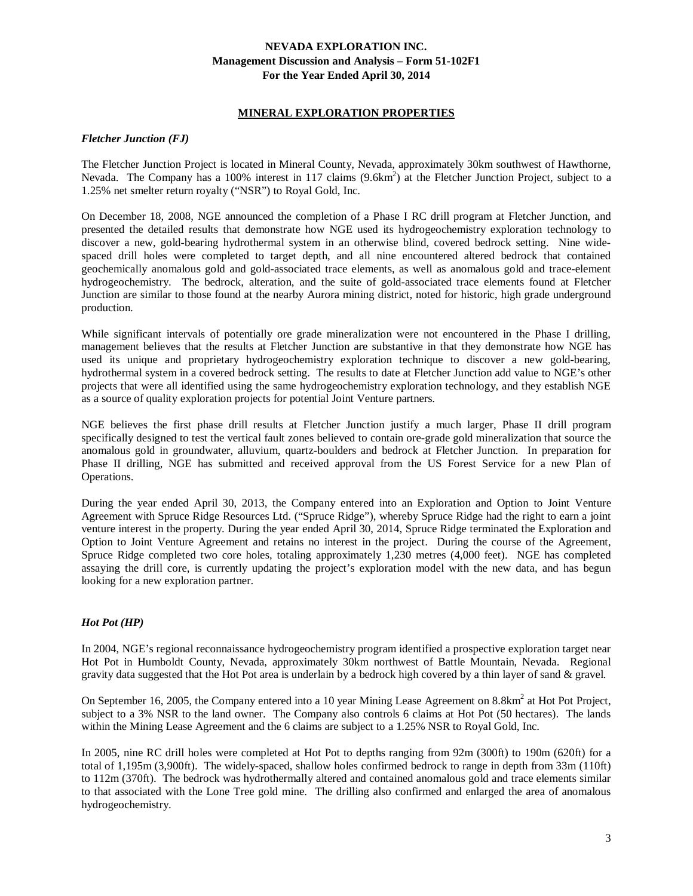# **MINERAL EXPLORATION PROPERTIES**

## *Fletcher Junction (FJ)*

The Fletcher Junction Project is located in Mineral County, Nevada, approximately 30km southwest of Hawthorne, Nevada. The Company has a 100% interest in 117 claims (9.6km<sup>2</sup>) at the Fletcher Junction Project, subject to a 1.25% net smelter return royalty ("NSR") to Royal Gold, Inc.

On December 18, 2008, NGE announced the completion of a Phase I RC drill program at Fletcher Junction, and presented the detailed results that demonstrate how NGE used its hydrogeochemistry exploration technology to discover a new, gold-bearing hydrothermal system in an otherwise blind, covered bedrock setting. Nine widespaced drill holes were completed to target depth, and all nine encountered altered bedrock that contained geochemically anomalous gold and gold-associated trace elements, as well as anomalous gold and trace-element hydrogeochemistry. The bedrock, alteration, and the suite of gold-associated trace elements found at Fletcher Junction are similar to those found at the nearby Aurora mining district, noted for historic, high grade underground production.

While significant intervals of potentially ore grade mineralization were not encountered in the Phase I drilling, management believes that the results at Fletcher Junction are substantive in that they demonstrate how NGE has used its unique and proprietary hydrogeochemistry exploration technique to discover a new gold-bearing, hydrothermal system in a covered bedrock setting. The results to date at Fletcher Junction add value to NGE's other projects that were all identified using the same hydrogeochemistry exploration technology, and they establish NGE as a source of quality exploration projects for potential Joint Venture partners.

NGE believes the first phase drill results at Fletcher Junction justify a much larger, Phase II drill program specifically designed to test the vertical fault zones believed to contain ore-grade gold mineralization that source the anomalous gold in groundwater, alluvium, quartz-boulders and bedrock at Fletcher Junction. In preparation for Phase II drilling, NGE has submitted and received approval from the US Forest Service for a new Plan of Operations.

During the year ended April 30, 2013, the Company entered into an Exploration and Option to Joint Venture Agreement with Spruce Ridge Resources Ltd. ("Spruce Ridge"), whereby Spruce Ridge had the right to earn a joint venture interest in the property. During the year ended April 30, 2014, Spruce Ridge terminated the Exploration and Option to Joint Venture Agreement and retains no interest in the project. During the course of the Agreement, Spruce Ridge completed two core holes, totaling approximately 1,230 metres (4,000 feet). NGE has completed assaying the drill core, is currently updating the project's exploration model with the new data, and has begun looking for a new exploration partner.

# *Hot Pot (HP)*

In 2004, NGE's regional reconnaissance hydrogeochemistry program identified a prospective exploration target near Hot Pot in Humboldt County, Nevada, approximately 30km northwest of Battle Mountain, Nevada. Regional gravity data suggested that the Hot Pot area is underlain by a bedrock high covered by a thin layer of sand & gravel.

On September 16, 2005, the Company entered into a 10 year Mining Lease Agreement on  $8.8 \text{km}^2$  at Hot Project, subject to a 3% NSR to the land owner. The Company also controls 6 claims at Hot Pot (50 hectares). The lands within the Mining Lease Agreement and the 6 claims are subject to a 1.25% NSR to Royal Gold, Inc.

In 2005, nine RC drill holes were completed at Hot Pot to depths ranging from 92m (300ft) to 190m (620ft) for a total of 1,195m (3,900ft). The widely-spaced, shallow holes confirmed bedrock to range in depth from 33m (110ft) to 112m (370ft). The bedrock was hydrothermally altered and contained anomalous gold and trace elements similar to that associated with the Lone Tree gold mine. The drilling also confirmed and enlarged the area of anomalous hydrogeochemistry.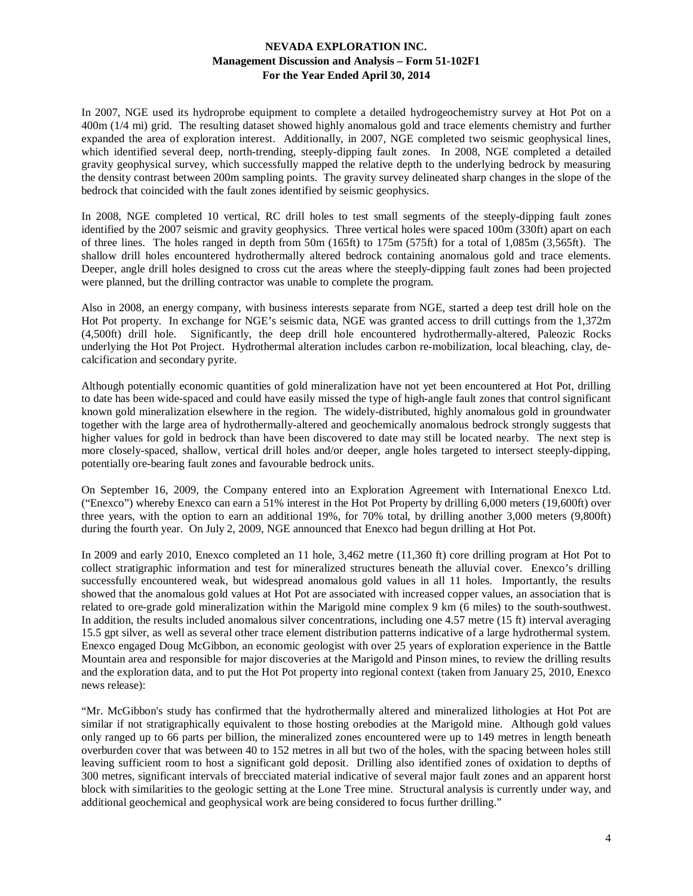In 2007, NGE used its hydroprobe equipment to complete a detailed hydrogeochemistry survey at Hot Pot on a 400m (1/4 mi) grid. The resulting dataset showed highly anomalous gold and trace elements chemistry and further expanded the area of exploration interest. Additionally, in 2007, NGE completed two seismic geophysical lines, which identified several deep, north-trending, steeply-dipping fault zones. In 2008, NGE completed a detailed gravity geophysical survey, which successfully mapped the relative depth to the underlying bedrock by measuring the density contrast between 200m sampling points. The gravity survey delineated sharp changes in the slope of the bedrock that coincided with the fault zones identified by seismic geophysics.

In 2008, NGE completed 10 vertical, RC drill holes to test small segments of the steeply-dipping fault zones identified by the 2007 seismic and gravity geophysics. Three vertical holes were spaced 100m (330ft) apart on each of three lines. The holes ranged in depth from 50m (165ft) to 175m (575ft) for a total of 1,085m (3,565ft). The shallow drill holes encountered hydrothermally altered bedrock containing anomalous gold and trace elements. Deeper, angle drill holes designed to cross cut the areas where the steeply-dipping fault zones had been projected were planned, but the drilling contractor was unable to complete the program.

Also in 2008, an energy company, with business interests separate from NGE, started a deep test drill hole on the Hot Pot property. In exchange for NGE's seismic data, NGE was granted access to drill cuttings from the 1,372m (4,500ft) drill hole. Significantly, the deep drill hole encountered hydrothermally-altered, Paleozic Rocks underlying the Hot Pot Project. Hydrothermal alteration includes carbon re-mobilization, local bleaching, clay, decalcification and secondary pyrite.

Although potentially economic quantities of gold mineralization have not yet been encountered at Hot Pot, drilling to date has been wide-spaced and could have easily missed the type of high-angle fault zones that control significant known gold mineralization elsewhere in the region. The widely-distributed, highly anomalous gold in groundwater together with the large area of hydrothermally-altered and geochemically anomalous bedrock strongly suggests that higher values for gold in bedrock than have been discovered to date may still be located nearby. The next step is more closely-spaced, shallow, vertical drill holes and/or deeper, angle holes targeted to intersect steeply-dipping, potentially ore-bearing fault zones and favourable bedrock units.

On September 16, 2009, the Company entered into an Exploration Agreement with International Enexco Ltd. ("Enexco") whereby Enexco can earn a 51% interest in the Hot Pot Property by drilling 6,000 meters (19,600ft) over three years, with the option to earn an additional 19%, for 70% total, by drilling another 3,000 meters (9,800ft) during the fourth year. On July 2, 2009, NGE announced that Enexco had begun drilling at Hot Pot.

In 2009 and early 2010, Enexco completed an 11 hole, 3,462 metre (11,360 ft) core drilling program at Hot Pot to collect stratigraphic information and test for mineralized structures beneath the alluvial cover. Enexco's drilling successfully encountered weak, but widespread anomalous gold values in all 11 holes. Importantly, the results showed that the anomalous gold values at Hot Pot are associated with increased copper values, an association that is related to ore-grade gold mineralization within the Marigold mine complex 9 km (6 miles) to the south-southwest. In addition, the results included anomalous silver concentrations, including one 4.57 metre (15 ft) interval averaging 15.5 gpt silver, as well as several other trace element distribution patterns indicative of a large hydrothermal system. Enexco engaged Doug McGibbon, an economic geologist with over 25 years of exploration experience in the Battle Mountain area and responsible for major discoveries at the Marigold and Pinson mines, to review the drilling results and the exploration data, and to put the Hot Pot property into regional context (taken from January 25, 2010, Enexco news release):

"Mr. McGibbon's study has confirmed that the hydrothermally altered and mineralized lithologies at Hot Pot are similar if not stratigraphically equivalent to those hosting orebodies at the Marigold mine. Although gold values only ranged up to 66 parts per billion, the mineralized zones encountered were up to 149 metres in length beneath overburden cover that was between 40 to 152 metres in all but two of the holes, with the spacing between holes still leaving sufficient room to host a significant gold deposit. Drilling also identified zones of oxidation to depths of 300 metres, significant intervals of brecciated material indicative of several major fault zones and an apparent horst block with similarities to the geologic setting at the Lone Tree mine. Structural analysis is currently under way, and additional geochemical and geophysical work are being considered to focus further drilling."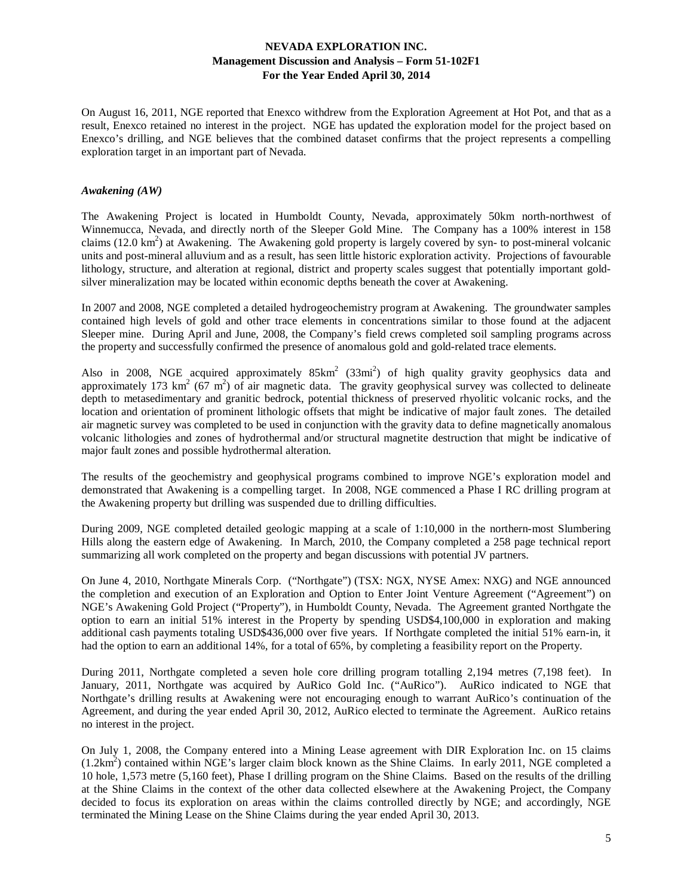On August 16, 2011, NGE reported that Enexco withdrew from the Exploration Agreement at Hot Pot, and that as a result, Enexco retained no interest in the project. NGE has updated the exploration model for the project based on Enexco's drilling, and NGE believes that the combined dataset confirms that the project represents a compelling exploration target in an important part of Nevada.

## *Awakening (AW)*

The Awakening Project is located in Humboldt County, Nevada, approximately 50km north-northwest of Winnemucca, Nevada, and directly north of the Sleeper Gold Mine. The Company has a 100% interest in 158 claims (12.0  $\text{km}^2$ ) at Awakening. The Awakening gold property is largely covered by syn- to post-mineral volcanic units and post-mineral alluvium and as a result, has seen little historic exploration activity. Projections of favourable lithology, structure, and alteration at regional, district and property scales suggest that potentially important goldsilver mineralization may be located within economic depths beneath the cover at Awakening.

In 2007 and 2008, NGE completed a detailed hydrogeochemistry program at Awakening. The groundwater samples contained high levels of gold and other trace elements in concentrations similar to those found at the adjacent Sleeper mine. During April and June, 2008, the Company's field crews completed soil sampling programs across the property and successfully confirmed the presence of anomalous gold and gold-related trace elements.

Also in 2008, NGE acquired approximately  $85 \text{km}^2$  (33mi<sup>2</sup>) of high quality gravity geophysics data and approximately 173 km<sup>2</sup> (67 m<sup>2</sup>) of air magnetic data. The gravity geophysical survey was collected to delineate depth to metasedimentary and granitic bedrock, potential thickness of preserved rhyolitic volcanic rocks, and the location and orientation of prominent lithologic offsets that might be indicative of major fault zones. The detailed air magnetic survey was completed to be used in conjunction with the gravity data to define magnetically anomalous volcanic lithologies and zones of hydrothermal and/or structural magnetite destruction that might be indicative of major fault zones and possible hydrothermal alteration.

The results of the geochemistry and geophysical programs combined to improve NGE's exploration model and demonstrated that Awakening is a compelling target. In 2008, NGE commenced a Phase I RC drilling program at the Awakening property but drilling was suspended due to drilling difficulties.

During 2009, NGE completed detailed geologic mapping at a scale of 1:10,000 in the northern-most Slumbering Hills along the eastern edge of Awakening. In March, 2010, the Company completed a 258 page technical report summarizing all work completed on the property and began discussions with potential JV partners.

On June 4, 2010, Northgate Minerals Corp. ("Northgate") (TSX: NGX, NYSE Amex: NXG) and NGE announced the completion and execution of an Exploration and Option to Enter Joint Venture Agreement ("Agreement") on NGE's Awakening Gold Project ("Property"), in Humboldt County, Nevada. The Agreement granted Northgate the option to earn an initial 51% interest in the Property by spending USD\$4,100,000 in exploration and making additional cash payments totaling USD\$436,000 over five years. If Northgate completed the initial 51% earn-in, it had the option to earn an additional 14%, for a total of 65%, by completing a feasibility report on the Property.

During 2011, Northgate completed a seven hole core drilling program totalling 2,194 metres (7,198 feet). In January, 2011, Northgate was acquired by AuRico Gold Inc. ("AuRico"). AuRico indicated to NGE that Northgate's drilling results at Awakening were not encouraging enough to warrant AuRico's continuation of the Agreement, and during the year ended April 30, 2012, AuRico elected to terminate the Agreement. AuRico retains no interest in the project.

On July 1, 2008, the Company entered into a Mining Lease agreement with DIR Exploration Inc. on 15 claims (1.2km<sup>2</sup>) contained within NGE's larger claim block known as the Shine Claims. In early 2011, NGE completed a 10 hole, 1,573 metre (5,160 feet), Phase I drilling program on the Shine Claims. Based on the results of the drilling at the Shine Claims in the context of the other data collected elsewhere at the Awakening Project, the Company decided to focus its exploration on areas within the claims controlled directly by NGE; and accordingly, NGE terminated the Mining Lease on the Shine Claims during the year ended April 30, 2013.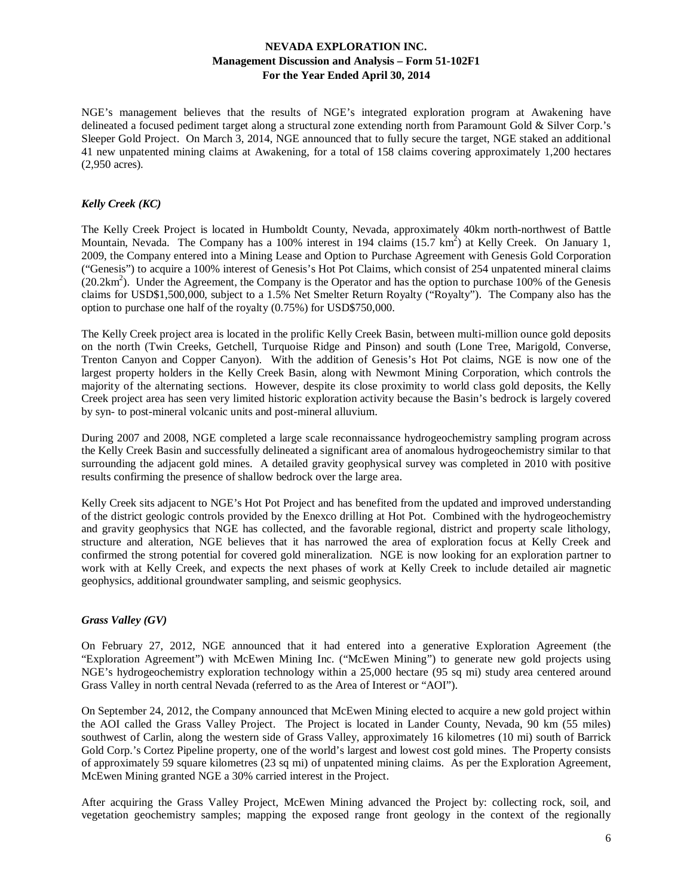NGE's management believes that the results of NGE's integrated exploration program at Awakening have delineated a focused pediment target along a structural zone extending north from Paramount Gold & Silver Corp.'s Sleeper Gold Project. On March 3, 2014, NGE announced that to fully secure the target, NGE staked an additional 41 new unpatented mining claims at Awakening, for a total of 158 claims covering approximately 1,200 hectares (2,950 acres).

# *Kelly Creek (KC)*

The Kelly Creek Project is located in Humboldt County, Nevada, approximately 40km north-northwest of Battle Mountain, Nevada. The Company has a 100% interest in 194 claims  $(15.7 \text{ km}^2)$  at Kelly Creek. On January 1, 2009, the Company entered into a Mining Lease and Option to Purchase Agreement with Genesis Gold Corporation ("Genesis") to acquire a 100% interest of Genesis's Hot Pot Claims, which consist of 254 unpatented mineral claims  $(20.2 \text{km}^2)$ . Under the Agreement, the Company is the Operator and has the option to purchase 100% of the Genesis claims for USD\$1,500,000, subject to a 1.5% Net Smelter Return Royalty ("Royalty"). The Company also has the option to purchase one half of the royalty (0.75%) for USD\$750,000.

The Kelly Creek project area is located in the prolific Kelly Creek Basin, between multi-million ounce gold deposits on the north (Twin Creeks, Getchell, Turquoise Ridge and Pinson) and south (Lone Tree, Marigold, Converse, Trenton Canyon and Copper Canyon). With the addition of Genesis's Hot Pot claims, NGE is now one of the largest property holders in the Kelly Creek Basin, along with Newmont Mining Corporation, which controls the majority of the alternating sections. However, despite its close proximity to world class gold deposits, the Kelly Creek project area has seen very limited historic exploration activity because the Basin's bedrock is largely covered by syn- to post-mineral volcanic units and post-mineral alluvium.

During 2007 and 2008, NGE completed a large scale reconnaissance hydrogeochemistry sampling program across the Kelly Creek Basin and successfully delineated a significant area of anomalous hydrogeochemistry similar to that surrounding the adjacent gold mines. A detailed gravity geophysical survey was completed in 2010 with positive results confirming the presence of shallow bedrock over the large area.

Kelly Creek sits adjacent to NGE's Hot Pot Project and has benefited from the updated and improved understanding of the district geologic controls provided by the Enexco drilling at Hot Pot. Combined with the hydrogeochemistry and gravity geophysics that NGE has collected, and the favorable regional, district and property scale lithology, structure and alteration, NGE believes that it has narrowed the area of exploration focus at Kelly Creek and confirmed the strong potential for covered gold mineralization. NGE is now looking for an exploration partner to work with at Kelly Creek, and expects the next phases of work at Kelly Creek to include detailed air magnetic geophysics, additional groundwater sampling, and seismic geophysics.

# *Grass Valley (GV)*

On February 27, 2012, NGE announced that it had entered into a generative Exploration Agreement (the "Exploration Agreement") with McEwen Mining Inc. ("McEwen Mining") to generate new gold projects using NGE's hydrogeochemistry exploration technology within a 25,000 hectare (95 sq mi) study area centered around Grass Valley in north central Nevada (referred to as the Area of Interest or "AOI").

On September 24, 2012, the Company announced that McEwen Mining elected to acquire a new gold project within the AOI called the Grass Valley Project. The Project is located in Lander County, Nevada, 90 km (55 miles) southwest of Carlin, along the western side of Grass Valley, approximately 16 kilometres (10 mi) south of Barrick Gold Corp.'s Cortez Pipeline property, one of the world's largest and lowest cost gold mines. The Property consists of approximately 59 square kilometres (23 sq mi) of unpatented mining claims. As per the Exploration Agreement, McEwen Mining granted NGE a 30% carried interest in the Project.

After acquiring the Grass Valley Project, McEwen Mining advanced the Project by: collecting rock, soil, and vegetation geochemistry samples; mapping the exposed range front geology in the context of the regionally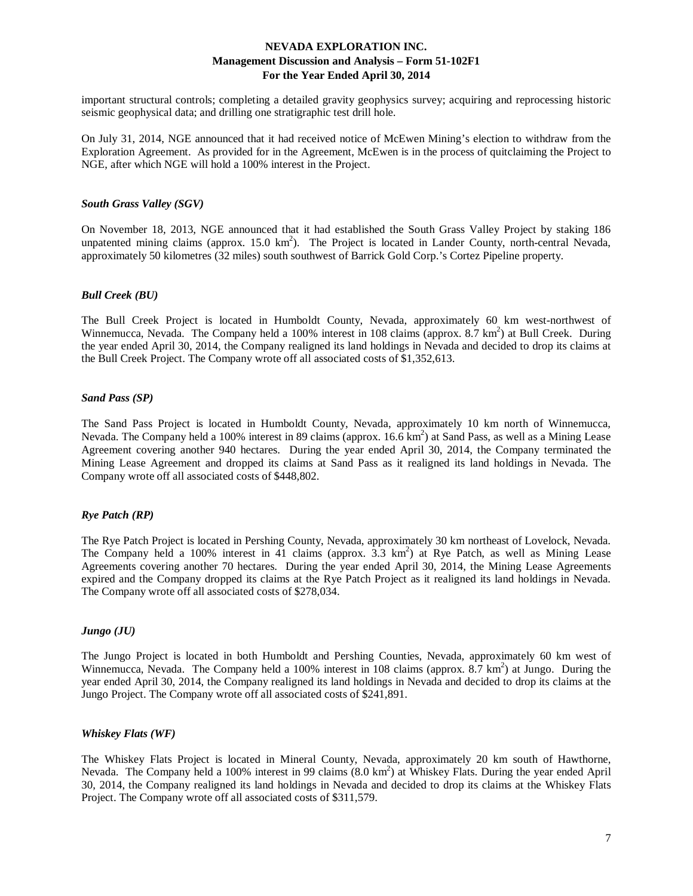important structural controls; completing a detailed gravity geophysics survey; acquiring and reprocessing historic seismic geophysical data; and drilling one stratigraphic test drill hole.

On July 31, 2014, NGE announced that it had received notice of McEwen Mining's election to withdraw from the Exploration Agreement. As provided for in the Agreement, McEwen is in the process of quitclaiming the Project to NGE, after which NGE will hold a 100% interest in the Project.

## *South Grass Valley (SGV)*

On November 18, 2013, NGE announced that it had established the South Grass Valley Project by staking 186 unpatented mining claims (approx.  $15.0 \text{ km}^2$ ). The Project is located in Lander County, north-central Nevada, approximately 50 kilometres (32 miles) south southwest of Barrick Gold Corp.'s Cortez Pipeline property.

## *Bull Creek (BU)*

The Bull Creek Project is located in Humboldt County, Nevada, approximately 60 km west-northwest of Winnemucca, Nevada. The Company held a 100% interest in 108 claims (approx. 8.7 km<sup>2</sup>) at Bull Creek. During the year ended April 30, 2014, the Company realigned its land holdings in Nevada and decided to drop its claims at the Bull Creek Project. The Company wrote off all associated costs of \$1,352,613.

## *Sand Pass (SP)*

The Sand Pass Project is located in Humboldt County, Nevada, approximately 10 km north of Winnemucca, Nevada. The Company held a 100% interest in 89 claims (approx. 16.6 km<sup>2</sup>) at Sand Pass, as well as a Mining Lease Agreement covering another 940 hectares. During the year ended April 30, 2014, the Company terminated the Mining Lease Agreement and dropped its claims at Sand Pass as it realigned its land holdings in Nevada. The Company wrote off all associated costs of \$448,802.

# *Rye Patch (RP)*

The Rye Patch Project is located in Pershing County, Nevada, approximately 30 km northeast of Lovelock, Nevada. The Company held a 100% interest in 41 claims (approx. 3.3 km<sup>2</sup>) at Rye Patch, as well as Mining Lease Agreements covering another 70 hectares. During the year ended April 30, 2014, the Mining Lease Agreements expired and the Company dropped its claims at the Rye Patch Project as it realigned its land holdings in Nevada. The Company wrote off all associated costs of \$278,034.

## *Jungo (JU)*

The Jungo Project is located in both Humboldt and Pershing Counties, Nevada, approximately 60 km west of Winnemucca, Nevada. The Company held a 100% interest in 108 claims (approx. 8.7 km<sup>2</sup>) at Jungo. During the year ended April 30, 2014, the Company realigned its land holdings in Nevada and decided to drop its claims at the Jungo Project. The Company wrote off all associated costs of \$241,891.

# *Whiskey Flats (WF)*

The Whiskey Flats Project is located in Mineral County, Nevada, approximately 20 km south of Hawthorne, Nevada. The Company held a 100% interest in 99 claims (8.0 km<sup>2</sup>) at Whiskey Flats. During the year ended April 30, 2014, the Company realigned its land holdings in Nevada and decided to drop its claims at the Whiskey Flats Project. The Company wrote off all associated costs of \$311,579.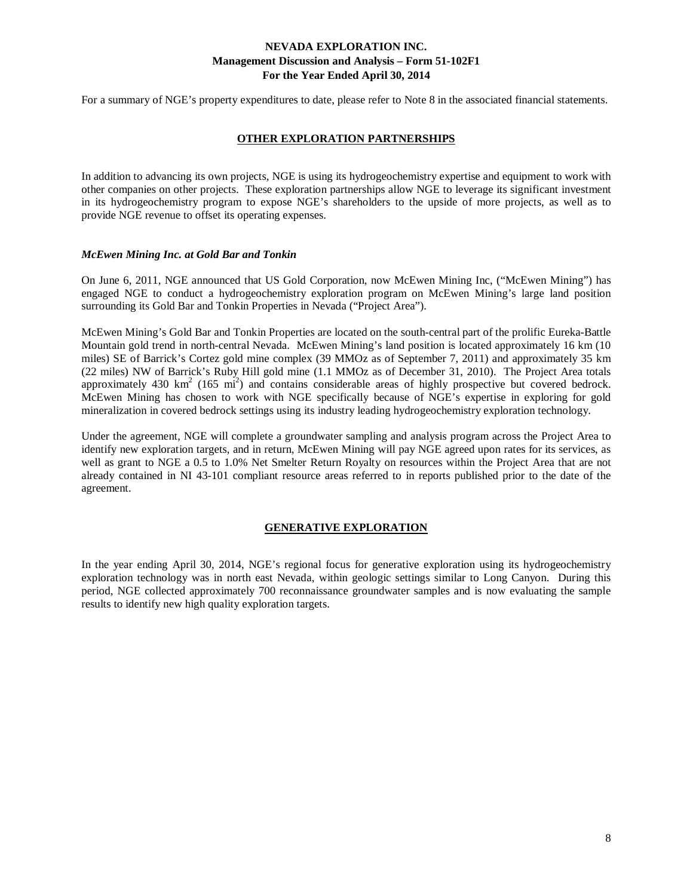For a summary of NGE's property expenditures to date, please refer to Note 8 in the associated financial statements.

# **OTHER EXPLORATION PARTNERSHIPS**

In addition to advancing its own projects, NGE is using its hydrogeochemistry expertise and equipment to work with other companies on other projects. These exploration partnerships allow NGE to leverage its significant investment in its hydrogeochemistry program to expose NGE's shareholders to the upside of more projects, as well as to provide NGE revenue to offset its operating expenses.

## *McEwen Mining Inc. at Gold Bar and Tonkin*

On June 6, 2011, NGE announced that US Gold Corporation, now McEwen Mining Inc, ("McEwen Mining") has engaged NGE to conduct a hydrogeochemistry exploration program on McEwen Mining's large land position surrounding its Gold Bar and Tonkin Properties in Nevada ("Project Area").

McEwen Mining's Gold Bar and Tonkin Properties are located on the south-central part of the prolific Eureka-Battle Mountain gold trend in north-central Nevada. McEwen Mining's land position is located approximately 16 km (10 miles) SE of Barrick's Cortez gold mine complex (39 MMOz as of September 7, 2011) and approximately 35 km (22 miles) NW of Barrick's Ruby Hill gold mine (1.1 MMOz as of December 31, 2010). The Project Area totals approximately 430  $\text{km}^2$  (165 mi<sup>2</sup>) and contains considerable areas of highly prospective but covered bedrock. McEwen Mining has chosen to work with NGE specifically because of NGE's expertise in exploring for gold mineralization in covered bedrock settings using its industry leading hydrogeochemistry exploration technology.

Under the agreement, NGE will complete a groundwater sampling and analysis program across the Project Area to identify new exploration targets, and in return, McEwen Mining will pay NGE agreed upon rates for its services, as well as grant to NGE a 0.5 to 1.0% Net Smelter Return Royalty on resources within the Project Area that are not already contained in NI 43-101 compliant resource areas referred to in reports published prior to the date of the agreement.

# **GENERATIVE EXPLORATION**

In the year ending April 30, 2014, NGE's regional focus for generative exploration using its hydrogeochemistry exploration technology was in north east Nevada, within geologic settings similar to Long Canyon. During this period, NGE collected approximately 700 reconnaissance groundwater samples and is now evaluating the sample results to identify new high quality exploration targets.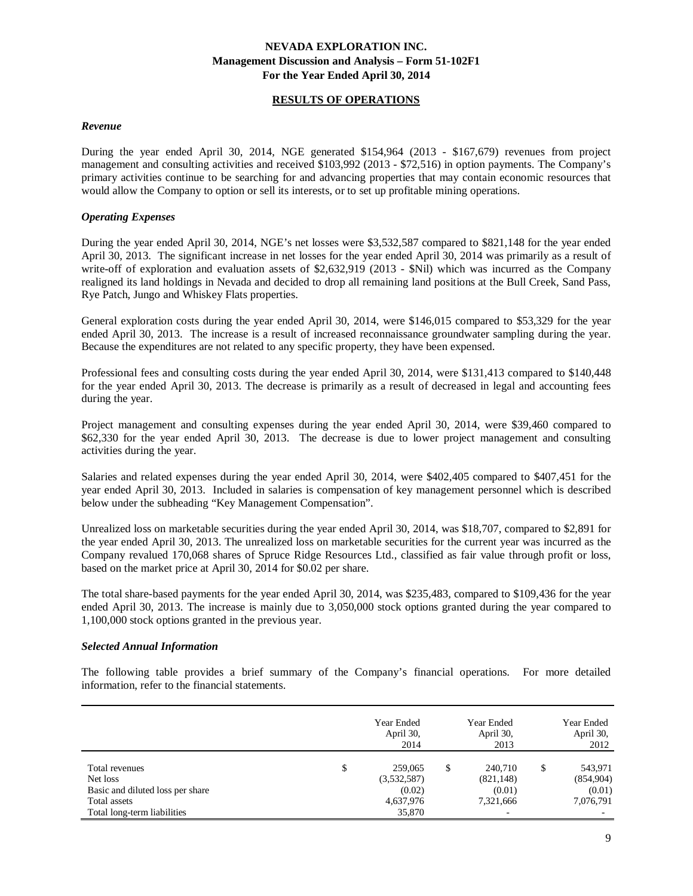# **RESULTS OF OPERATIONS**

## *Revenue*

During the year ended April 30, 2014, NGE generated \$154,964 (2013 - \$167,679) revenues from project management and consulting activities and received \$103,992 (2013 - \$72,516) in option payments. The Company's primary activities continue to be searching for and advancing properties that may contain economic resources that would allow the Company to option or sell its interests, or to set up profitable mining operations.

# *Operating Expenses*

During the year ended April 30, 2014, NGE's net losses were \$3,532,587 compared to \$821,148 for the year ended April 30, 2013. The significant increase in net losses for the year ended April 30, 2014 was primarily as a result of write-off of exploration and evaluation assets of \$2,632,919 (2013 - \$Nil) which was incurred as the Company realigned its land holdings in Nevada and decided to drop all remaining land positions at the Bull Creek, Sand Pass, Rye Patch, Jungo and Whiskey Flats properties.

General exploration costs during the year ended April 30, 2014, were \$146,015 compared to \$53,329 for the year ended April 30, 2013. The increase is a result of increased reconnaissance groundwater sampling during the year. Because the expenditures are not related to any specific property, they have been expensed.

Professional fees and consulting costs during the year ended April 30, 2014, were \$131,413 compared to \$140,448 for the year ended April 30, 2013. The decrease is primarily as a result of decreased in legal and accounting fees during the year.

Project management and consulting expenses during the year ended April 30, 2014, were \$39,460 compared to \$62,330 for the year ended April 30, 2013. The decrease is due to lower project management and consulting activities during the year.

Salaries and related expenses during the year ended April 30, 2014, were \$402,405 compared to \$407,451 for the year ended April 30, 2013. Included in salaries is compensation of key management personnel which is described below under the subheading "Key Management Compensation".

Unrealized loss on marketable securities during the year ended April 30, 2014, was \$18,707, compared to \$2,891 for the year ended April 30, 2013. The unrealized loss on marketable securities for the current year was incurred as the Company revalued 170,068 shares of Spruce Ridge Resources Ltd., classified as fair value through profit or loss, based on the market price at April 30, 2014 for \$0.02 per share.

The total share-based payments for the year ended April 30, 2014, was \$235,483, compared to \$109,436 for the year ended April 30, 2013. The increase is mainly due to 3,050,000 stock options granted during the year compared to 1,100,000 stock options granted in the previous year.

# *Selected Annual Information*

The following table provides a brief summary of the Company's financial operations. For more detailed information, refer to the financial statements.

|                                  |   | Year Ended<br>April 30,<br>2014 | Year Ended<br>April 30,<br>2013 | Year Ended<br>April 30,<br>2012 |
|----------------------------------|---|---------------------------------|---------------------------------|---------------------------------|
| Total revenues                   | Φ | 259,065                         | \$<br>240,710                   | \$<br>543,971                   |
| Net loss                         |   | (3,532,587)                     | (821, 148)                      | (854,904)                       |
| Basic and diluted loss per share |   | (0.02)                          | (0.01)                          | (0.01)                          |
| Total assets                     |   | 4,637,976                       | 7,321,666                       | 7,076,791                       |
| Total long-term liabilities      |   | 35,870                          |                                 |                                 |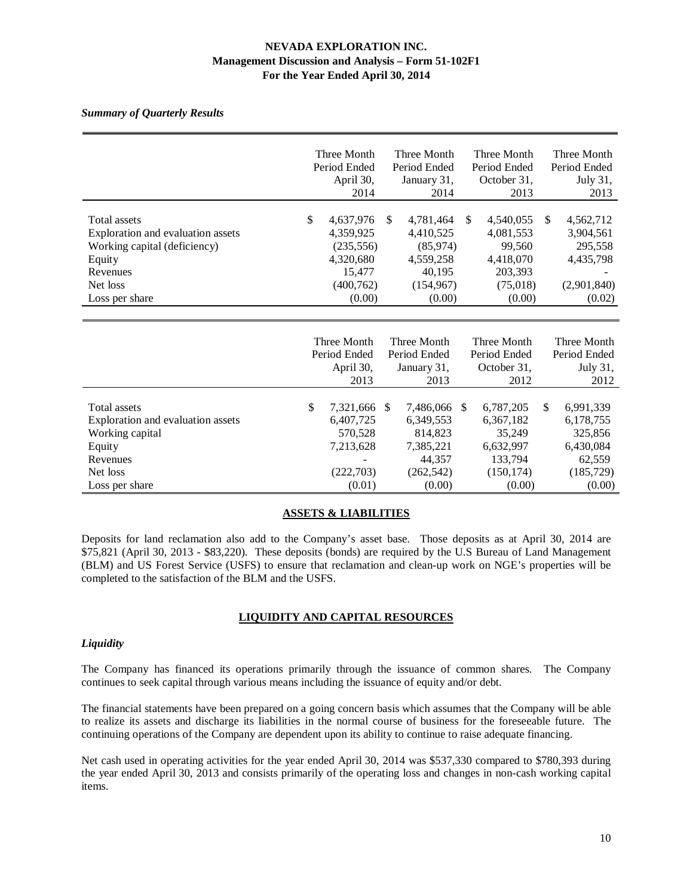## *Summary of Quarterly Results*

|                                                                                                                                       | Three Month<br>Period Ended<br>April 30,<br>2014                                          | Three Month<br>Period Ended<br>January 31,<br>2014                                       |               | Three Month<br>Period Ended<br>October 31,<br>2013                               | Three Month<br>Period Ended<br>July 31,<br>2013                                        |
|---------------------------------------------------------------------------------------------------------------------------------------|-------------------------------------------------------------------------------------------|------------------------------------------------------------------------------------------|---------------|----------------------------------------------------------------------------------|----------------------------------------------------------------------------------------|
| Total assets<br>Exploration and evaluation assets<br>Working capital (deficiency)<br>Equity<br>Revenues<br>Net loss<br>Loss per share | \$<br>4,637,976<br>4,359,925<br>(235, 556)<br>4,320,680<br>15,477<br>(400, 762)<br>(0.00) | \$<br>4,781,464<br>4,410,525<br>(85, 974)<br>4,559,258<br>40,195<br>(154, 967)<br>(0.00) | $\mathbb{S}$  | 4,540,055<br>4,081,553<br>99,560<br>4,418,070<br>203,393<br>(75,018)<br>(0.00)   | \$<br>4,562,712<br>3,904,561<br>295,558<br>4,435,798<br>(2,901,840)<br>(0.02)          |
|                                                                                                                                       | Three Month<br>Period Ended<br>April 30,<br>2013                                          | Three Month<br>Period Ended<br>January 31,<br>2013                                       |               | Three Month<br>Period Ended<br>October 31,<br>2012                               | Three Month<br>Period Ended<br>July 31,<br>2012                                        |
| <b>Total assets</b><br>Exploration and evaluation assets<br>Working capital<br>Equity<br>Revenues<br>Net loss<br>Loss per share       | \$<br>7,321,666 \$<br>6,407,725<br>570.528<br>7,213,628<br>(222,703)<br>(0.01)            | 7,486,066<br>6,349,553<br>814,823<br>7,385,221<br>44,357<br>(262, 542)<br>(0.00)         | <sup>\$</sup> | 6,787,205<br>6,367,182<br>35.249<br>6,632,997<br>133,794<br>(150, 174)<br>(0.00) | \$<br>6,991,339<br>6,178,755<br>325,856<br>6,430,084<br>62,559<br>(185, 729)<br>(0.00) |

# **ASSETS & LIABILITIES**

Deposits for land reclamation also add to the Company's asset base. Those deposits as at April 30, 2014 are \$75,821 (April 30, 2013 - \$83,220). These deposits (bonds) are required by the U.S Bureau of Land Management (BLM) and US Forest Service (USFS) to ensure that reclamation and clean-up work on NGE's properties will be completed to the satisfaction of the BLM and the USFS.

## **LIQUIDITY AND CAPITAL RESOURCES**

## *Liquidity*

The Company has financed its operations primarily through the issuance of common shares. The Company continues to seek capital through various means including the issuance of equity and/or debt.

The financial statements have been prepared on a going concern basis which assumes that the Company will be able to realize its assets and discharge its liabilities in the normal course of business for the foreseeable future. The continuing operations of the Company are dependent upon its ability to continue to raise adequate financing.

Net cash used in operating activities for the year ended April 30, 2014 was \$537,330 compared to \$780,393 during the year ended April 30, 2013 and consists primarily of the operating loss and changes in non-cash working capital items.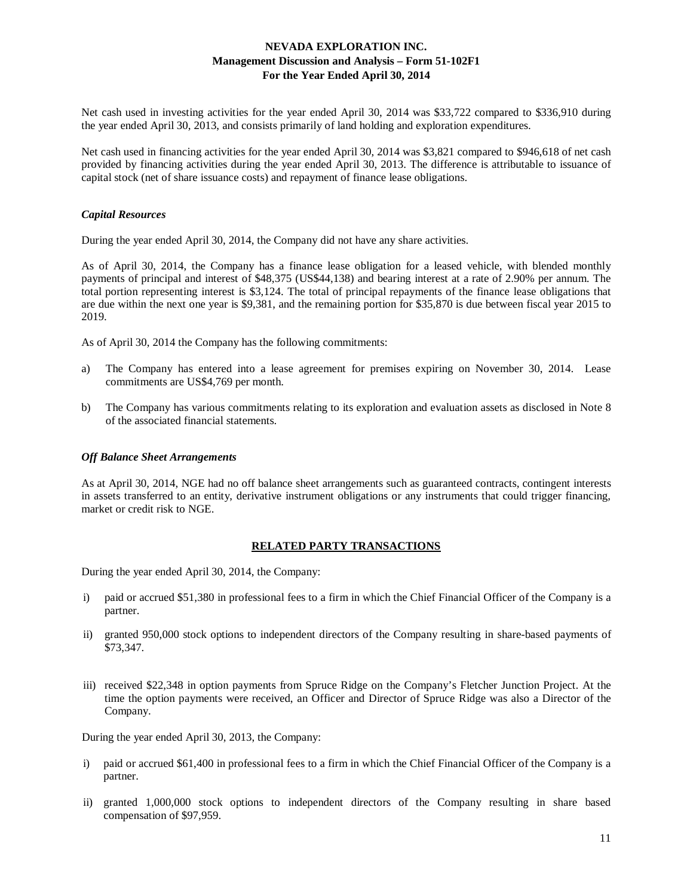Net cash used in investing activities for the year ended April 30, 2014 was \$33,722 compared to \$336,910 during the year ended April 30, 2013, and consists primarily of land holding and exploration expenditures.

Net cash used in financing activities for the year ended April 30, 2014 was \$3,821 compared to \$946,618 of net cash provided by financing activities during the year ended April 30, 2013. The difference is attributable to issuance of capital stock (net of share issuance costs) and repayment of finance lease obligations.

## *Capital Resources*

During the year ended April 30, 2014, the Company did not have any share activities.

As of April 30, 2014, the Company has a finance lease obligation for a leased vehicle, with blended monthly payments of principal and interest of \$48,375 (US\$44,138) and bearing interest at a rate of 2.90% per annum. The total portion representing interest is \$3,124. The total of principal repayments of the finance lease obligations that are due within the next one year is \$9,381, and the remaining portion for \$35,870 is due between fiscal year 2015 to 2019.

As of April 30, 2014 the Company has the following commitments:

- a) The Company has entered into a lease agreement for premises expiring on November 30, 2014. Lease commitments are US\$4,769 per month.
- b) The Company has various commitments relating to its exploration and evaluation assets as disclosed in Note 8 of the associated financial statements.

## *Off Balance Sheet Arrangements*

As at April 30, 2014, NGE had no off balance sheet arrangements such as guaranteed contracts, contingent interests in assets transferred to an entity, derivative instrument obligations or any instruments that could trigger financing, market or credit risk to NGE.

# **RELATED PARTY TRANSACTIONS**

During the year ended April 30, 2014, the Company:

- i) paid or accrued \$51,380 in professional fees to a firm in which the Chief Financial Officer of the Company is a partner.
- ii) granted 950,000 stock options to independent directors of the Company resulting in share-based payments of \$73,347.
- iii) received \$22,348 in option payments from Spruce Ridge on the Company's Fletcher Junction Project. At the time the option payments were received, an Officer and Director of Spruce Ridge was also a Director of the Company.

During the year ended April 30, 2013, the Company:

- i) paid or accrued \$61,400 in professional fees to a firm in which the Chief Financial Officer of the Company is a partner.
- ii) granted 1,000,000 stock options to independent directors of the Company resulting in share based compensation of \$97,959.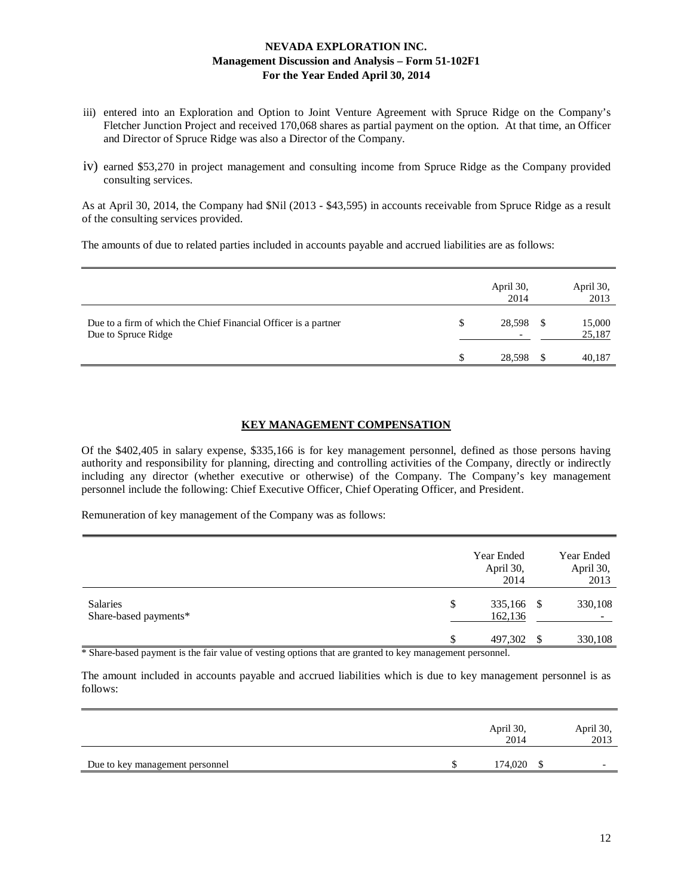- iii) entered into an Exploration and Option to Joint Venture Agreement with Spruce Ridge on the Company's Fletcher Junction Project and received 170,068 shares as partial payment on the option. At that time, an Officer and Director of Spruce Ridge was also a Director of the Company.
- iv) earned \$53,270 in project management and consulting income from Spruce Ridge as the Company provided consulting services.

As at April 30, 2014, the Company had \$Nil (2013 - \$43,595) in accounts receivable from Spruce Ridge as a result of the consulting services provided.

The amounts of due to related parties included in accounts payable and accrued liabilities are as follows:

|                                                                                        |   | April 30,<br>2014 | April 30,<br>2013 |
|----------------------------------------------------------------------------------------|---|-------------------|-------------------|
| Due to a firm of which the Chief Financial Officer is a partner<br>Due to Spruce Ridge | S | 28,598            | 15,000<br>25,187  |
|                                                                                        |   | 28,598            | 40,187            |

## **KEY MANAGEMENT COMPENSATION**

Of the \$402,405 in salary expense, \$335,166 is for key management personnel, defined as those persons having authority and responsibility for planning, directing and controlling activities of the Company, directly or indirectly including any director (whether executive or otherwise) of the Company. The Company's key management personnel include the following: Chief Executive Officer, Chief Operating Officer, and President.

Remuneration of key management of the Company was as follows:

|                                          | Year Ended<br>April 30,<br>2014 | Year Ended<br>April 30,<br>2013     |
|------------------------------------------|---------------------------------|-------------------------------------|
| <b>Salaries</b><br>Share-based payments* | \$<br>335,166 \$<br>162,136     | 330,108<br>$\overline{\phantom{a}}$ |
|                                          | \$<br>497,302 \$                | 330,108                             |

\* Share-based payment is the fair value of vesting options that are granted to key management personnel.

The amount included in accounts payable and accrued liabilities which is due to key management personnel is as follows:

|                                 | April 30,<br>2014 | April 30,<br>2013 |
|---------------------------------|-------------------|-------------------|
| Due to key management personnel | 174.020           |                   |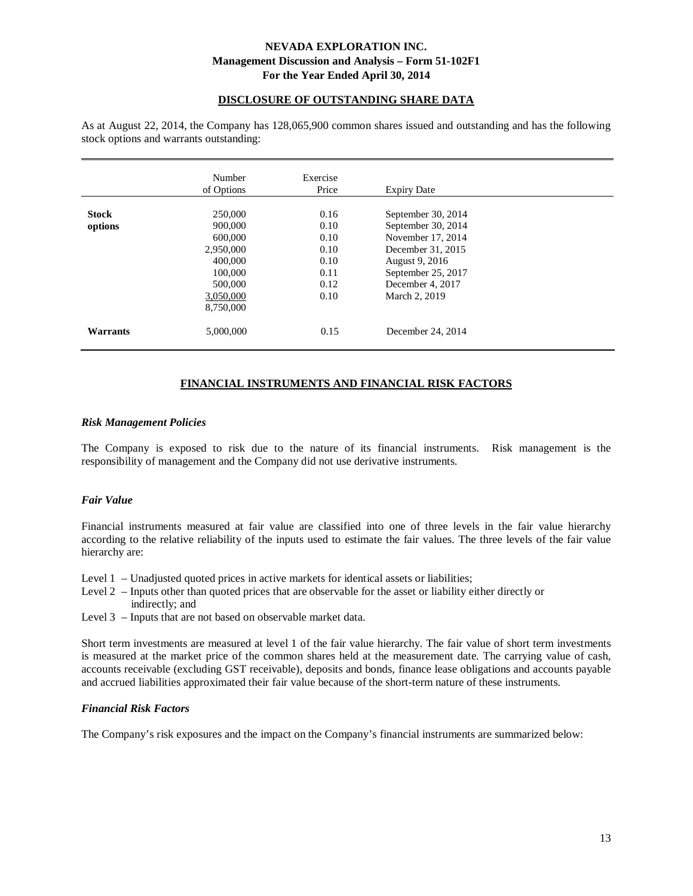# **DISCLOSURE OF OUTSTANDING SHARE DATA**

|              | Number<br>of Options | Exercise<br>Price | <b>Expiry Date</b> |  |
|--------------|----------------------|-------------------|--------------------|--|
| <b>Stock</b> | 250,000              | 0.16              | September 30, 2014 |  |
| options      | 900,000              | 0.10              | September 30, 2014 |  |
|              | 600,000              | 0.10              | November 17, 2014  |  |
|              | 2,950,000            | 0.10              | December 31, 2015  |  |
|              | 400,000              | 0.10              | August 9, 2016     |  |
|              | 100,000              | 0.11              | September 25, 2017 |  |
|              | 500,000              | 0.12              | December 4, 2017   |  |
|              | 3,050,000            | 0.10              | March 2, 2019      |  |
|              | 8,750,000            |                   |                    |  |
| Warrants     | 5,000,000            | 0.15              | December 24, 2014  |  |

As at August 22, 2014, the Company has 128,065,900 common shares issued and outstanding and has the following stock options and warrants outstanding:

# **FINANCIAL INSTRUMENTS AND FINANCIAL RISK FACTORS**

## *Risk Management Policies*

The Company is exposed to risk due to the nature of its financial instruments. Risk management is the responsibility of management and the Company did not use derivative instruments.

# *Fair Value*

Financial instruments measured at fair value are classified into one of three levels in the fair value hierarchy according to the relative reliability of the inputs used to estimate the fair values. The three levels of the fair value hierarchy are:

- Level 1 Unadjusted quoted prices in active markets for identical assets or liabilities;
- Level 2 Inputs other than quoted prices that are observable for the asset or liability either directly or indirectly; and
- Level 3 Inputs that are not based on observable market data.

Short term investments are measured at level 1 of the fair value hierarchy. The fair value of short term investments is measured at the market price of the common shares held at the measurement date. The carrying value of cash, accounts receivable (excluding GST receivable), deposits and bonds, finance lease obligations and accounts payable and accrued liabilities approximated their fair value because of the short-term nature of these instruments.

# *Financial Risk Factors*

The Company's risk exposures and the impact on the Company's financial instruments are summarized below: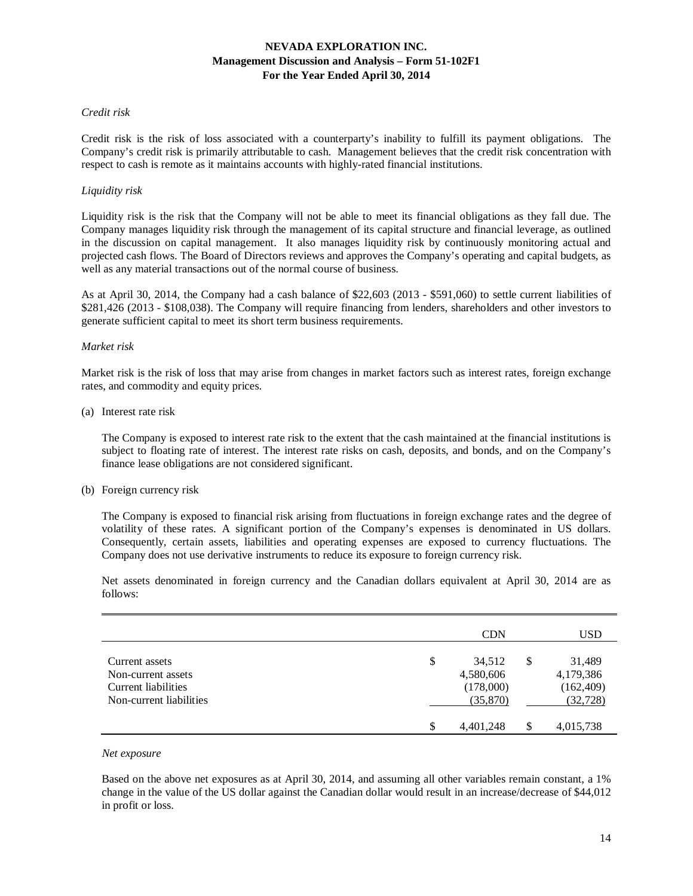## *Credit risk*

Credit risk is the risk of loss associated with a counterparty's inability to fulfill its payment obligations. The Company's credit risk is primarily attributable to cash. Management believes that the credit risk concentration with respect to cash is remote as it maintains accounts with highly-rated financial institutions.

## *Liquidity risk*

Liquidity risk is the risk that the Company will not be able to meet its financial obligations as they fall due. The Company manages liquidity risk through the management of its capital structure and financial leverage, as outlined in the discussion on capital management. It also manages liquidity risk by continuously monitoring actual and projected cash flows. The Board of Directors reviews and approves the Company's operating and capital budgets, as well as any material transactions out of the normal course of business.

As at April 30, 2014, the Company had a cash balance of \$22,603 (2013 - \$591,060) to settle current liabilities of \$281,426 (2013 - \$108,038). The Company will require financing from lenders, shareholders and other investors to generate sufficient capital to meet its short term business requirements.

## *Market risk*

Market risk is the risk of loss that may arise from changes in market factors such as interest rates, foreign exchange rates, and commodity and equity prices.

(a) Interest rate risk

The Company is exposed to interest rate risk to the extent that the cash maintained at the financial institutions is subject to floating rate of interest. The interest rate risks on cash, deposits, and bonds, and on the Company's finance lease obligations are not considered significant.

(b) Foreign currency risk

The Company is exposed to financial risk arising from fluctuations in foreign exchange rates and the degree of volatility of these rates. A significant portion of the Company's expenses is denominated in US dollars. Consequently, certain assets, liabilities and operating expenses are exposed to currency fluctuations. The Company does not use derivative instruments to reduce its exposure to foreign currency risk.

Net assets denominated in foreign currency and the Canadian dollars equivalent at April 30, 2014 are as follows:

|                                                                                        |    | <b>CDN</b>                                   |    | <b>USD</b>                                     |
|----------------------------------------------------------------------------------------|----|----------------------------------------------|----|------------------------------------------------|
| Current assets<br>Non-current assets<br>Current liabilities<br>Non-current liabilities | \$ | 34,512<br>4,580,606<br>(178,000)<br>(35,870) | \$ | 31,489<br>4,179,386<br>(162, 409)<br>(32, 728) |
|                                                                                        | S  | 4,401,248                                    | S  | 4,015,738                                      |

## *Net exposure*

Based on the above net exposures as at April 30, 2014, and assuming all other variables remain constant, a 1% change in the value of the US dollar against the Canadian dollar would result in an increase/decrease of \$44,012 in profit or loss.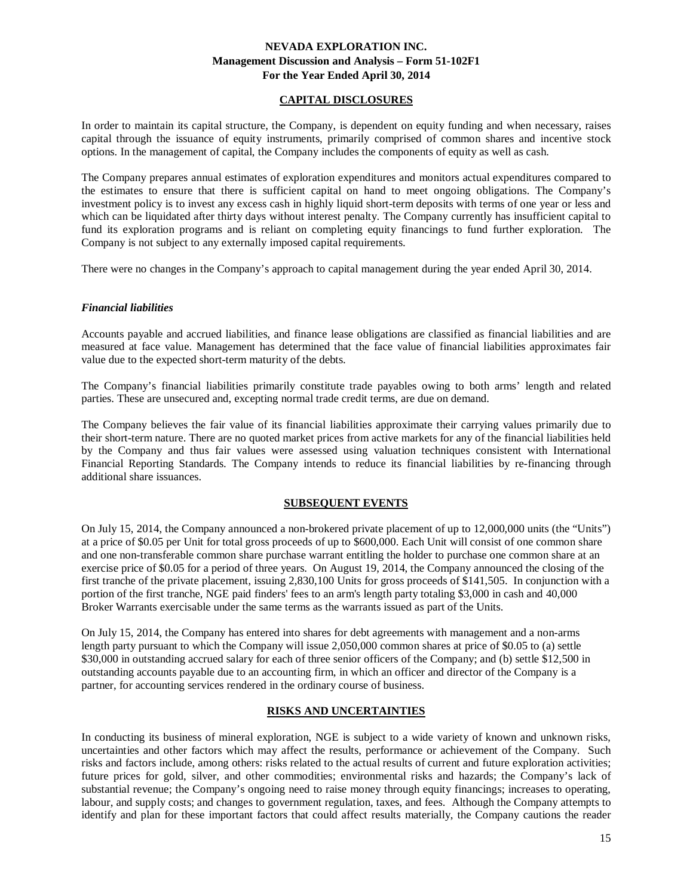# **CAPITAL DISCLOSURES**

In order to maintain its capital structure, the Company, is dependent on equity funding and when necessary, raises capital through the issuance of equity instruments, primarily comprised of common shares and incentive stock options. In the management of capital, the Company includes the components of equity as well as cash.

The Company prepares annual estimates of exploration expenditures and monitors actual expenditures compared to the estimates to ensure that there is sufficient capital on hand to meet ongoing obligations. The Company's investment policy is to invest any excess cash in highly liquid short-term deposits with terms of one year or less and which can be liquidated after thirty days without interest penalty. The Company currently has insufficient capital to fund its exploration programs and is reliant on completing equity financings to fund further exploration. The Company is not subject to any externally imposed capital requirements.

There were no changes in the Company's approach to capital management during the year ended April 30, 2014.

## *Financial liabilities*

Accounts payable and accrued liabilities, and finance lease obligations are classified as financial liabilities and are measured at face value. Management has determined that the face value of financial liabilities approximates fair value due to the expected short-term maturity of the debts.

The Company's financial liabilities primarily constitute trade payables owing to both arms' length and related parties. These are unsecured and, excepting normal trade credit terms, are due on demand.

The Company believes the fair value of its financial liabilities approximate their carrying values primarily due to their short-term nature. There are no quoted market prices from active markets for any of the financial liabilities held by the Company and thus fair values were assessed using valuation techniques consistent with International Financial Reporting Standards. The Company intends to reduce its financial liabilities by re-financing through additional share issuances.

# **SUBSEQUENT EVENTS**

On July 15, 2014, the Company announced a non-brokered private placement of up to 12,000,000 units (the "Units") at a price of \$0.05 per Unit for total gross proceeds of up to \$600,000. Each Unit will consist of one common share and one non-transferable common share purchase warrant entitling the holder to purchase one common share at an exercise price of \$0.05 for a period of three years. On August 19, 2014, the Company announced the closing of the first tranche of the private placement, issuing 2,830,100 Units for gross proceeds of \$141,505. In conjunction with a portion of the first tranche, NGE paid finders' fees to an arm's length party totaling \$3,000 in cash and 40,000 Broker Warrants exercisable under the same terms as the warrants issued as part of the Units.

On July 15, 2014, the Company has entered into shares for debt agreements with management and a non-arms length party pursuant to which the Company will issue 2,050,000 common shares at price of \$0.05 to (a) settle \$30,000 in outstanding accrued salary for each of three senior officers of the Company; and (b) settle \$12,500 in outstanding accounts payable due to an accounting firm, in which an officer and director of the Company is a partner, for accounting services rendered in the ordinary course of business.

# **RISKS AND UNCERTAINTIES**

In conducting its business of mineral exploration, NGE is subject to a wide variety of known and unknown risks, uncertainties and other factors which may affect the results, performance or achievement of the Company. Such risks and factors include, among others: risks related to the actual results of current and future exploration activities; future prices for gold, silver, and other commodities; environmental risks and hazards; the Company's lack of substantial revenue; the Company's ongoing need to raise money through equity financings; increases to operating, labour, and supply costs; and changes to government regulation, taxes, and fees. Although the Company attempts to identify and plan for these important factors that could affect results materially, the Company cautions the reader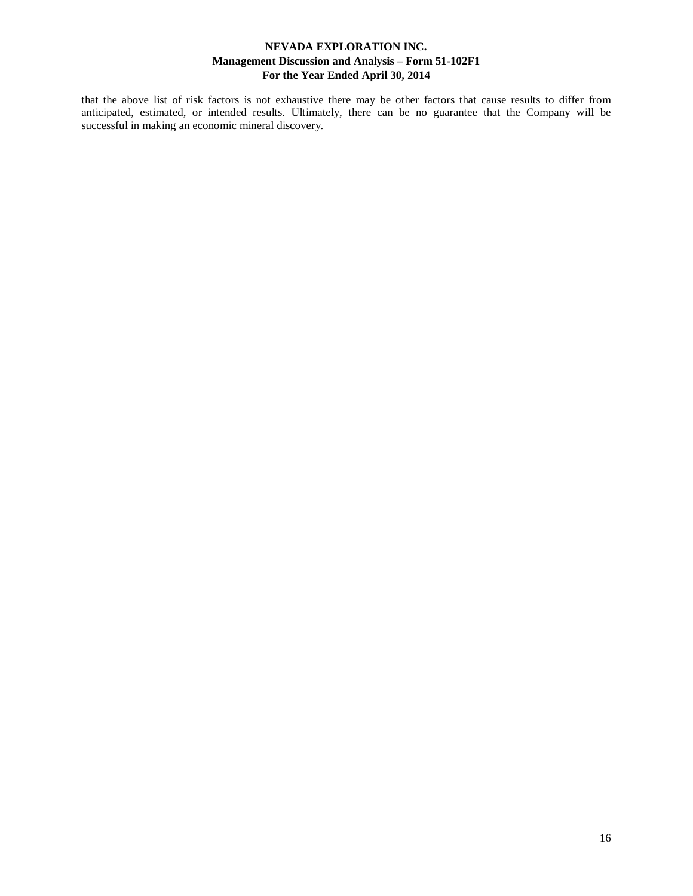that the above list of risk factors is not exhaustive there may be other factors that cause results to differ from anticipated, estimated, or intended results. Ultimately, there can be no guarantee that the Company will be successful in making an economic mineral discovery.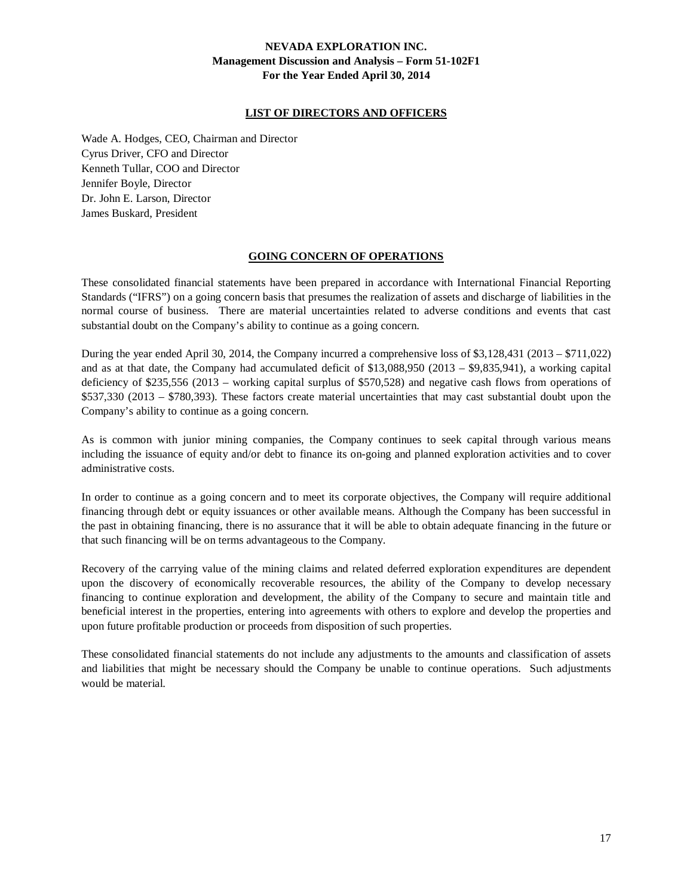# **LIST OF DIRECTORS AND OFFICERS**

Wade A. Hodges, CEO, Chairman and Director Cyrus Driver, CFO and Director Kenneth Tullar, COO and Director Jennifer Boyle, Director Dr. John E. Larson, Director James Buskard, President

# **GOING CONCERN OF OPERATIONS**

These consolidated financial statements have been prepared in accordance with International Financial Reporting Standards ("IFRS") on a going concern basis that presumes the realization of assets and discharge of liabilities in the normal course of business. There are material uncertainties related to adverse conditions and events that cast substantial doubt on the Company's ability to continue as a going concern.

During the year ended April 30, 2014, the Company incurred a comprehensive loss of \$3,128,431 (2013 – \$711,022) and as at that date, the Company had accumulated deficit of \$13,088,950 (2013 – \$9,835,941), a working capital deficiency of \$235,556 (2013 – working capital surplus of \$570,528) and negative cash flows from operations of \$537,330 (2013 – \$780,393). These factors create material uncertainties that may cast substantial doubt upon the Company's ability to continue as a going concern.

As is common with junior mining companies, the Company continues to seek capital through various means including the issuance of equity and/or debt to finance its on-going and planned exploration activities and to cover administrative costs.

In order to continue as a going concern and to meet its corporate objectives, the Company will require additional financing through debt or equity issuances or other available means. Although the Company has been successful in the past in obtaining financing, there is no assurance that it will be able to obtain adequate financing in the future or that such financing will be on terms advantageous to the Company.

Recovery of the carrying value of the mining claims and related deferred exploration expenditures are dependent upon the discovery of economically recoverable resources, the ability of the Company to develop necessary financing to continue exploration and development, the ability of the Company to secure and maintain title and beneficial interest in the properties, entering into agreements with others to explore and develop the properties and upon future profitable production or proceeds from disposition of such properties.

These consolidated financial statements do not include any adjustments to the amounts and classification of assets and liabilities that might be necessary should the Company be unable to continue operations. Such adjustments would be material.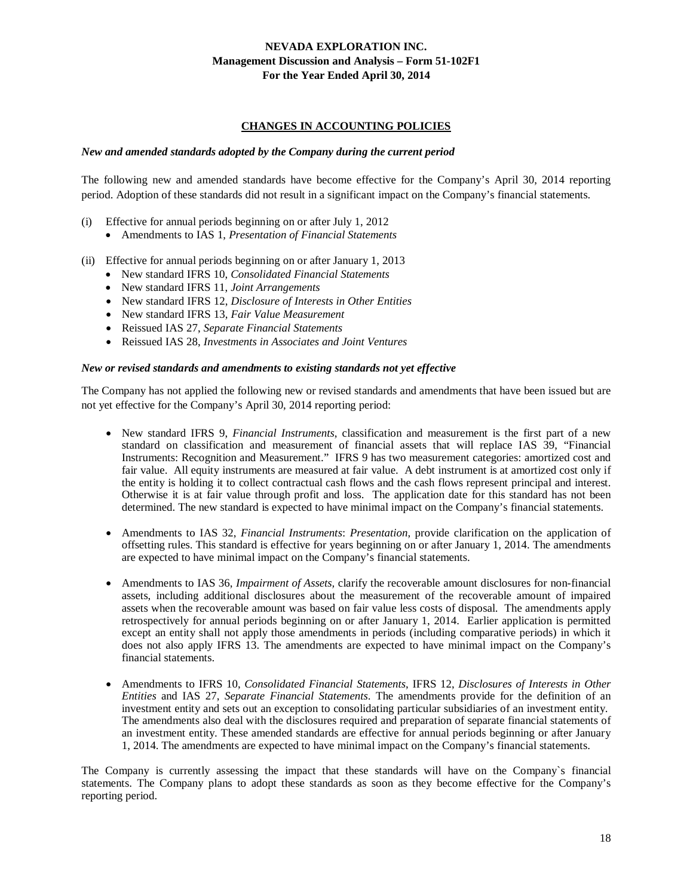# **CHANGES IN ACCOUNTING POLICIES**

## *New and amended standards adopted by the Company during the current period*

The following new and amended standards have become effective for the Company's April 30, 2014 reporting period. Adoption of these standards did not result in a significant impact on the Company's financial statements.

- (i) Effective for annual periods beginning on or after July 1, 2012
	- Amendments to IAS 1, *Presentation of Financial Statements*
- (ii) Effective for annual periods beginning on or after January 1, 2013
	- New standard IFRS 10, *Consolidated Financial Statements*
	- New standard IFRS 11, *Joint Arrangements*
	- New standard IFRS 12, *Disclosure of Interests in Other Entities*
	- New standard IFRS 13, *Fair Value Measurement*
	- Reissued IAS 27, *Separate Financial Statements*
	- Reissued IAS 28, *Investments in Associates and Joint Ventures*

## *New or revised standards and amendments to existing standards not yet effective*

The Company has not applied the following new or revised standards and amendments that have been issued but are not yet effective for the Company's April 30, 2014 reporting period:

- New standard IFRS 9, *Financial Instruments*, classification and measurement is the first part of a new standard on classification and measurement of financial assets that will replace IAS 39, "Financial Instruments: Recognition and Measurement." IFRS 9 has two measurement categories: amortized cost and fair value. All equity instruments are measured at fair value. A debt instrument is at amortized cost only if the entity is holding it to collect contractual cash flows and the cash flows represent principal and interest. Otherwise it is at fair value through profit and loss. The application date for this standard has not been determined. The new standard is expected to have minimal impact on the Company's financial statements.
- Amendments to IAS 32, *Financial Instruments*: *Presentation*, provide clarification on the application of offsetting rules. This standard is effective for years beginning on or after January 1, 2014. The amendments are expected to have minimal impact on the Company's financial statements.
- Amendments to IAS 36, *Impairment of Assets,* clarify the recoverable amount disclosures for non-financial assets, including additional disclosures about the measurement of the recoverable amount of impaired assets when the recoverable amount was based on fair value less costs of disposal. The amendments apply retrospectively for annual periods beginning on or after January 1, 2014. Earlier application is permitted except an entity shall not apply those amendments in periods (including comparative periods) in which it does not also apply IFRS 13. The amendments are expected to have minimal impact on the Company's financial statements.
- Amendments to IFRS 10, *Consolidated Financial Statements*, IFRS 12, *Disclosures of Interests in Other Entities* and IAS 27, *Separate Financial Statements*. The amendments provide for the definition of an investment entity and sets out an exception to consolidating particular subsidiaries of an investment entity. The amendments also deal with the disclosures required and preparation of separate financial statements of an investment entity. These amended standards are effective for annual periods beginning or after January 1, 2014. The amendments are expected to have minimal impact on the Company's financial statements.

The Company is currently assessing the impact that these standards will have on the Company`s financial statements. The Company plans to adopt these standards as soon as they become effective for the Company's reporting period.